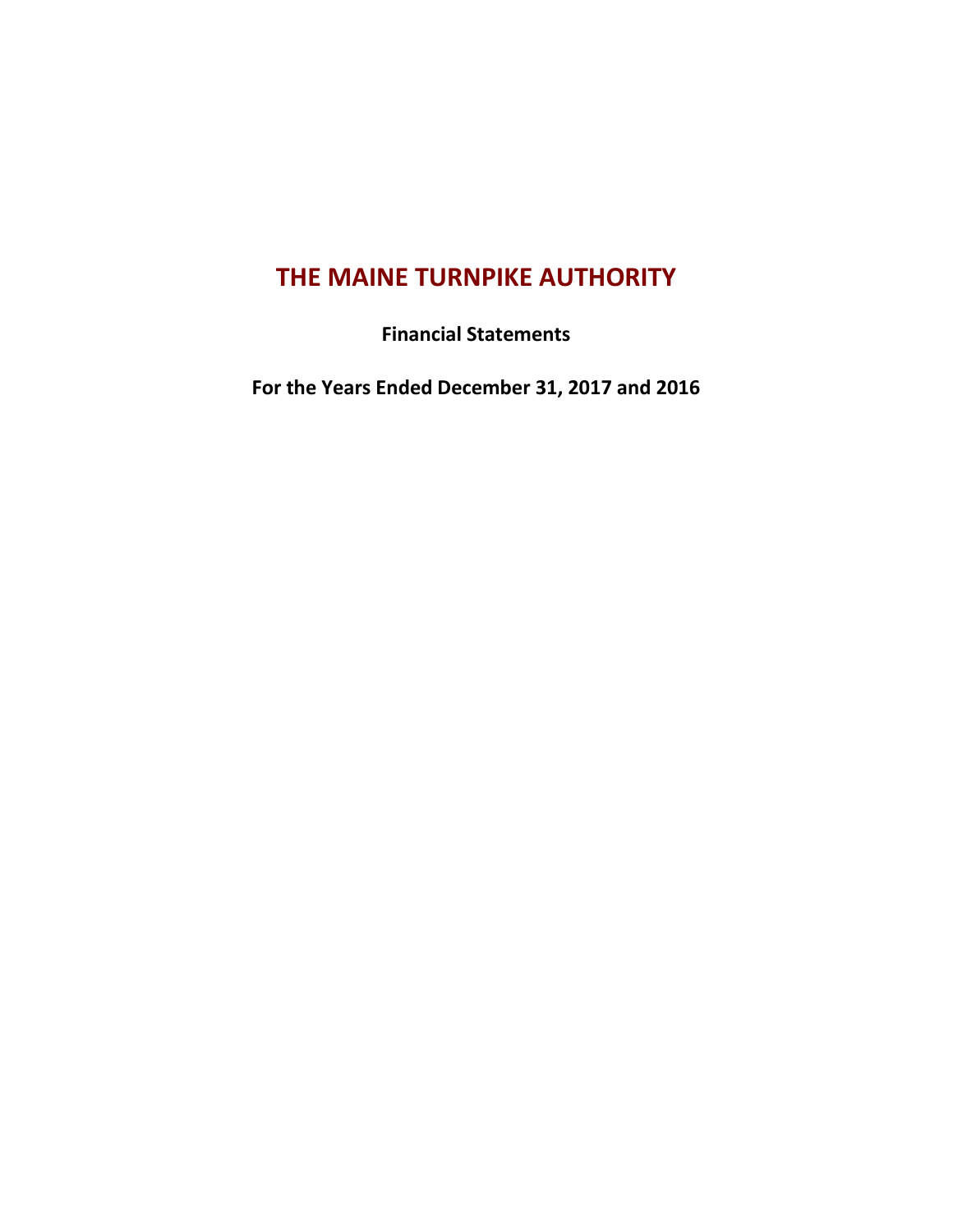# **THE MAINE TURNPIKE AUTHORITY**

**Financial Statements**

**For the Years Ended December 31, 2017 and 2016**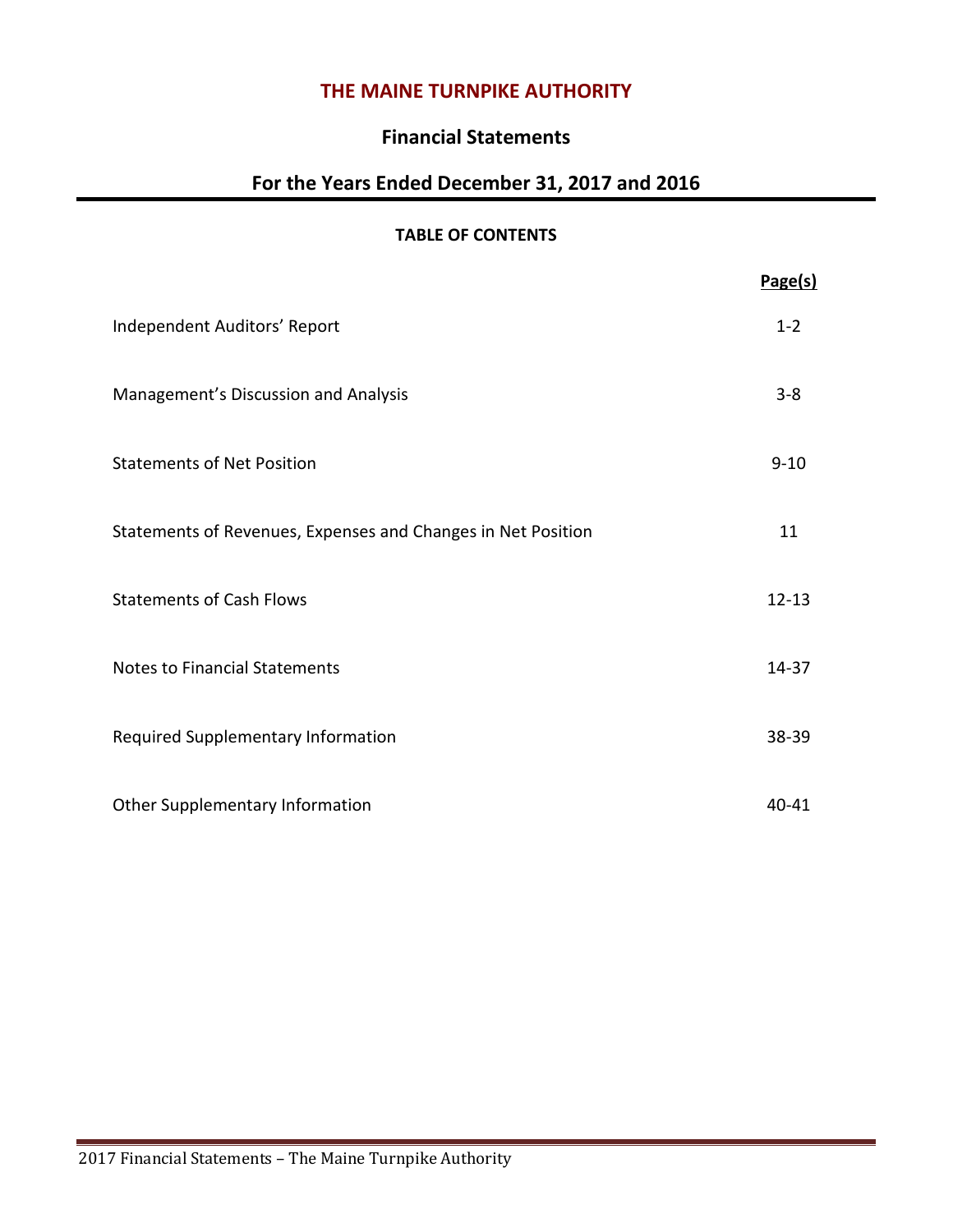## **THE MAINE TURNPIKE AUTHORITY**

## **Financial Statements**

# **For the Years Ended December 31, 2017 and 2016**

### **TABLE OF CONTENTS**

|                                                              | Page(s)   |
|--------------------------------------------------------------|-----------|
| Independent Auditors' Report                                 | $1 - 2$   |
| Management's Discussion and Analysis                         | $3 - 8$   |
| <b>Statements of Net Position</b>                            | $9 - 10$  |
| Statements of Revenues, Expenses and Changes in Net Position | 11        |
| <b>Statements of Cash Flows</b>                              | $12 - 13$ |
| <b>Notes to Financial Statements</b>                         | $14 - 37$ |
| Required Supplementary Information                           | 38-39     |
| Other Supplementary Information                              | 40-41     |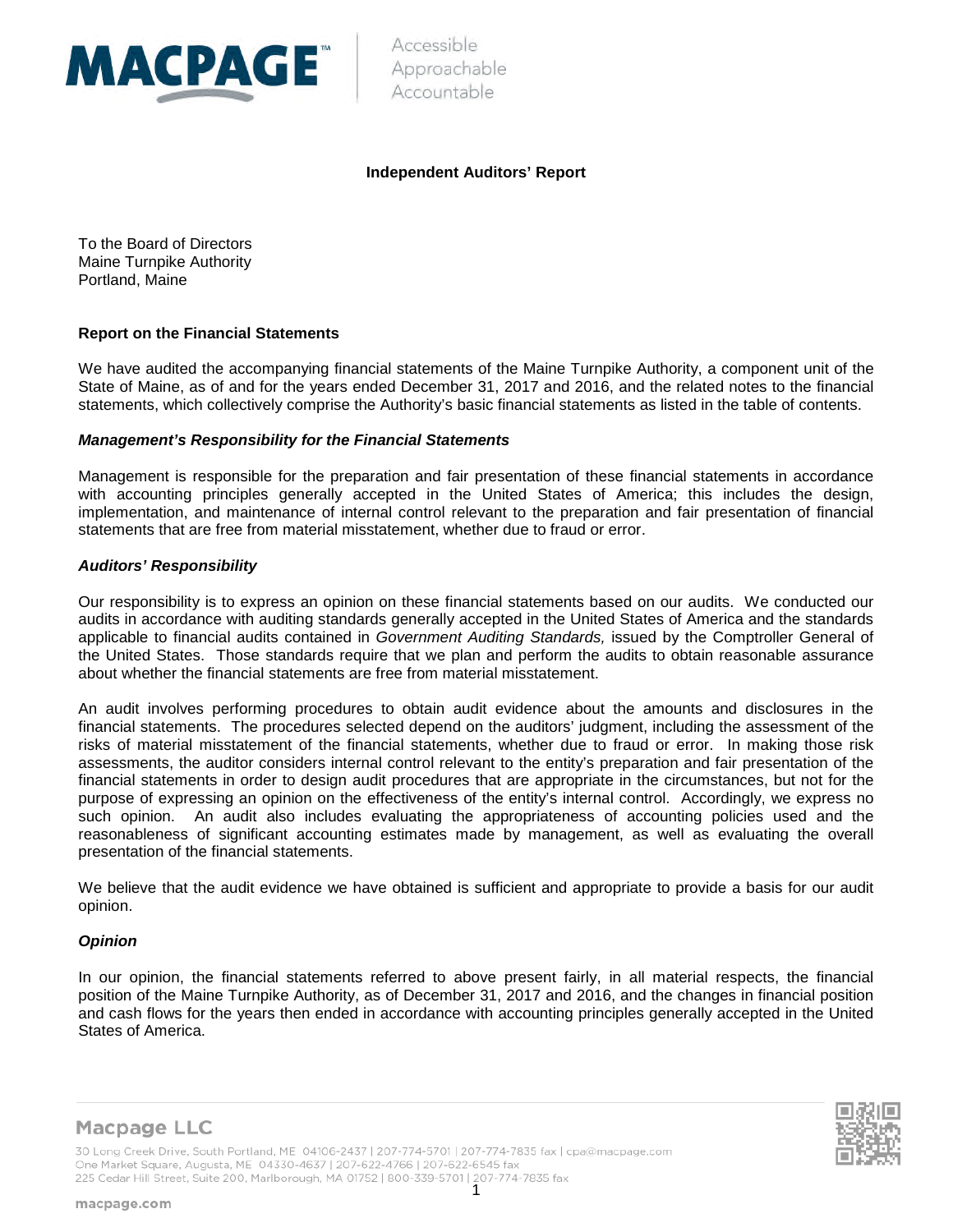

Accessible Approachable Accountable

### **Independent Auditors' Report**

To the Board of Directors Maine Turnpike Authority Portland, Maine

#### **Report on the Financial Statements**

We have audited the accompanying financial statements of the Maine Turnpike Authority, a component unit of the State of Maine, as of and for the years ended December 31, 2017 and 2016, and the related notes to the financial statements, which collectively comprise the Authority's basic financial statements as listed in the table of contents.

#### *Management's Responsibility for the Financial Statements*

Management is responsible for the preparation and fair presentation of these financial statements in accordance with accounting principles generally accepted in the United States of America; this includes the design, implementation, and maintenance of internal control relevant to the preparation and fair presentation of financial statements that are free from material misstatement, whether due to fraud or error.

#### *Auditors' Responsibility*

Our responsibility is to express an opinion on these financial statements based on our audits. We conducted our audits in accordance with auditing standards generally accepted in the United States of America and the standards applicable to financial audits contained in *Government Auditing Standards,* issued by the Comptroller General of the United States. Those standards require that we plan and perform the audits to obtain reasonable assurance about whether the financial statements are free from material misstatement.

An audit involves performing procedures to obtain audit evidence about the amounts and disclosures in the financial statements. The procedures selected depend on the auditors' judgment, including the assessment of the risks of material misstatement of the financial statements, whether due to fraud or error. In making those risk assessments, the auditor considers internal control relevant to the entity's preparation and fair presentation of the financial statements in order to design audit procedures that are appropriate in the circumstances, but not for the purpose of expressing an opinion on the effectiveness of the entity's internal control. Accordingly, we express no such opinion. An audit also includes evaluating the appropriateness of accounting policies used and the reasonableness of significant accounting estimates made by management, as well as evaluating the overall presentation of the financial statements.

We believe that the audit evidence we have obtained is sufficient and appropriate to provide a basis for our audit opinion.

#### *Opinion*

In our opinion, the financial statements referred to above present fairly, in all material respects, the financial position of the Maine Turnpike Authority, as of December 31, 2017 and 2016, and the changes in financial position and cash flows for the years then ended in accordance with accounting principles generally accepted in the United States of America.

30 Long Creek Drive, South Portland, ME 04106-2437 | 207-774-5701 | 207-774-7835 fax | cpa@macpage.com One Market Square, Augusta, ME 04330-4637 | 207-622-4766 | 207-622-6545 fax

**Macpage LLC**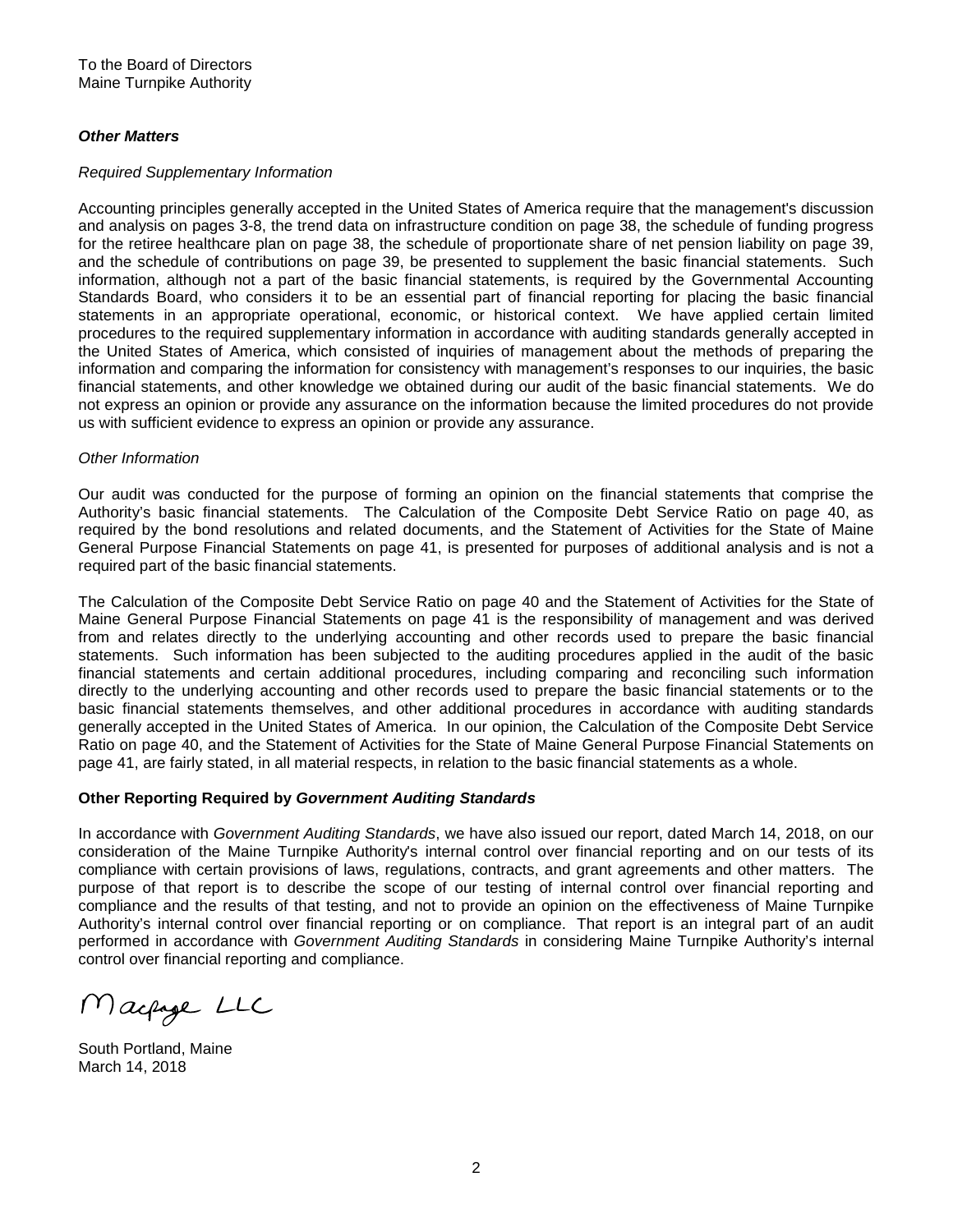### *Other Matters*

#### *Required Supplementary Information*

Accounting principles generally accepted in the United States of America require that the management's discussion and analysis on pages 3-8, the trend data on infrastructure condition on page 38, the schedule of funding progress for the retiree healthcare plan on page 38, the schedule of proportionate share of net pension liability on page 39, and the schedule of contributions on page 39, be presented to supplement the basic financial statements. Such information, although not a part of the basic financial statements, is required by the Governmental Accounting Standards Board, who considers it to be an essential part of financial reporting for placing the basic financial statements in an appropriate operational, economic, or historical context. We have applied certain limited procedures to the required supplementary information in accordance with auditing standards generally accepted in the United States of America, which consisted of inquiries of management about the methods of preparing the information and comparing the information for consistency with management's responses to our inquiries, the basic financial statements, and other knowledge we obtained during our audit of the basic financial statements. We do not express an opinion or provide any assurance on the information because the limited procedures do not provide us with sufficient evidence to express an opinion or provide any assurance.

#### *Other Information*

Our audit was conducted for the purpose of forming an opinion on the financial statements that comprise the Authority's basic financial statements. The Calculation of the Composite Debt Service Ratio on page 40, as required by the bond resolutions and related documents, and the Statement of Activities for the State of Maine General Purpose Financial Statements on page 41, is presented for purposes of additional analysis and is not a required part of the basic financial statements.

The Calculation of the Composite Debt Service Ratio on page 40 and the Statement of Activities for the State of Maine General Purpose Financial Statements on page 41 is the responsibility of management and was derived from and relates directly to the underlying accounting and other records used to prepare the basic financial statements. Such information has been subjected to the auditing procedures applied in the audit of the basic financial statements and certain additional procedures, including comparing and reconciling such information directly to the underlying accounting and other records used to prepare the basic financial statements or to the basic financial statements themselves, and other additional procedures in accordance with auditing standards generally accepted in the United States of America. In our opinion, the Calculation of the Composite Debt Service Ratio on page 40, and the Statement of Activities for the State of Maine General Purpose Financial Statements on page 41, are fairly stated, in all material respects, in relation to the basic financial statements as a whole.

#### **Other Reporting Required by** *Government Auditing Standards*

In accordance with *Government Auditing Standards*, we have also issued our report, dated March 14, 2018, on our consideration of the Maine Turnpike Authority's internal control over financial reporting and on our tests of its compliance with certain provisions of laws, regulations, contracts, and grant agreements and other matters. The purpose of that report is to describe the scope of our testing of internal control over financial reporting and compliance and the results of that testing, and not to provide an opinion on the effectiveness of Maine Turnpike Authority's internal control over financial reporting or on compliance. That report is an integral part of an audit performed in accordance with *Government Auditing Standards* in considering Maine Turnpike Authority's internal control over financial reporting and compliance.

Macpage LLC

South Portland, Maine March 14, 2018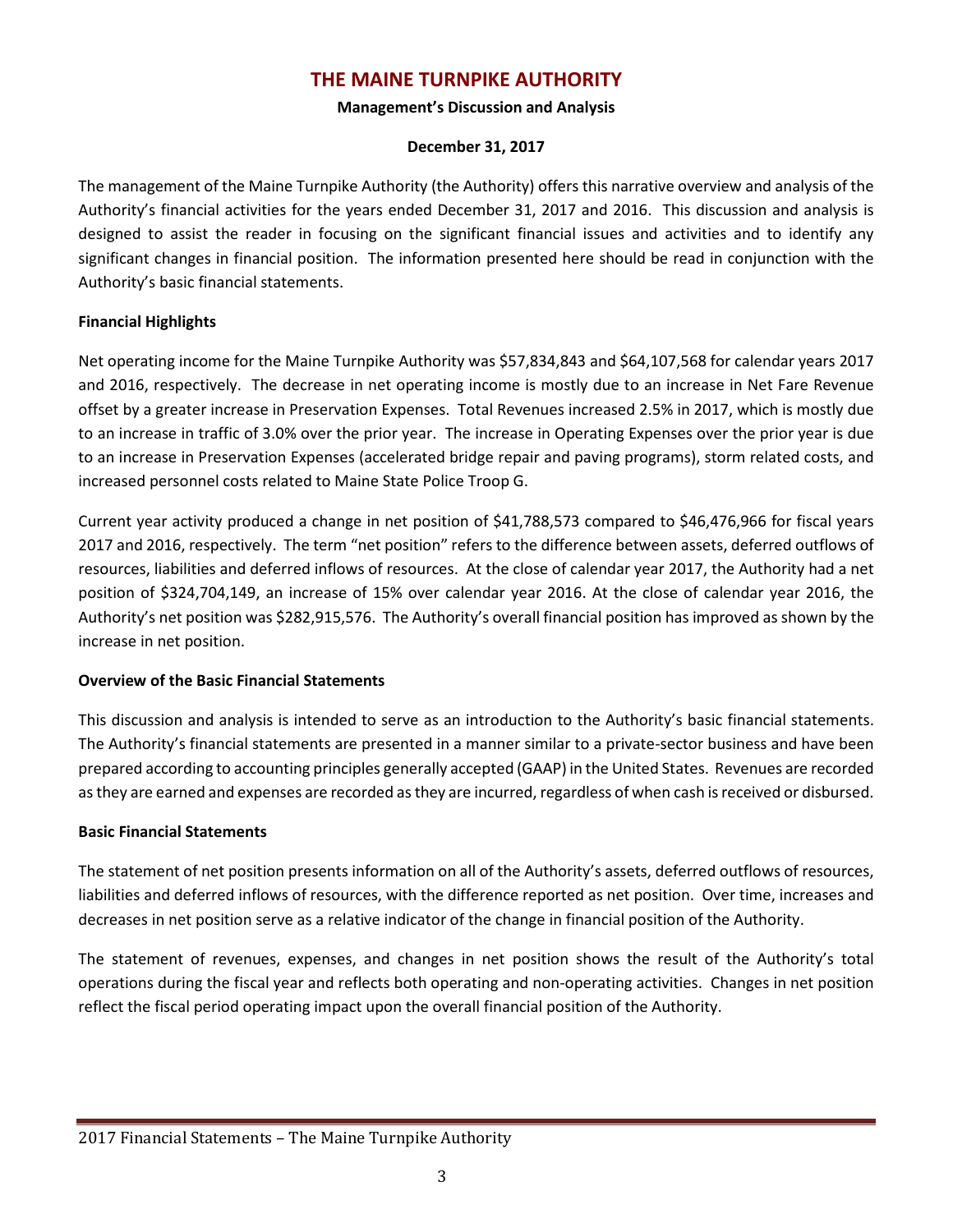## **THE MAINE TURNPIKE AUTHORITY**

### **Management's Discussion and Analysis**

### **December 31, 2017**

The management of the Maine Turnpike Authority (the Authority) offers this narrative overview and analysis of the Authority's financial activities for the years ended December 31, 2017 and 2016. This discussion and analysis is designed to assist the reader in focusing on the significant financial issues and activities and to identify any significant changes in financial position. The information presented here should be read in conjunction with the Authority's basic financial statements.

### **Financial Highlights**

Net operating income for the Maine Turnpike Authority was \$57,834,843 and \$64,107,568 for calendar years 2017 and 2016, respectively. The decrease in net operating income is mostly due to an increase in Net Fare Revenue offset by a greater increase in Preservation Expenses. Total Revenues increased 2.5% in 2017, which is mostly due to an increase in traffic of 3.0% over the prior year. The increase in Operating Expenses over the prior year is due to an increase in Preservation Expenses (accelerated bridge repair and paving programs), storm related costs, and increased personnel costs related to Maine State Police Troop G.

Current year activity produced a change in net position of \$41,788,573 compared to \$46,476,966 for fiscal years 2017 and 2016, respectively. The term "net position" refers to the difference between assets, deferred outflows of resources, liabilities and deferred inflows of resources. At the close of calendar year 2017, the Authority had a net position of \$324,704,149, an increase of 15% over calendar year 2016. At the close of calendar year 2016, the Authority's net position was \$282,915,576. The Authority's overall financial position has improved as shown by the increase in net position.

### **Overview of the Basic Financial Statements**

This discussion and analysis is intended to serve as an introduction to the Authority's basic financial statements. The Authority's financial statements are presented in a manner similar to a private-sector business and have been prepared according to accounting principles generally accepted (GAAP) in the United States. Revenues are recorded as they are earned and expenses are recorded as they are incurred, regardless of when cash is received or disbursed.

### **Basic Financial Statements**

The statement of net position presents information on all of the Authority's assets, deferred outflows of resources, liabilities and deferred inflows of resources, with the difference reported as net position. Over time, increases and decreases in net position serve as a relative indicator of the change in financial position of the Authority.

The statement of revenues, expenses, and changes in net position shows the result of the Authority's total operations during the fiscal year and reflects both operating and non-operating activities. Changes in net position reflect the fiscal period operating impact upon the overall financial position of the Authority.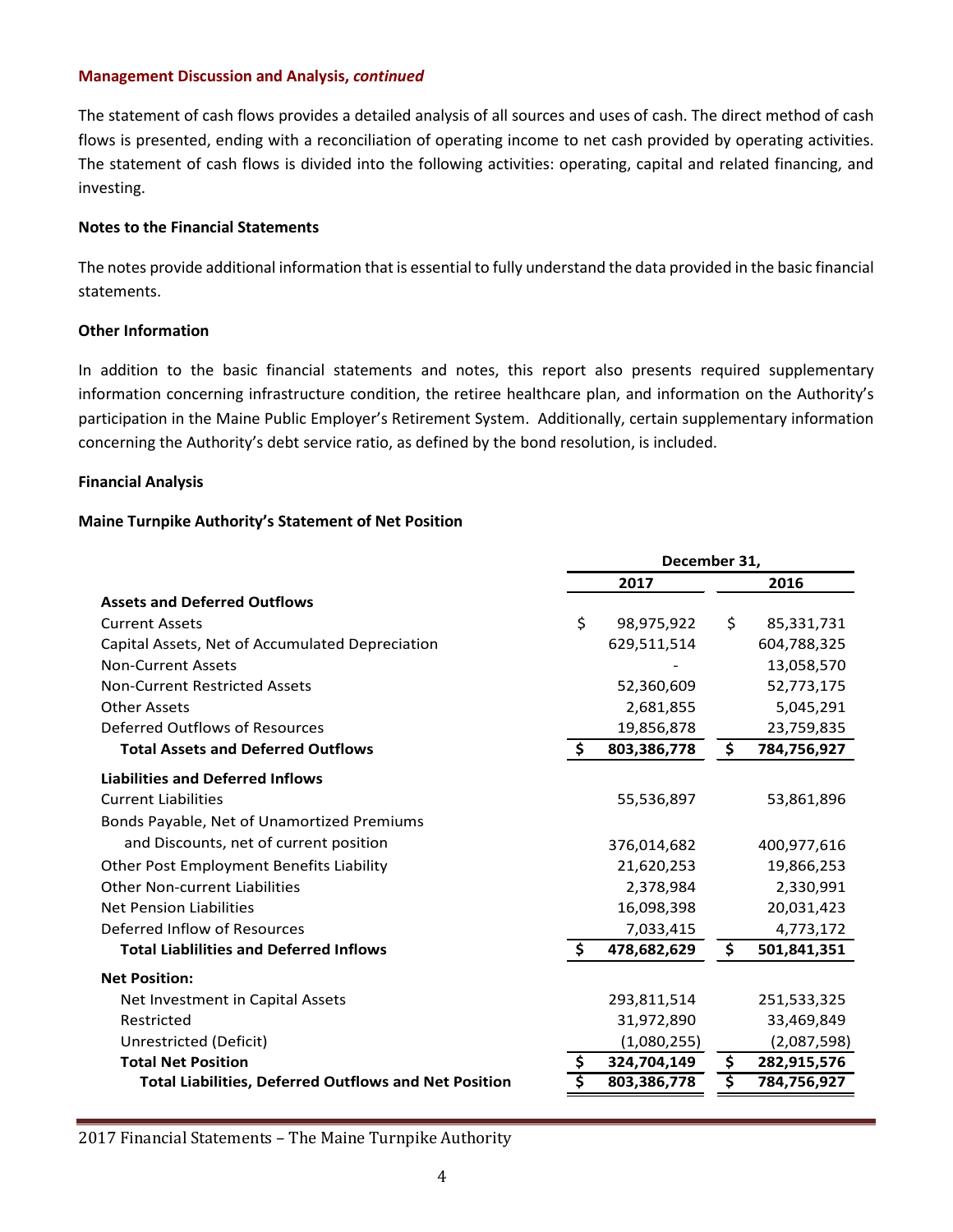The statement of cash flows provides a detailed analysis of all sources and uses of cash. The direct method of cash flows is presented, ending with a reconciliation of operating income to net cash provided by operating activities. The statement of cash flows is divided into the following activities: operating, capital and related financing, and investing.

### **Notes to the Financial Statements**

The notes provide additional information that is essential to fully understand the data provided in the basic financial statements.

#### **Other Information**

In addition to the basic financial statements and notes, this report also presents required supplementary information concerning infrastructure condition, the retiree healthcare plan, and information on the Authority's participation in the Maine Public Employer's Retirement System. Additionally, certain supplementary information concerning the Authority's debt service ratio, as defined by the bond resolution, is included.

#### **Financial Analysis**

#### **Maine Turnpike Authority's Statement of Net Position**

|                                                              | December 31, |             |    |             |
|--------------------------------------------------------------|--------------|-------------|----|-------------|
|                                                              |              | 2017        |    | 2016        |
| <b>Assets and Deferred Outflows</b>                          |              |             |    |             |
| <b>Current Assets</b>                                        | \$           | 98,975,922  | \$ | 85,331,731  |
| Capital Assets, Net of Accumulated Depreciation              |              | 629,511,514 |    | 604,788,325 |
| <b>Non-Current Assets</b>                                    |              |             |    | 13,058,570  |
| <b>Non-Current Restricted Assets</b>                         |              | 52,360,609  |    | 52,773,175  |
| <b>Other Assets</b>                                          |              | 2,681,855   |    | 5,045,291   |
| Deferred Outflows of Resources                               |              | 19,856,878  |    | 23,759,835  |
| <b>Total Assets and Deferred Outflows</b>                    | \$           | 803,386,778 | \$ | 784,756,927 |
| <b>Liabilities and Deferred Inflows</b>                      |              |             |    |             |
| <b>Current Liabilities</b>                                   |              | 55,536,897  |    | 53,861,896  |
| Bonds Payable, Net of Unamortized Premiums                   |              |             |    |             |
| and Discounts, net of current position                       |              | 376,014,682 |    | 400,977,616 |
| Other Post Employment Benefits Liability                     |              | 21,620,253  |    | 19,866,253  |
| <b>Other Non-current Liabilities</b>                         |              | 2,378,984   |    | 2,330,991   |
| <b>Net Pension Liabilities</b>                               |              | 16,098,398  |    | 20,031,423  |
| Deferred Inflow of Resources                                 |              | 7,033,415   |    | 4,773,172   |
| <b>Total Liablilities and Deferred Inflows</b>               | Ŝ.           | 478,682,629 | \$ | 501,841,351 |
| <b>Net Position:</b>                                         |              |             |    |             |
| Net Investment in Capital Assets                             |              | 293,811,514 |    | 251,533,325 |
| Restricted                                                   |              | 31,972,890  |    | 33,469,849  |
| Unrestricted (Deficit)                                       |              | (1,080,255) |    | (2,087,598) |
| <b>Total Net Position</b>                                    |              | 324,704,149 | \$ | 282,915,576 |
| <b>Total Liabilities, Deferred Outflows and Net Position</b> | \$           | 803,386,778 | \$ | 784,756,927 |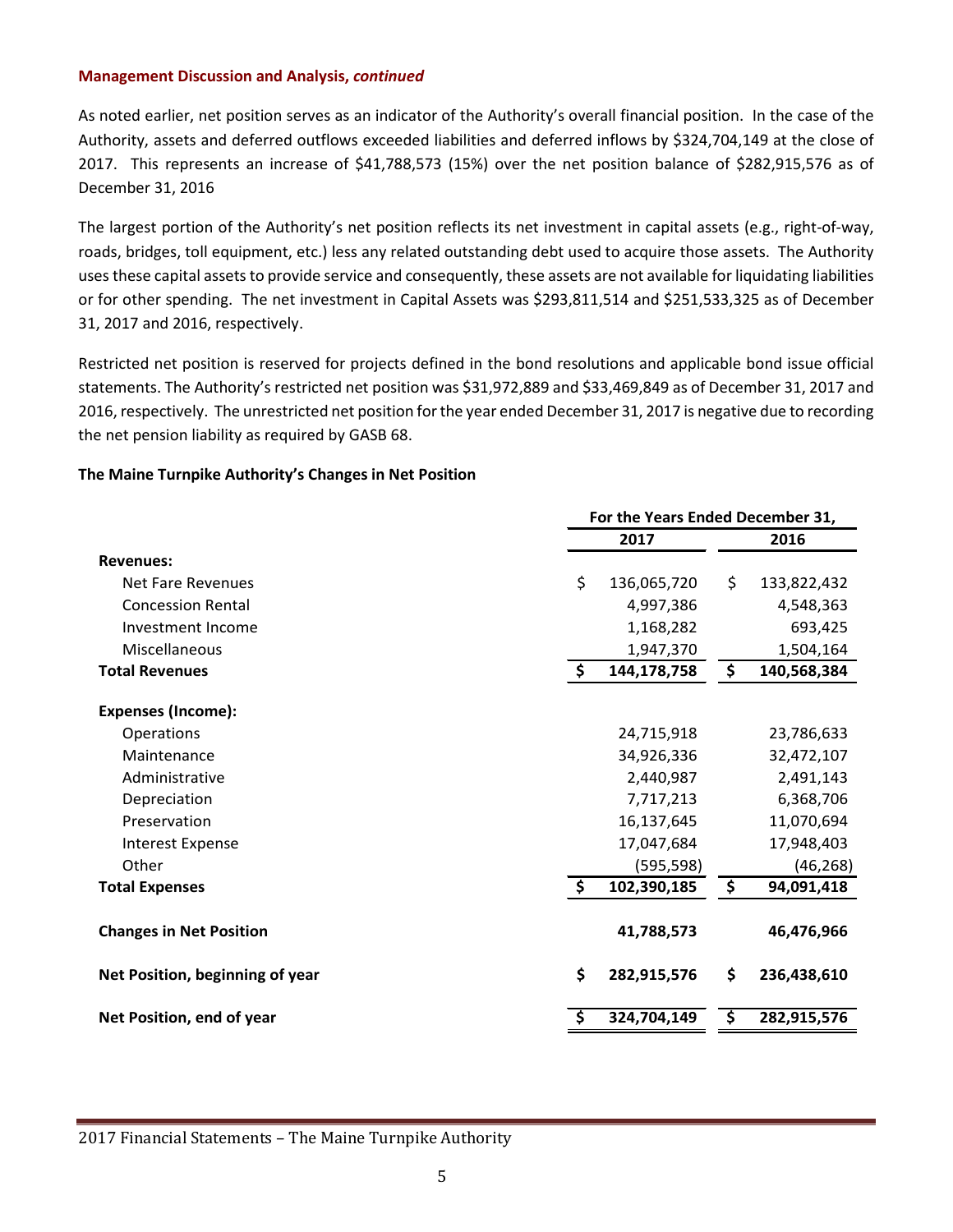As noted earlier, net position serves as an indicator of the Authority's overall financial position. In the case of the Authority, assets and deferred outflows exceeded liabilities and deferred inflows by \$324,704,149 at the close of 2017. This represents an increase of \$41,788,573 (15%) over the net position balance of \$282,915,576 as of December 31, 2016

The largest portion of the Authority's net position reflects its net investment in capital assets (e.g., right-of-way, roads, bridges, toll equipment, etc.) less any related outstanding debt used to acquire those assets. The Authority uses these capital assets to provide service and consequently, these assets are not available for liquidating liabilities or for other spending. The net investment in Capital Assets was \$293,811,514 and \$251,533,325 as of December 31, 2017 and 2016, respectively.

Restricted net position is reserved for projects defined in the bond resolutions and applicable bond issue official statements. The Authority's restricted net position was \$31,972,889 and \$33,469,849 as of December 31, 2017 and 2016, respectively. The unrestricted net position for the year ended December 31, 2017 is negative due to recording the net pension liability as required by GASB 68.

### **The Maine Turnpike Authority's Changes in Net Position**

|                                 | For the Years Ended December 31, |             |    |             |  |
|---------------------------------|----------------------------------|-------------|----|-------------|--|
|                                 |                                  | 2017        |    |             |  |
| <b>Revenues:</b>                |                                  |             |    |             |  |
| Net Fare Revenues               | \$                               | 136,065,720 | \$ | 133,822,432 |  |
| <b>Concession Rental</b>        |                                  | 4,997,386   |    | 4,548,363   |  |
| Investment Income               |                                  | 1,168,282   |    | 693,425     |  |
| Miscellaneous                   |                                  | 1,947,370   |    | 1,504,164   |  |
| <b>Total Revenues</b>           | \$                               | 144,178,758 | \$ | 140,568,384 |  |
| <b>Expenses (Income):</b>       |                                  |             |    |             |  |
| Operations                      |                                  | 24,715,918  |    | 23,786,633  |  |
| Maintenance                     |                                  | 34,926,336  |    | 32,472,107  |  |
| Administrative                  |                                  | 2,440,987   |    | 2,491,143   |  |
| Depreciation                    |                                  | 7,717,213   |    | 6,368,706   |  |
| Preservation                    |                                  | 16,137,645  |    | 11,070,694  |  |
| <b>Interest Expense</b>         |                                  | 17,047,684  |    | 17,948,403  |  |
| Other                           |                                  | (595, 598)  |    | (46, 268)   |  |
| <b>Total Expenses</b>           | \$                               | 102,390,185 | \$ | 94,091,418  |  |
| <b>Changes in Net Position</b>  |                                  | 41,788,573  |    | 46,476,966  |  |
| Net Position, beginning of year | \$                               | 282,915,576 | \$ | 236,438,610 |  |
| Net Position, end of year       |                                  | 324,704,149 | \$ | 282,915,576 |  |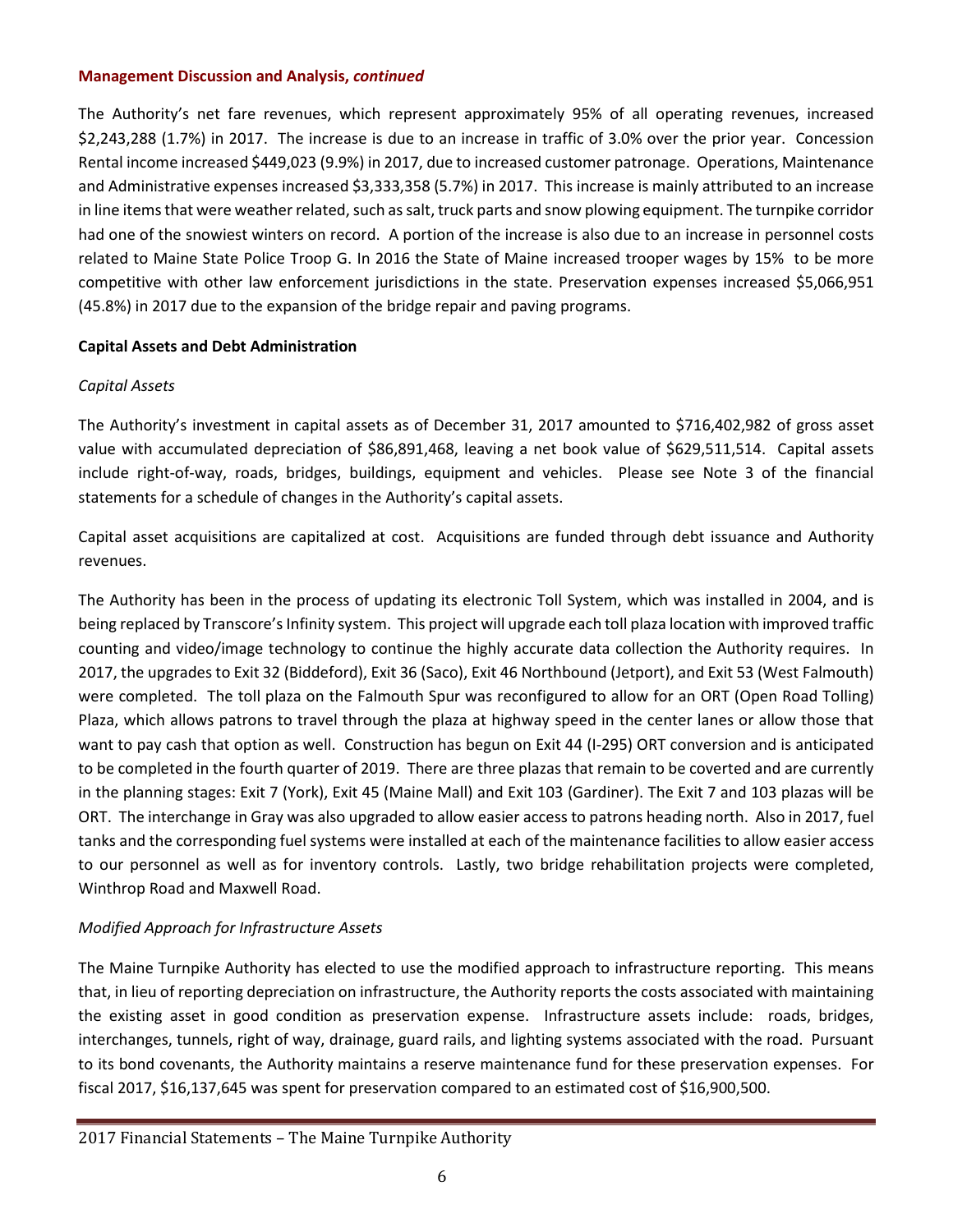The Authority's net fare revenues, which represent approximately 95% of all operating revenues, increased \$2,243,288 (1.7%) in 2017. The increase is due to an increase in traffic of 3.0% over the prior year. Concession Rental income increased \$449,023 (9.9%) in 2017, due to increased customer patronage. Operations, Maintenance and Administrative expenses increased \$3,333,358 (5.7%) in 2017. This increase is mainly attributed to an increase in line items that were weather related, such assalt, truck parts and snow plowing equipment. The turnpike corridor had one of the snowiest winters on record. A portion of the increase is also due to an increase in personnel costs related to Maine State Police Troop G. In 2016 the State of Maine increased trooper wages by 15% to be more competitive with other law enforcement jurisdictions in the state. Preservation expenses increased \$5,066,951 (45.8%) in 2017 due to the expansion of the bridge repair and paving programs.

### **Capital Assets and Debt Administration**

### *Capital Assets*

The Authority's investment in capital assets as of December 31, 2017 amounted to \$716,402,982 of gross asset value with accumulated depreciation of \$86,891,468, leaving a net book value of \$629,511,514. Capital assets include right-of-way, roads, bridges, buildings, equipment and vehicles. Please see Note 3 of the financial statements for a schedule of changes in the Authority's capital assets.

Capital asset acquisitions are capitalized at cost. Acquisitions are funded through debt issuance and Authority revenues.

The Authority has been in the process of updating its electronic Toll System, which was installed in 2004, and is being replaced by Transcore's Infinity system. This project will upgrade each toll plaza location with improved traffic counting and video/image technology to continue the highly accurate data collection the Authority requires. In 2017, the upgrades to Exit 32 (Biddeford), Exit 36 (Saco), Exit 46 Northbound (Jetport), and Exit 53 (West Falmouth) were completed. The toll plaza on the Falmouth Spur was reconfigured to allow for an ORT (Open Road Tolling) Plaza, which allows patrons to travel through the plaza at highway speed in the center lanes or allow those that want to pay cash that option as well. Construction has begun on Exit 44 (I-295) ORT conversion and is anticipated to be completed in the fourth quarter of 2019. There are three plazas that remain to be coverted and are currently in the planning stages: Exit 7 (York), Exit 45 (Maine Mall) and Exit 103 (Gardiner). The Exit 7 and 103 plazas will be ORT. The interchange in Gray was also upgraded to allow easier access to patrons heading north. Also in 2017, fuel tanks and the corresponding fuel systems were installed at each of the maintenance facilities to allow easier access to our personnel as well as for inventory controls. Lastly, two bridge rehabilitation projects were completed, Winthrop Road and Maxwell Road.

### *Modified Approach for Infrastructure Assets*

The Maine Turnpike Authority has elected to use the modified approach to infrastructure reporting. This means that, in lieu of reporting depreciation on infrastructure, the Authority reports the costs associated with maintaining the existing asset in good condition as preservation expense. Infrastructure assets include: roads, bridges, interchanges, tunnels, right of way, drainage, guard rails, and lighting systems associated with the road. Pursuant to its bond covenants, the Authority maintains a reserve maintenance fund for these preservation expenses. For fiscal 2017, \$16,137,645 was spent for preservation compared to an estimated cost of \$16,900,500.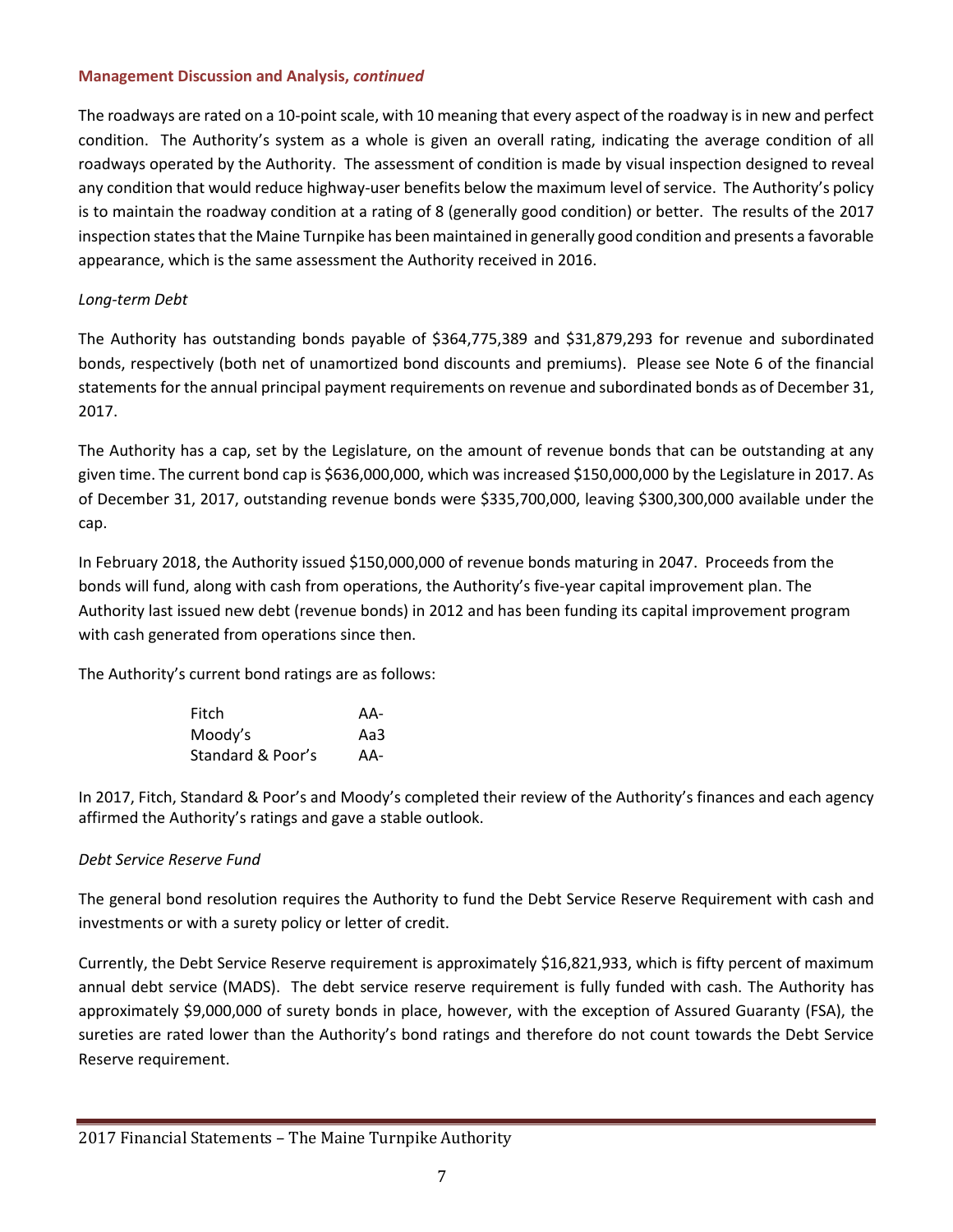The roadways are rated on a 10-point scale, with 10 meaning that every aspect of the roadway is in new and perfect condition. The Authority's system as a whole is given an overall rating, indicating the average condition of all roadways operated by the Authority. The assessment of condition is made by visual inspection designed to reveal any condition that would reduce highway-user benefits below the maximum level of service. The Authority's policy is to maintain the roadway condition at a rating of 8 (generally good condition) or better. The results of the 2017 inspection states that the Maine Turnpike has been maintained in generally good condition and presents a favorable appearance, which is the same assessment the Authority received in 2016.

### *Long-term Debt*

The Authority has outstanding bonds payable of \$364,775,389 and \$31,879,293 for revenue and subordinated bonds, respectively (both net of unamortized bond discounts and premiums). Please see Note 6 of the financial statements for the annual principal payment requirements on revenue and subordinated bonds as of December 31, 2017.

The Authority has a cap, set by the Legislature, on the amount of revenue bonds that can be outstanding at any given time. The current bond cap is \$636,000,000, which was increased \$150,000,000 by the Legislature in 2017. As of December 31, 2017, outstanding revenue bonds were \$335,700,000, leaving \$300,300,000 available under the cap.

In February 2018, the Authority issued \$150,000,000 of revenue bonds maturing in 2047. Proceeds from the bonds will fund, along with cash from operations, the Authority's five-year capital improvement plan. The Authority last issued new debt (revenue bonds) in 2012 and has been funding its capital improvement program with cash generated from operations since then.

The Authority's current bond ratings are as follows:

| Fitch             | AA- |
|-------------------|-----|
| Moody's           | Aa3 |
| Standard & Poor's | AA- |

In 2017, Fitch, Standard & Poor's and Moody's completed their review of the Authority's finances and each agency affirmed the Authority's ratings and gave a stable outlook.

### *Debt Service Reserve Fund*

The general bond resolution requires the Authority to fund the Debt Service Reserve Requirement with cash and investments or with a surety policy or letter of credit.

Currently, the Debt Service Reserve requirement is approximately \$16,821,933, which is fifty percent of maximum annual debt service (MADS). The debt service reserve requirement is fully funded with cash. The Authority has approximately \$9,000,000 of surety bonds in place, however, with the exception of Assured Guaranty (FSA), the sureties are rated lower than the Authority's bond ratings and therefore do not count towards the Debt Service Reserve requirement.

<sup>2017</sup> Financial Statements – The Maine Turnpike Authority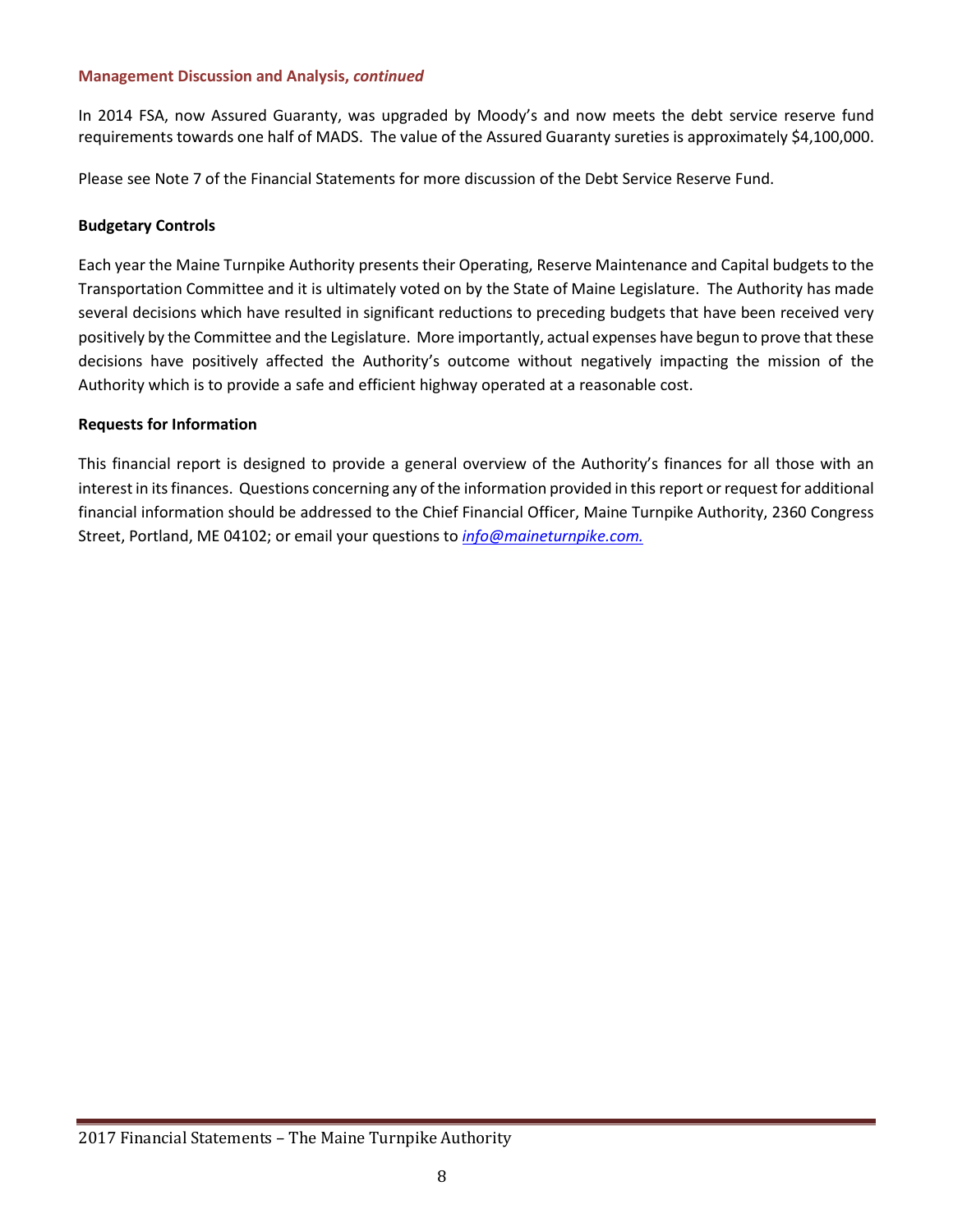In 2014 FSA, now Assured Guaranty, was upgraded by Moody's and now meets the debt service reserve fund requirements towards one half of MADS. The value of the Assured Guaranty sureties is approximately \$4,100,000.

Please see Note 7 of the Financial Statements for more discussion of the Debt Service Reserve Fund.

### **Budgetary Controls**

Each year the Maine Turnpike Authority presents their Operating, Reserve Maintenance and Capital budgets to the Transportation Committee and it is ultimately voted on by the State of Maine Legislature. The Authority has made several decisions which have resulted in significant reductions to preceding budgets that have been received very positively by the Committee and the Legislature. More importantly, actual expenses have begun to prove that these decisions have positively affected the Authority's outcome without negatively impacting the mission of the Authority which is to provide a safe and efficient highway operated at a reasonable cost.

### **Requests for Information**

This financial report is designed to provide a general overview of the Authority's finances for all those with an interest in its finances. Questions concerning any of the information provided in this report or request for additional financial information should be addressed to the Chief Financial Officer, Maine Turnpike Authority, 2360 Congress Street, Portland, ME 04102; or email your questions to *[info@maineturnpike.com.](mailto:info@maineturnpike.com)*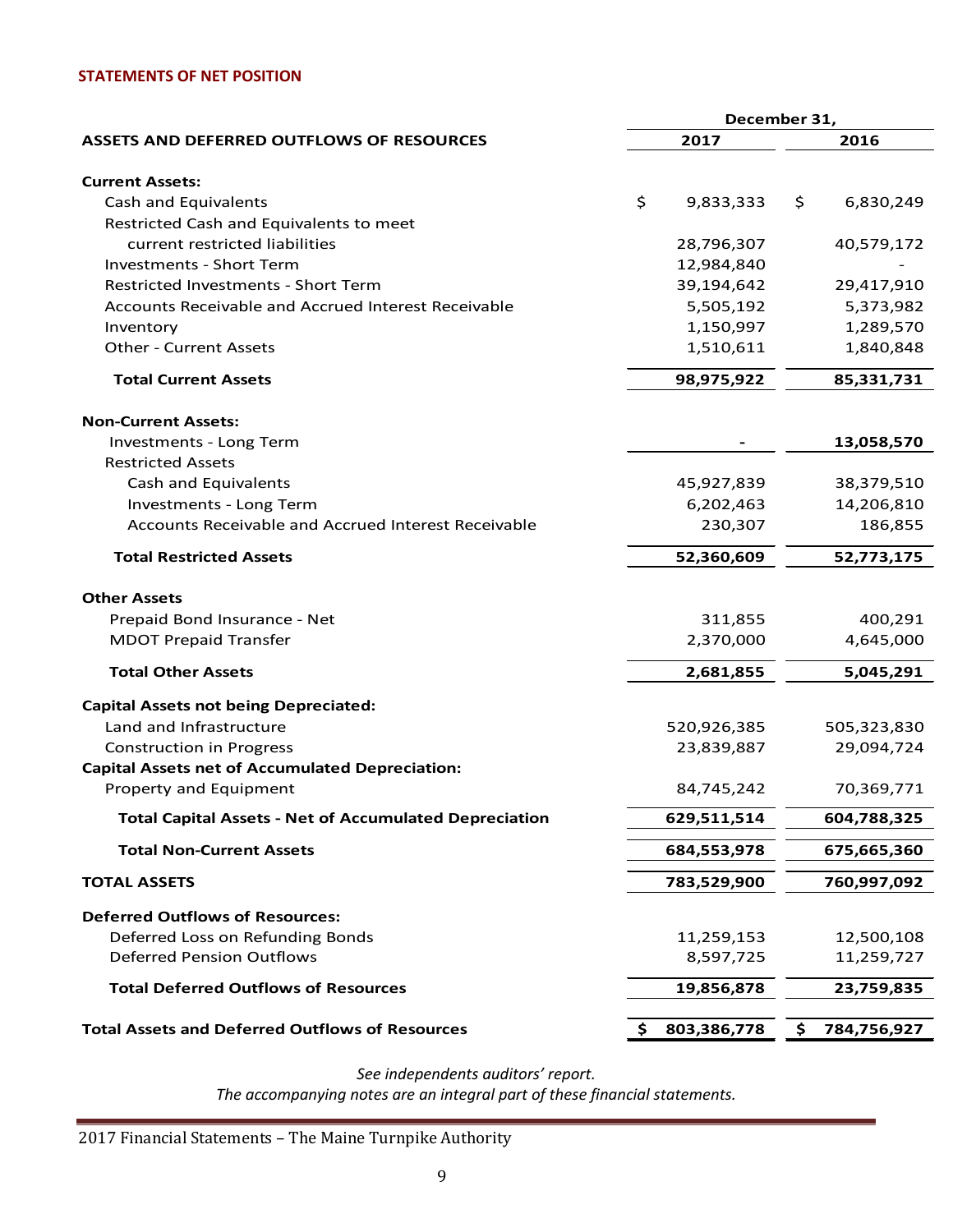#### **STATEMENTS OF NET POSITION**

|                                                               | December 31, |             |    |             |
|---------------------------------------------------------------|--------------|-------------|----|-------------|
| <b>ASSETS AND DEFERRED OUTFLOWS OF RESOURCES</b>              |              | 2017        |    | 2016        |
| <b>Current Assets:</b>                                        |              |             |    |             |
| Cash and Equivalents                                          | \$           | 9,833,333   | \$ | 6,830,249   |
| Restricted Cash and Equivalents to meet                       |              |             |    |             |
| current restricted liabilities                                |              | 28,796,307  |    | 40,579,172  |
| Investments - Short Term                                      |              | 12,984,840  |    |             |
| <b>Restricted Investments - Short Term</b>                    |              | 39,194,642  |    | 29,417,910  |
| Accounts Receivable and Accrued Interest Receivable           |              | 5,505,192   |    | 5,373,982   |
| Inventory                                                     |              | 1,150,997   |    | 1,289,570   |
| <b>Other - Current Assets</b>                                 |              | 1,510,611   |    | 1,840,848   |
| <b>Total Current Assets</b>                                   |              | 98,975,922  |    | 85,331,731  |
| <b>Non-Current Assets:</b>                                    |              |             |    |             |
| Investments - Long Term                                       |              |             |    | 13,058,570  |
| <b>Restricted Assets</b>                                      |              |             |    |             |
| Cash and Equivalents                                          |              | 45,927,839  |    | 38,379,510  |
| Investments - Long Term                                       |              | 6,202,463   |    | 14,206,810  |
| Accounts Receivable and Accrued Interest Receivable           |              | 230,307     |    | 186,855     |
| <b>Total Restricted Assets</b>                                |              | 52,360,609  |    | 52,773,175  |
| <b>Other Assets</b>                                           |              |             |    |             |
| Prepaid Bond Insurance - Net                                  |              | 311,855     |    | 400,291     |
| <b>MDOT Prepaid Transfer</b>                                  |              | 2,370,000   |    | 4,645,000   |
| <b>Total Other Assets</b>                                     |              | 2,681,855   |    | 5,045,291   |
| <b>Capital Assets not being Depreciated:</b>                  |              |             |    |             |
| Land and Infrastructure                                       |              | 520,926,385 |    | 505,323,830 |
| <b>Construction in Progress</b>                               |              | 23,839,887  |    | 29,094,724  |
| <b>Capital Assets net of Accumulated Depreciation:</b>        |              |             |    |             |
| Property and Equipment                                        |              | 84,745,242  |    | 70,369,771  |
| <b>Total Capital Assets - Net of Accumulated Depreciation</b> |              | 629,511,514 |    | 604,788,325 |
| <b>Total Non-Current Assets</b>                               |              | 684,553,978 |    | 675,665,360 |
| <b>TOTAL ASSETS</b>                                           |              | 783,529,900 |    | 760,997,092 |
| <b>Deferred Outflows of Resources:</b>                        |              |             |    |             |
| Deferred Loss on Refunding Bonds                              |              | 11,259,153  |    | 12,500,108  |
| <b>Deferred Pension Outflows</b>                              |              | 8,597,725   |    | 11,259,727  |
| <b>Total Deferred Outflows of Resources</b>                   |              | 19,856,878  |    | 23,759,835  |
| <b>Total Assets and Deferred Outflows of Resources</b>        | S            | 803,386,778 | \$ | 784,756,927 |
|                                                               |              |             |    |             |

*See independents auditors' report.*

*The accompanying notes are an integral part of these financial statements.*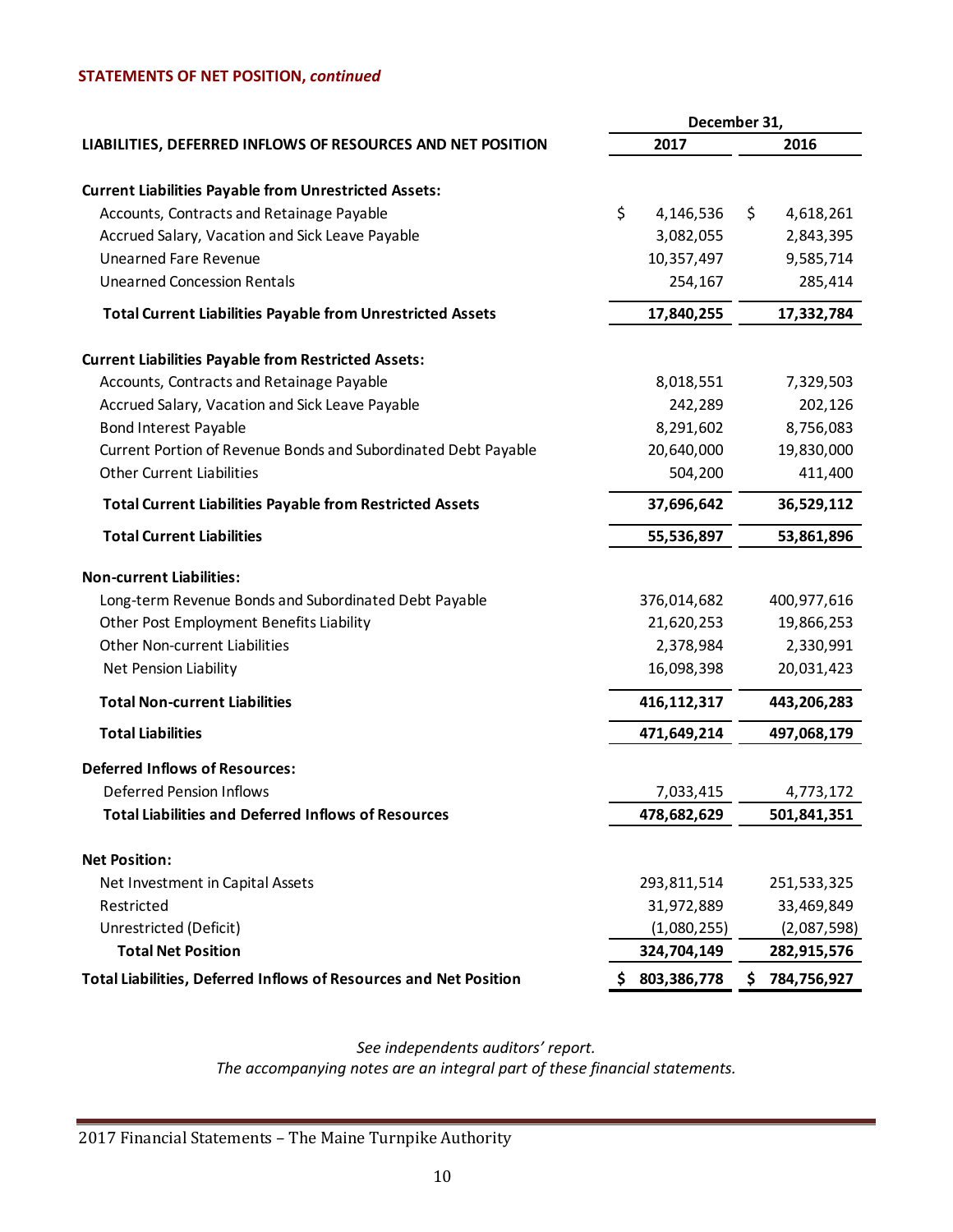### **STATEMENTS OF NET POSITION,** *continued*

|                                                                                              | December 31, |               |    |                        |
|----------------------------------------------------------------------------------------------|--------------|---------------|----|------------------------|
| LIABILITIES, DEFERRED INFLOWS OF RESOURCES AND NET POSITION                                  |              | 2017          |    | 2016                   |
| <b>Current Liabilities Payable from Unrestricted Assets:</b>                                 |              |               |    |                        |
|                                                                                              | \$           | 4,146,536     |    |                        |
| Accounts, Contracts and Retainage Payable<br>Accrued Salary, Vacation and Sick Leave Payable |              | 3,082,055     | \$ | 4,618,261<br>2,843,395 |
| <b>Unearned Fare Revenue</b>                                                                 |              | 10,357,497    |    | 9,585,714              |
| <b>Unearned Concession Rentals</b>                                                           |              |               |    | 285,414                |
|                                                                                              |              | 254,167       |    |                        |
| <b>Total Current Liabilities Payable from Unrestricted Assets</b>                            |              | 17,840,255    |    | 17,332,784             |
| <b>Current Liabilities Payable from Restricted Assets:</b>                                   |              |               |    |                        |
| Accounts, Contracts and Retainage Payable                                                    |              | 8,018,551     |    | 7,329,503              |
| Accrued Salary, Vacation and Sick Leave Payable                                              |              | 242,289       |    | 202,126                |
| <b>Bond Interest Payable</b>                                                                 |              | 8,291,602     |    | 8,756,083              |
| Current Portion of Revenue Bonds and Subordinated Debt Payable                               |              | 20,640,000    |    | 19,830,000             |
| <b>Other Current Liabilities</b>                                                             |              | 504,200       |    | 411,400                |
| <b>Total Current Liabilities Payable from Restricted Assets</b>                              |              | 37,696,642    |    | 36,529,112             |
| <b>Total Current Liabilities</b>                                                             |              | 55,536,897    |    | 53,861,896             |
| <b>Non-current Liabilities:</b>                                                              |              |               |    |                        |
| Long-term Revenue Bonds and Subordinated Debt Payable                                        |              | 376,014,682   |    | 400,977,616            |
| Other Post Employment Benefits Liability                                                     |              | 21,620,253    |    | 19,866,253             |
| Other Non-current Liabilities                                                                |              | 2,378,984     |    | 2,330,991              |
| Net Pension Liability                                                                        |              | 16,098,398    |    | 20,031,423             |
| <b>Total Non-current Liabilities</b>                                                         |              | 416, 112, 317 |    | 443,206,283            |
| <b>Total Liabilities</b>                                                                     |              | 471,649,214   |    | 497,068,179            |
| <b>Deferred Inflows of Resources:</b>                                                        |              |               |    |                        |
| <b>Deferred Pension Inflows</b>                                                              |              | 7,033,415     |    | 4,773,172              |
| <b>Total Liabilities and Deferred Inflows of Resources</b>                                   |              | 478,682,629   |    | 501,841,351            |
| <b>Net Position:</b>                                                                         |              |               |    |                        |
| Net Investment in Capital Assets                                                             |              | 293,811,514   |    | 251,533,325            |
| Restricted                                                                                   |              | 31,972,889    |    | 33,469,849             |
| Unrestricted (Deficit)                                                                       |              | (1,080,255)   |    | (2,087,598)            |
| <b>Total Net Position</b>                                                                    |              | 324,704,149   |    | 282,915,576            |
| Total Liabilities, Deferred Inflows of Resources and Net Position                            |              | \$803,386,778 |    | \$784,756,927          |

*See independents auditors' report.*

*The accompanying notes are an integral part of these financial statements.*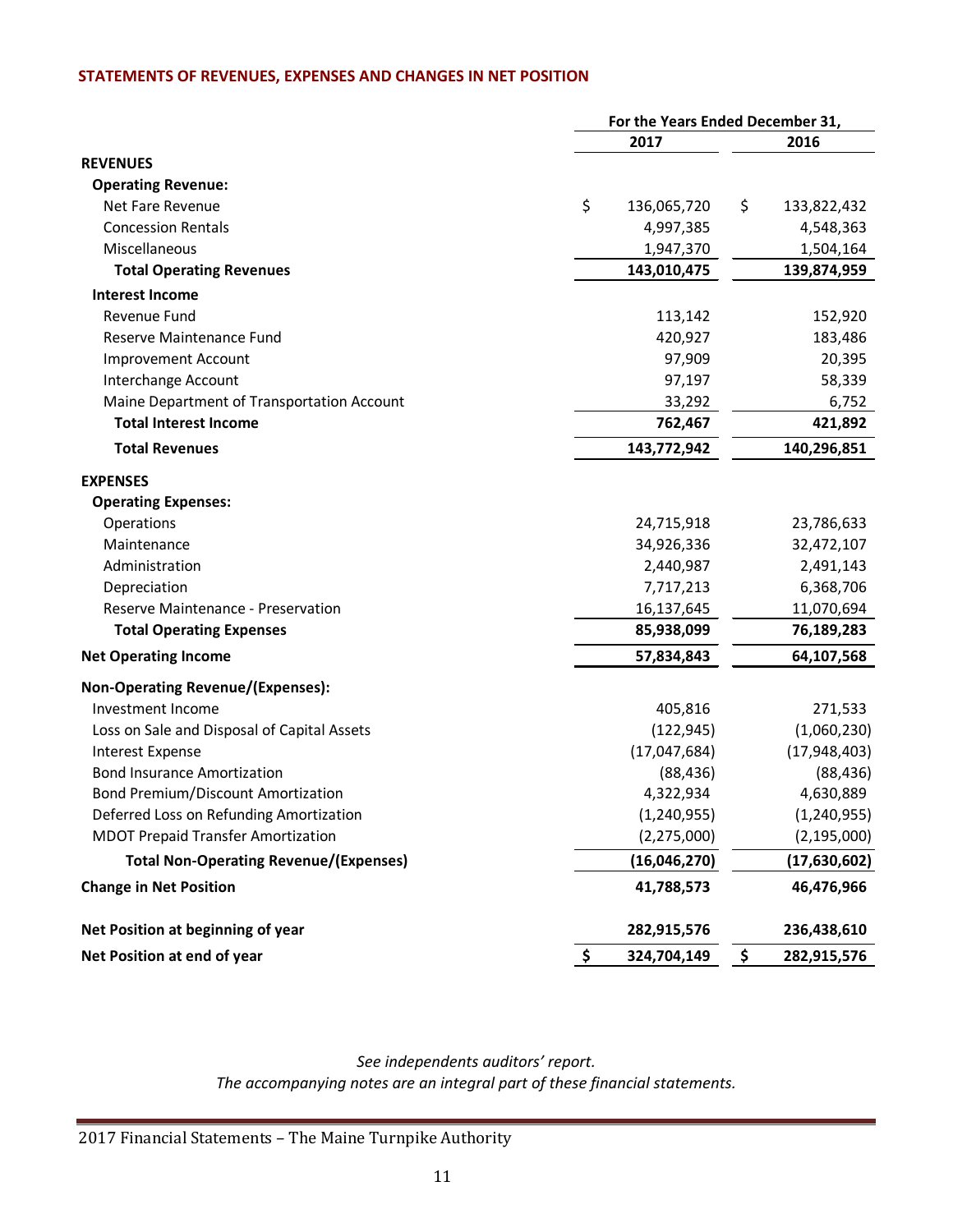### **STATEMENTS OF REVENUES, EXPENSES AND CHANGES IN NET POSITION**

|                                               | For the Years Ended December 31, |               |      |                |  |
|-----------------------------------------------|----------------------------------|---------------|------|----------------|--|
|                                               |                                  | 2017          | 2016 |                |  |
| <b>REVENUES</b>                               |                                  |               |      |                |  |
| <b>Operating Revenue:</b>                     |                                  |               |      |                |  |
| Net Fare Revenue                              | \$                               | 136,065,720   | \$   | 133,822,432    |  |
| <b>Concession Rentals</b>                     |                                  | 4,997,385     |      | 4,548,363      |  |
| Miscellaneous                                 |                                  | 1,947,370     |      | 1,504,164      |  |
| <b>Total Operating Revenues</b>               |                                  | 143,010,475   |      | 139,874,959    |  |
| <b>Interest Income</b>                        |                                  |               |      |                |  |
| Revenue Fund                                  |                                  | 113,142       |      | 152,920        |  |
| Reserve Maintenance Fund                      |                                  | 420,927       |      | 183,486        |  |
| <b>Improvement Account</b>                    |                                  | 97,909        |      | 20,395         |  |
| Interchange Account                           |                                  | 97,197        |      | 58,339         |  |
| Maine Department of Transportation Account    |                                  | 33,292        |      | 6,752          |  |
| <b>Total Interest Income</b>                  |                                  | 762,467       |      | 421,892        |  |
| <b>Total Revenues</b>                         |                                  | 143,772,942   |      |                |  |
| <b>EXPENSES</b>                               |                                  |               |      |                |  |
| <b>Operating Expenses:</b>                    |                                  |               |      |                |  |
| Operations                                    |                                  | 24,715,918    |      | 23,786,633     |  |
| Maintenance                                   |                                  | 34,926,336    |      | 32,472,107     |  |
| Administration                                |                                  | 2,440,987     |      | 2,491,143      |  |
| Depreciation                                  |                                  | 7,717,213     |      | 6,368,706      |  |
| Reserve Maintenance - Preservation            |                                  | 16,137,645    |      | 11,070,694     |  |
| <b>Total Operating Expenses</b>               |                                  | 85,938,099    |      | 76,189,283     |  |
| <b>Net Operating Income</b>                   |                                  | 57,834,843    |      | 64,107,568     |  |
| <b>Non-Operating Revenue/(Expenses):</b>      |                                  |               |      |                |  |
| Investment Income                             |                                  | 405,816       |      | 271,533        |  |
| Loss on Sale and Disposal of Capital Assets   |                                  | (122, 945)    |      | (1,060,230)    |  |
| <b>Interest Expense</b>                       |                                  | (17,047,684)  |      | (17, 948, 403) |  |
| <b>Bond Insurance Amortization</b>            |                                  | (88, 436)     |      | (88, 436)      |  |
| <b>Bond Premium/Discount Amortization</b>     |                                  | 4,322,934     |      | 4,630,889      |  |
| Deferred Loss on Refunding Amortization       |                                  | (1, 240, 955) |      | (1, 240, 955)  |  |
| <b>MDOT Prepaid Transfer Amortization</b>     |                                  | (2, 275, 000) |      | (2, 195, 000)  |  |
| <b>Total Non-Operating Revenue/(Expenses)</b> |                                  | (16,046,270)  |      | (17,630,602)   |  |
| <b>Change in Net Position</b>                 |                                  | 41,788,573    |      | 46,476,966     |  |
| Net Position at beginning of year             |                                  | 282,915,576   |      | 236,438,610    |  |
| Net Position at end of year                   | \$                               | 324,704,149   | \$   | 282,915,576    |  |

*See independents auditors' report. The accompanying notes are an integral part of these financial statements.*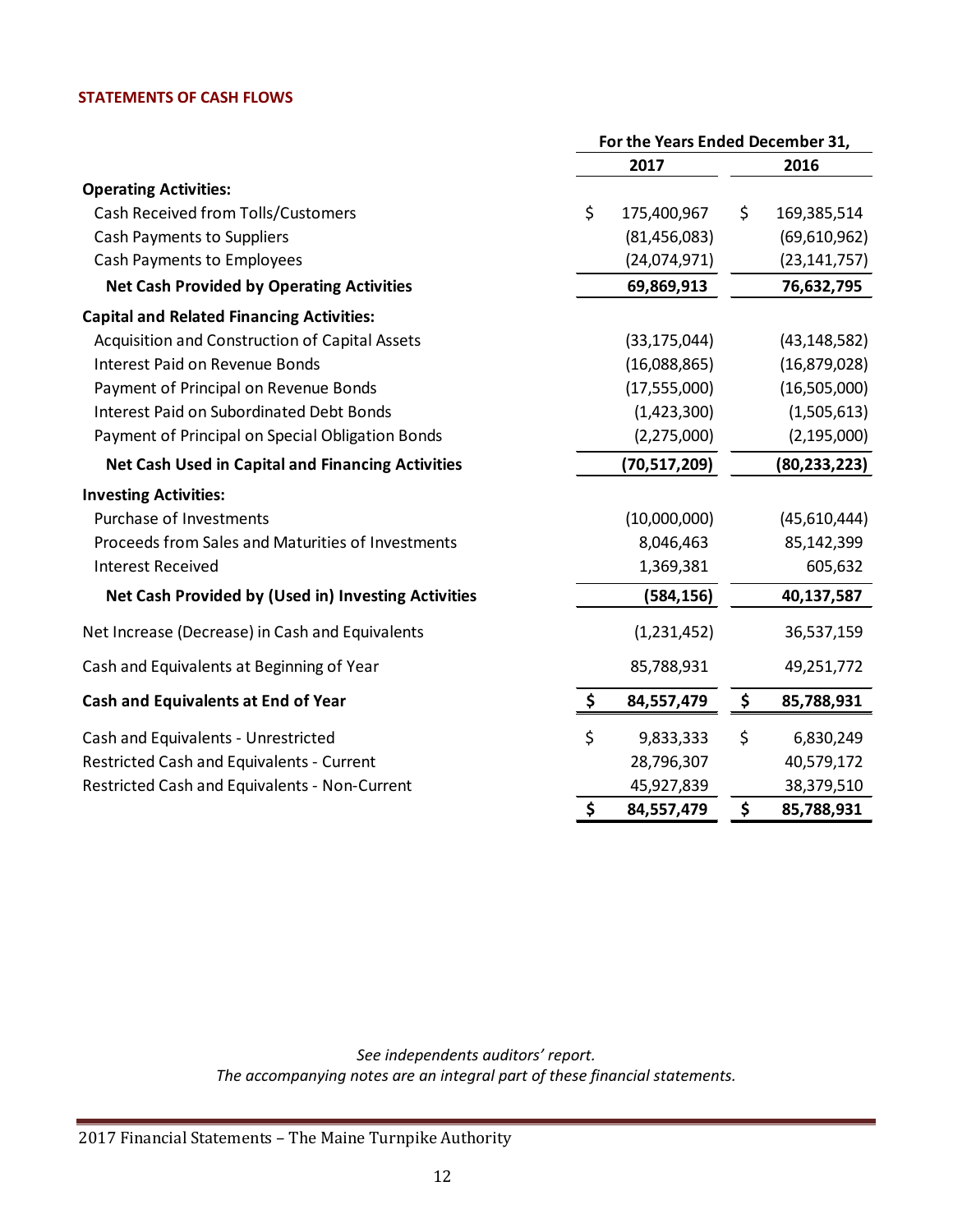### **STATEMENTS OF CASH FLOWS**

|                                                     | For the Years Ended December 31, |                |    |                |
|-----------------------------------------------------|----------------------------------|----------------|----|----------------|
|                                                     |                                  | 2017           |    | 2016           |
| <b>Operating Activities:</b>                        |                                  |                |    |                |
| Cash Received from Tolls/Customers                  | \$                               | 175,400,967    | \$ | 169,385,514    |
| <b>Cash Payments to Suppliers</b>                   |                                  | (81, 456, 083) |    | (69,610,962)   |
| Cash Payments to Employees                          |                                  | (24,074,971)   |    | (23, 141, 757) |
| <b>Net Cash Provided by Operating Activities</b>    |                                  | 69,869,913     |    | 76,632,795     |
| <b>Capital and Related Financing Activities:</b>    |                                  |                |    |                |
| Acquisition and Construction of Capital Assets      |                                  | (33, 175, 044) |    | (43, 148, 582) |
| <b>Interest Paid on Revenue Bonds</b>               |                                  | (16,088,865)   |    | (16, 879, 028) |
| Payment of Principal on Revenue Bonds               |                                  | (17, 555, 000) |    | (16,505,000)   |
| <b>Interest Paid on Subordinated Debt Bonds</b>     |                                  | (1,423,300)    |    | (1,505,613)    |
| Payment of Principal on Special Obligation Bonds    |                                  | (2, 275, 000)  |    | (2, 195, 000)  |
| Net Cash Used in Capital and Financing Activities   |                                  | (70, 517, 209) |    | (80, 233, 223) |
| <b>Investing Activities:</b>                        |                                  |                |    |                |
| Purchase of Investments                             |                                  | (10,000,000)   |    | (45,610,444)   |
| Proceeds from Sales and Maturities of Investments   |                                  | 8,046,463      |    | 85,142,399     |
| <b>Interest Received</b>                            |                                  | 1,369,381      |    | 605,632        |
| Net Cash Provided by (Used in) Investing Activities |                                  | (584,156)      |    | 40,137,587     |
| Net Increase (Decrease) in Cash and Equivalents     |                                  | (1, 231, 452)  |    | 36,537,159     |
| Cash and Equivalents at Beginning of Year           |                                  | 85,788,931     |    | 49,251,772     |
| Cash and Equivalents at End of Year                 | \$                               | 84,557,479     | \$ | 85,788,931     |
| Cash and Equivalents - Unrestricted                 | \$                               | 9,833,333      | \$ | 6,830,249      |
| <b>Restricted Cash and Equivalents - Current</b>    |                                  | 28,796,307     |    | 40,579,172     |
| Restricted Cash and Equivalents - Non-Current       |                                  | 45,927,839     |    | 38,379,510     |
|                                                     | \$                               | 84,557,479     | \$ | 85,788,931     |

*See independents auditors' report. The accompanying notes are an integral part of these financial statements.*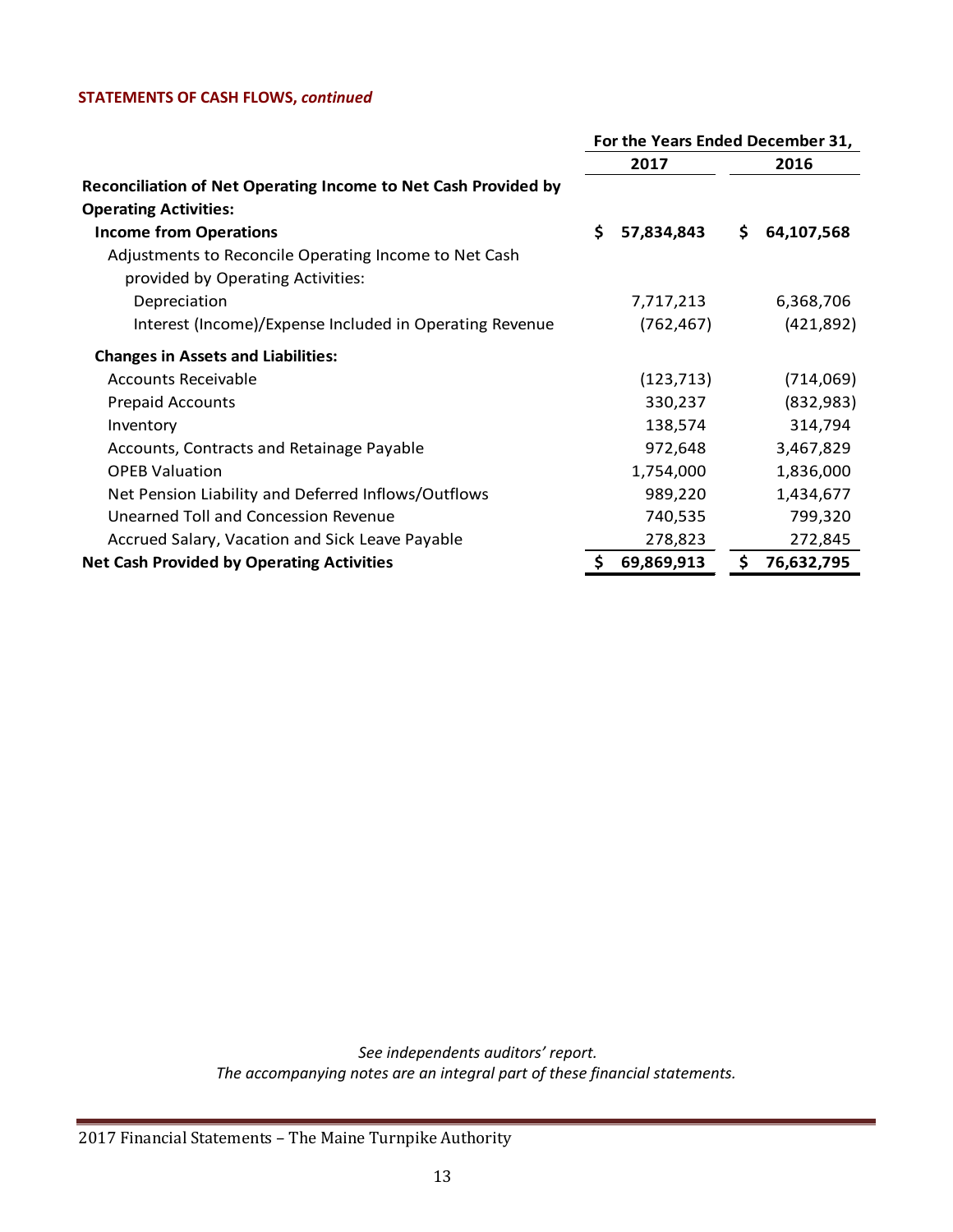## **STATEMENTS OF CASH FLOWS,** *continued*

|                                                                                            | For the Years Ended December 31, |            |    |            |
|--------------------------------------------------------------------------------------------|----------------------------------|------------|----|------------|
|                                                                                            |                                  | 2017       |    | 2016       |
| Reconciliation of Net Operating Income to Net Cash Provided by                             |                                  |            |    |            |
| <b>Operating Activities:</b>                                                               |                                  |            |    |            |
| <b>Income from Operations</b>                                                              | \$                               | 57,834,843 | \$ | 64,107,568 |
| Adjustments to Reconcile Operating Income to Net Cash<br>provided by Operating Activities: |                                  |            |    |            |
| Depreciation                                                                               |                                  | 7,717,213  |    | 6,368,706  |
| Interest (Income)/Expense Included in Operating Revenue                                    |                                  | (762, 467) |    | (421,892)  |
| <b>Changes in Assets and Liabilities:</b>                                                  |                                  |            |    |            |
| <b>Accounts Receivable</b>                                                                 |                                  | (123, 713) |    | (714,069)  |
| <b>Prepaid Accounts</b>                                                                    |                                  | 330,237    |    | (832, 983) |
| Inventory                                                                                  |                                  | 138,574    |    | 314,794    |
| Accounts, Contracts and Retainage Payable                                                  |                                  | 972,648    |    | 3,467,829  |
| <b>OPEB Valuation</b>                                                                      |                                  | 1,754,000  |    | 1,836,000  |
| Net Pension Liability and Deferred Inflows/Outflows                                        |                                  | 989,220    |    | 1,434,677  |
| Unearned Toll and Concession Revenue                                                       |                                  | 740,535    |    | 799,320    |
| Accrued Salary, Vacation and Sick Leave Payable                                            |                                  | 278,823    |    | 272,845    |
| <b>Net Cash Provided by Operating Activities</b>                                           | \$                               | 69,869,913 | \$ | 76,632,795 |

*See independents auditors' report. The accompanying notes are an integral part of these financial statements.*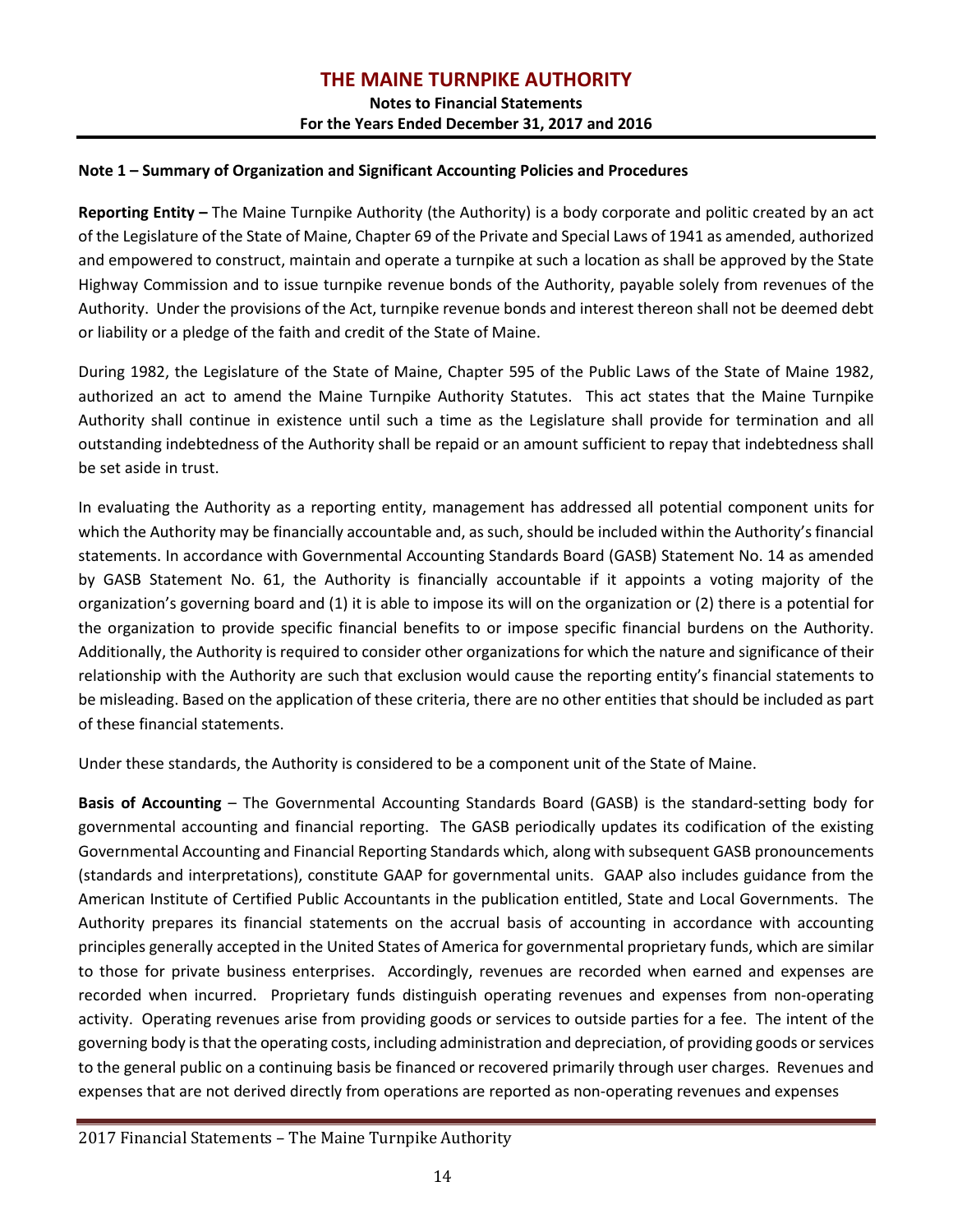**Notes to Financial Statements For the Years Ended December 31, 2017 and 2016**

### **Note 1 – Summary of Organization and Significant Accounting Policies and Procedures**

**Reporting Entity –** The Maine Turnpike Authority (the Authority) is a body corporate and politic created by an act of the Legislature of the State of Maine, Chapter 69 of the Private and Special Laws of 1941 as amended, authorized and empowered to construct, maintain and operate a turnpike at such a location as shall be approved by the State Highway Commission and to issue turnpike revenue bonds of the Authority, payable solely from revenues of the Authority. Under the provisions of the Act, turnpike revenue bonds and interest thereon shall not be deemed debt or liability or a pledge of the faith and credit of the State of Maine.

During 1982, the Legislature of the State of Maine, Chapter 595 of the Public Laws of the State of Maine 1982, authorized an act to amend the Maine Turnpike Authority Statutes. This act states that the Maine Turnpike Authority shall continue in existence until such a time as the Legislature shall provide for termination and all outstanding indebtedness of the Authority shall be repaid or an amount sufficient to repay that indebtedness shall be set aside in trust.

In evaluating the Authority as a reporting entity, management has addressed all potential component units for which the Authority may be financially accountable and, as such, should be included within the Authority's financial statements. In accordance with Governmental Accounting Standards Board (GASB) Statement No. 14 as amended by GASB Statement No. 61, the Authority is financially accountable if it appoints a voting majority of the organization's governing board and (1) it is able to impose its will on the organization or (2) there is a potential for the organization to provide specific financial benefits to or impose specific financial burdens on the Authority. Additionally, the Authority is required to consider other organizations for which the nature and significance of their relationship with the Authority are such that exclusion would cause the reporting entity's financial statements to be misleading. Based on the application of these criteria, there are no other entities that should be included as part of these financial statements.

Under these standards, the Authority is considered to be a component unit of the State of Maine.

**Basis of Accounting** – The Governmental Accounting Standards Board (GASB) is the standard-setting body for governmental accounting and financial reporting. The GASB periodically updates its codification of the existing Governmental Accounting and Financial Reporting Standards which, along with subsequent GASB pronouncements (standards and interpretations), constitute GAAP for governmental units. GAAP also includes guidance from the American Institute of Certified Public Accountants in the publication entitled, State and Local Governments. The Authority prepares its financial statements on the accrual basis of accounting in accordance with accounting principles generally accepted in the United States of America for governmental proprietary funds, which are similar to those for private business enterprises. Accordingly, revenues are recorded when earned and expenses are recorded when incurred. Proprietary funds distinguish operating revenues and expenses from non-operating activity. Operating revenues arise from providing goods or services to outside parties for a fee. The intent of the governing body is that the operating costs, including administration and depreciation, of providing goods or services to the general public on a continuing basis be financed or recovered primarily through user charges. Revenues and expenses that are not derived directly from operations are reported as non-operating revenues and expenses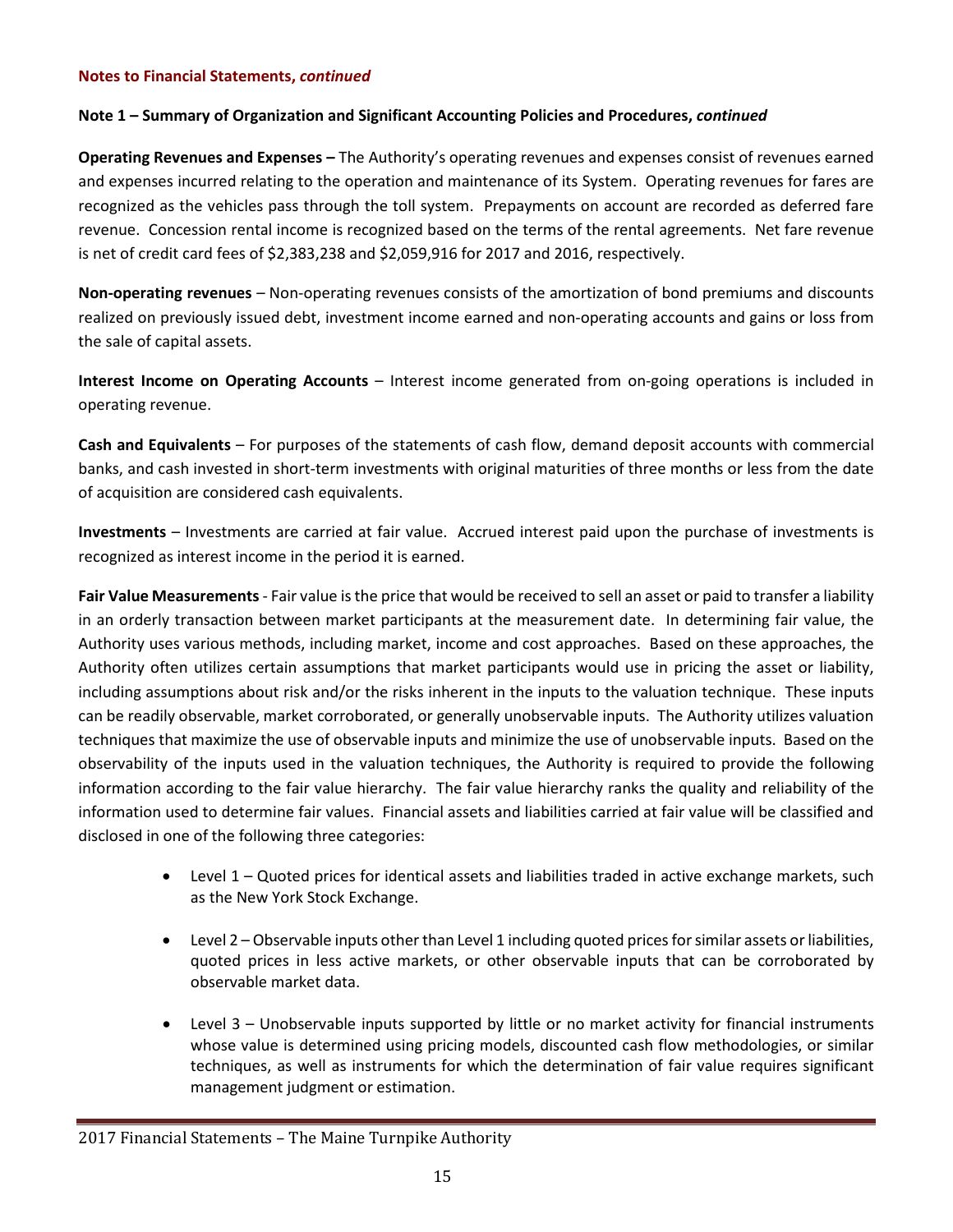### **Note 1 – Summary of Organization and Significant Accounting Policies and Procedures,** *continued*

**Operating Revenues and Expenses –** The Authority's operating revenues and expenses consist of revenues earned and expenses incurred relating to the operation and maintenance of its System. Operating revenues for fares are recognized as the vehicles pass through the toll system. Prepayments on account are recorded as deferred fare revenue. Concession rental income is recognized based on the terms of the rental agreements. Net fare revenue is net of credit card fees of \$2,383,238 and \$2,059,916 for 2017 and 2016, respectively.

**Non-operating revenues** – Non-operating revenues consists of the amortization of bond premiums and discounts realized on previously issued debt, investment income earned and non-operating accounts and gains or loss from the sale of capital assets.

**Interest Income on Operating Accounts** – Interest income generated from on-going operations is included in operating revenue.

**Cash and Equivalents** – For purposes of the statements of cash flow, demand deposit accounts with commercial banks, and cash invested in short-term investments with original maturities of three months or less from the date of acquisition are considered cash equivalents.

**Investments** – Investments are carried at fair value. Accrued interest paid upon the purchase of investments is recognized as interest income in the period it is earned.

**Fair Value Measurements** - Fair value is the price that would be received to sell an asset or paid to transfer a liability in an orderly transaction between market participants at the measurement date. In determining fair value, the Authority uses various methods, including market, income and cost approaches. Based on these approaches, the Authority often utilizes certain assumptions that market participants would use in pricing the asset or liability, including assumptions about risk and/or the risks inherent in the inputs to the valuation technique. These inputs can be readily observable, market corroborated, or generally unobservable inputs. The Authority utilizes valuation techniques that maximize the use of observable inputs and minimize the use of unobservable inputs. Based on the observability of the inputs used in the valuation techniques, the Authority is required to provide the following information according to the fair value hierarchy. The fair value hierarchy ranks the quality and reliability of the information used to determine fair values. Financial assets and liabilities carried at fair value will be classified and disclosed in one of the following three categories:

- Level 1 Quoted prices for identical assets and liabilities traded in active exchange markets, such as the New York Stock Exchange.
- Level 2 Observable inputs other than Level 1 including quoted prices for similar assets or liabilities, quoted prices in less active markets, or other observable inputs that can be corroborated by observable market data.
- Level 3 Unobservable inputs supported by little or no market activity for financial instruments whose value is determined using pricing models, discounted cash flow methodologies, or similar techniques, as well as instruments for which the determination of fair value requires significant management judgment or estimation.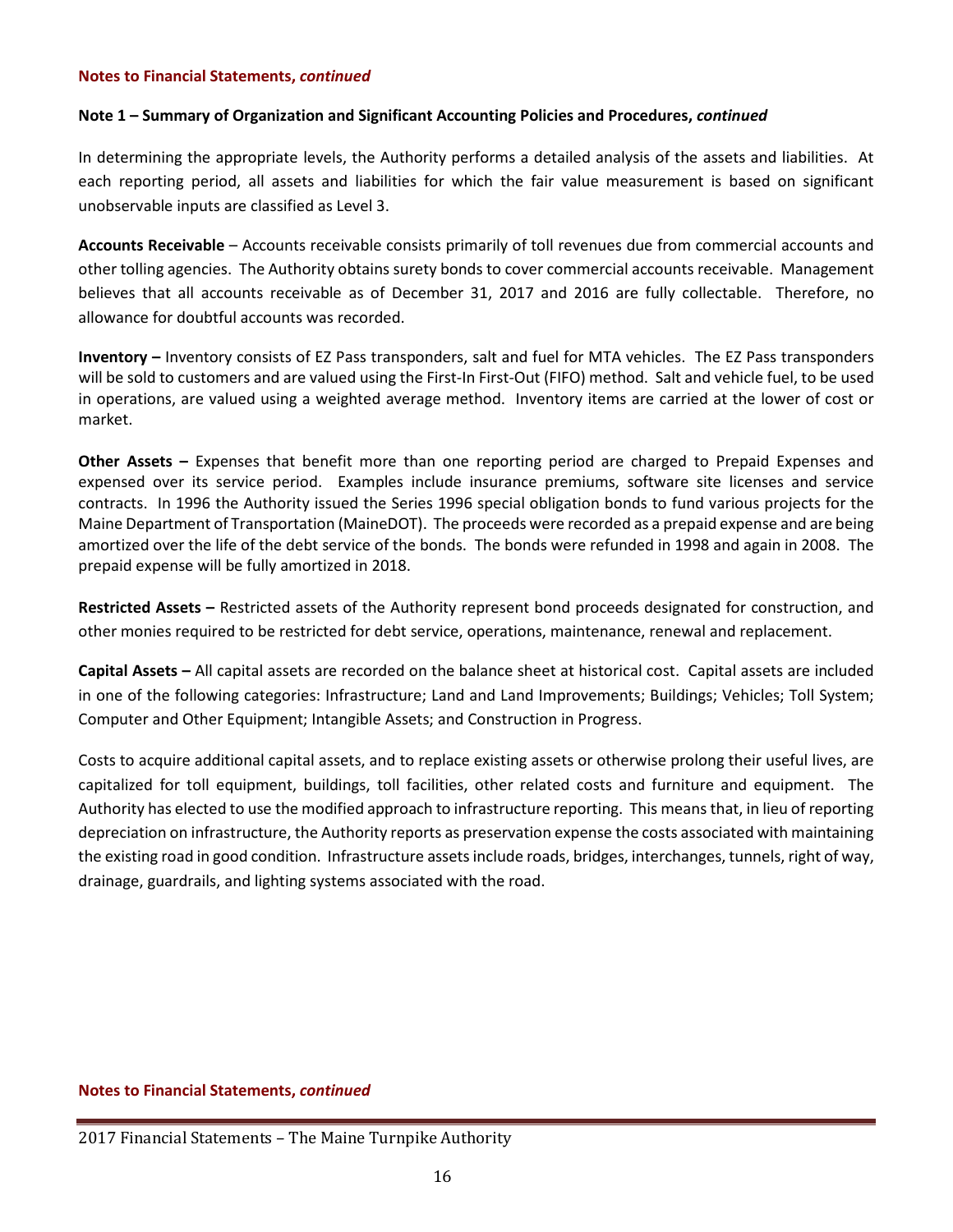### **Note 1 – Summary of Organization and Significant Accounting Policies and Procedures,** *continued*

In determining the appropriate levels, the Authority performs a detailed analysis of the assets and liabilities. At each reporting period, all assets and liabilities for which the fair value measurement is based on significant unobservable inputs are classified as Level 3.

**Accounts Receivable** – Accounts receivable consists primarily of toll revenues due from commercial accounts and other tolling agencies. The Authority obtains surety bonds to cover commercial accounts receivable. Management believes that all accounts receivable as of December 31, 2017 and 2016 are fully collectable. Therefore, no allowance for doubtful accounts was recorded.

**Inventory –** Inventory consists of EZ Pass transponders, salt and fuel for MTA vehicles. The EZ Pass transponders will be sold to customers and are valued using the First-In First-Out (FIFO) method. Salt and vehicle fuel, to be used in operations, are valued using a weighted average method. Inventory items are carried at the lower of cost or market.

**Other Assets –** Expenses that benefit more than one reporting period are charged to Prepaid Expenses and expensed over its service period. Examples include insurance premiums, software site licenses and service contracts. In 1996 the Authority issued the Series 1996 special obligation bonds to fund various projects for the Maine Department of Transportation (MaineDOT). The proceeds were recorded as a prepaid expense and are being amortized over the life of the debt service of the bonds. The bonds were refunded in 1998 and again in 2008. The prepaid expense will be fully amortized in 2018.

**Restricted Assets –** Restricted assets of the Authority represent bond proceeds designated for construction, and other monies required to be restricted for debt service, operations, maintenance, renewal and replacement.

**Capital Assets –** All capital assets are recorded on the balance sheet at historical cost. Capital assets are included in one of the following categories: Infrastructure; Land and Land Improvements; Buildings; Vehicles; Toll System; Computer and Other Equipment; Intangible Assets; and Construction in Progress.

Costs to acquire additional capital assets, and to replace existing assets or otherwise prolong their useful lives, are capitalized for toll equipment, buildings, toll facilities, other related costs and furniture and equipment. The Authority has elected to use the modified approach to infrastructure reporting. This means that, in lieu of reporting depreciation on infrastructure, the Authority reports as preservation expense the costs associated with maintaining the existing road in good condition. Infrastructure assets include roads, bridges, interchanges, tunnels, right of way, drainage, guardrails, and lighting systems associated with the road.

#### **Notes to Financial Statements,** *continued*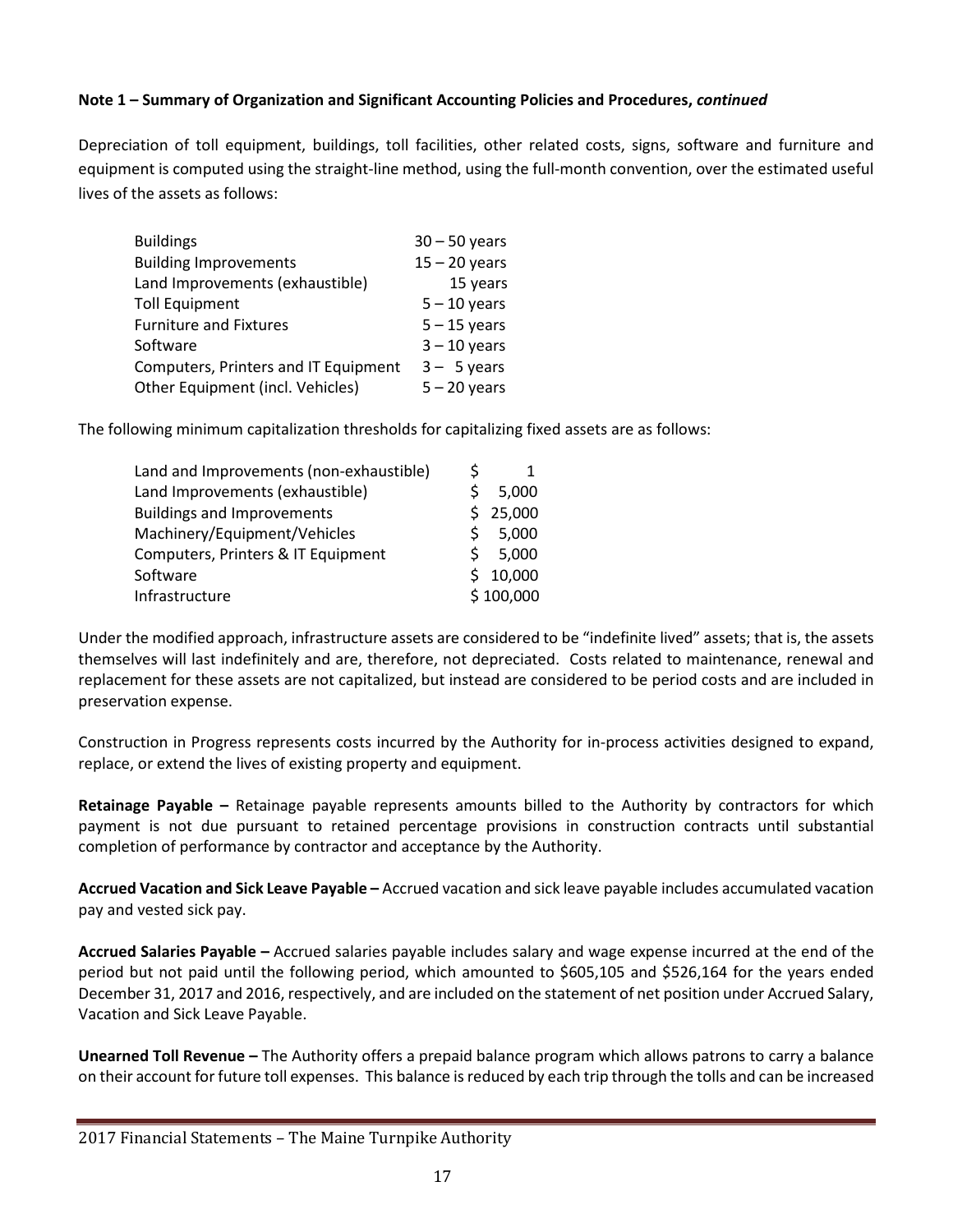### **Note 1 – Summary of Organization and Significant Accounting Policies and Procedures,** *continued*

Depreciation of toll equipment, buildings, toll facilities, other related costs, signs, software and furniture and equipment is computed using the straight-line method, using the full-month convention, over the estimated useful lives of the assets as follows:

| <b>Buildings</b>                     | $30 - 50$ years |
|--------------------------------------|-----------------|
| <b>Building Improvements</b>         | $15 - 20$ years |
| Land Improvements (exhaustible)      | 15 years        |
| <b>Toll Equipment</b>                | $5 - 10$ years  |
| <b>Furniture and Fixtures</b>        | $5 - 15$ years  |
| Software                             | $3 - 10$ years  |
| Computers, Printers and IT Equipment | $3 - 5$ years   |
| Other Equipment (incl. Vehicles)     | $5 - 20$ years  |

The following minimum capitalization thresholds for capitalizing fixed assets are as follows:

| Land and Improvements (non-exhaustible) |         |           |
|-----------------------------------------|---------|-----------|
| Land Improvements (exhaustible)         | Š.      | 5,000     |
| <b>Buildings and Improvements</b>       | Ŝ.      | 25,000    |
| Machinery/Equipment/Vehicles            | S.      | 5,000     |
| Computers, Printers & IT Equipment      | S       | 5,000     |
| Software                                | $\zeta$ | 10,000    |
| Infrastructure                          |         | \$100,000 |

Under the modified approach, infrastructure assets are considered to be "indefinite lived" assets; that is, the assets themselves will last indefinitely and are, therefore, not depreciated. Costs related to maintenance, renewal and replacement for these assets are not capitalized, but instead are considered to be period costs and are included in preservation expense.

Construction in Progress represents costs incurred by the Authority for in-process activities designed to expand, replace, or extend the lives of existing property and equipment.

**Retainage Payable –** Retainage payable represents amounts billed to the Authority by contractors for which payment is not due pursuant to retained percentage provisions in construction contracts until substantial completion of performance by contractor and acceptance by the Authority.

**Accrued Vacation and Sick Leave Payable –** Accrued vacation and sick leave payable includes accumulated vacation pay and vested sick pay.

**Accrued Salaries Payable –** Accrued salaries payable includes salary and wage expense incurred at the end of the period but not paid until the following period, which amounted to \$605,105 and \$526,164 for the years ended December 31, 2017 and 2016, respectively, and are included on the statement of net position under Accrued Salary, Vacation and Sick Leave Payable.

**Unearned Toll Revenue –** The Authority offers a prepaid balance program which allows patrons to carry a balance on their account for future toll expenses. This balance is reduced by each trip through the tolls and can be increased

<sup>2017</sup> Financial Statements – The Maine Turnpike Authority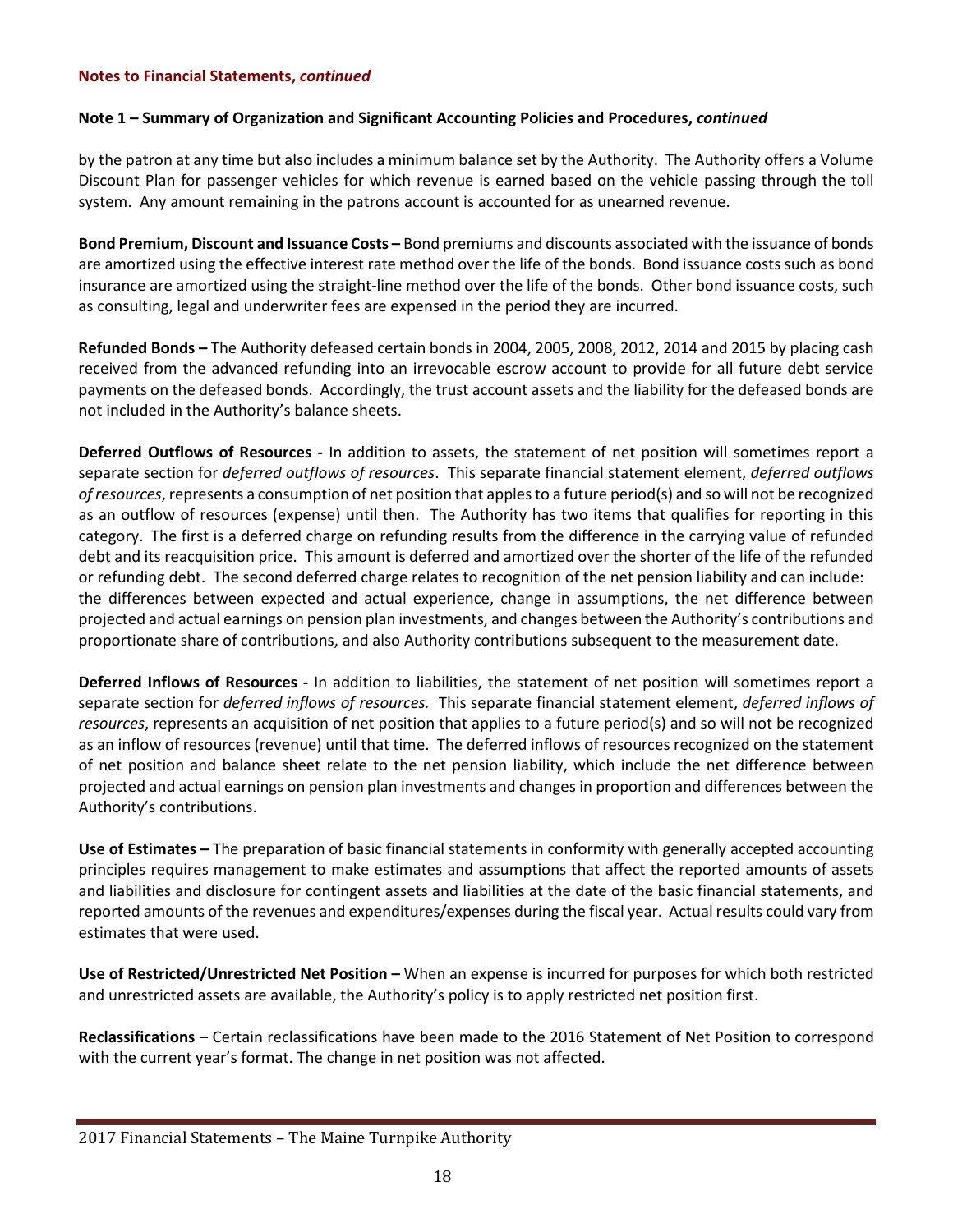### **Note 1 – Summary of Organization and Significant Accounting Policies and Procedures,** *continued*

by the patron at any time but also includes a minimum balance set by the Authority. The Authority offers a Volume Discount Plan for passenger vehicles for which revenue is earned based on the vehicle passing through the toll system. Any amount remaining in the patrons account is accounted for as unearned revenue.

**Bond Premium, Discount and Issuance Costs –** Bond premiums and discounts associated with the issuance of bonds are amortized using the effective interest rate method over the life of the bonds. Bond issuance costs such as bond insurance are amortized using the straight-line method over the life of the bonds. Other bond issuance costs, such as consulting, legal and underwriter fees are expensed in the period they are incurred.

**Refunded Bonds –** The Authority defeased certain bonds in 2004, 2005, 2008, 2012, 2014 and 2015 by placing cash received from the advanced refunding into an irrevocable escrow account to provide for all future debt service payments on the defeased bonds. Accordingly, the trust account assets and the liability for the defeased bonds are not included in the Authority's balance sheets.

**Deferred Outflows of Resources -** In addition to assets, the statement of net position will sometimes report a separate section for *deferred outflows of resources*. This separate financial statement element, *deferred outflows of resources*, represents a consumption of net position that apples to a future period(s) and so will not be recognized as an outflow of resources (expense) until then. The Authority has two items that qualifies for reporting in this category. The first is a deferred charge on refunding results from the difference in the carrying value of refunded debt and its reacquisition price. This amount is deferred and amortized over the shorter of the life of the refunded or refunding debt. The second deferred charge relates to recognition of the net pension liability and can include: the differences between expected and actual experience, change in assumptions, the net difference between projected and actual earnings on pension plan investments, and changes between the Authority's contributions and proportionate share of contributions, and also Authority contributions subsequent to the measurement date.

**Deferred Inflows of Resources -** In addition to liabilities, the statement of net position will sometimes report a separate section for *deferred inflows of resources.* This separate financial statement element, *deferred inflows of resources*, represents an acquisition of net position that applies to a future period(s) and so will not be recognized as an inflow of resources (revenue) until that time. The deferred inflows of resources recognized on the statement of net position and balance sheet relate to the net pension liability, which include the net difference between projected and actual earnings on pension plan investments and changes in proportion and differences between the Authority's contributions.

**Use of Estimates –** The preparation of basic financial statements in conformity with generally accepted accounting principles requires management to make estimates and assumptions that affect the reported amounts of assets and liabilities and disclosure for contingent assets and liabilities at the date of the basic financial statements, and reported amounts of the revenues and expenditures/expenses during the fiscal year. Actual results could vary from estimates that were used.

**Use of Restricted/Unrestricted Net Position –** When an expense is incurred for purposes for which both restricted and unrestricted assets are available, the Authority's policy is to apply restricted net position first.

**Reclassifications** – Certain reclassifications have been made to the 2016 Statement of Net Position to correspond with the current year's format. The change in net position was not affected.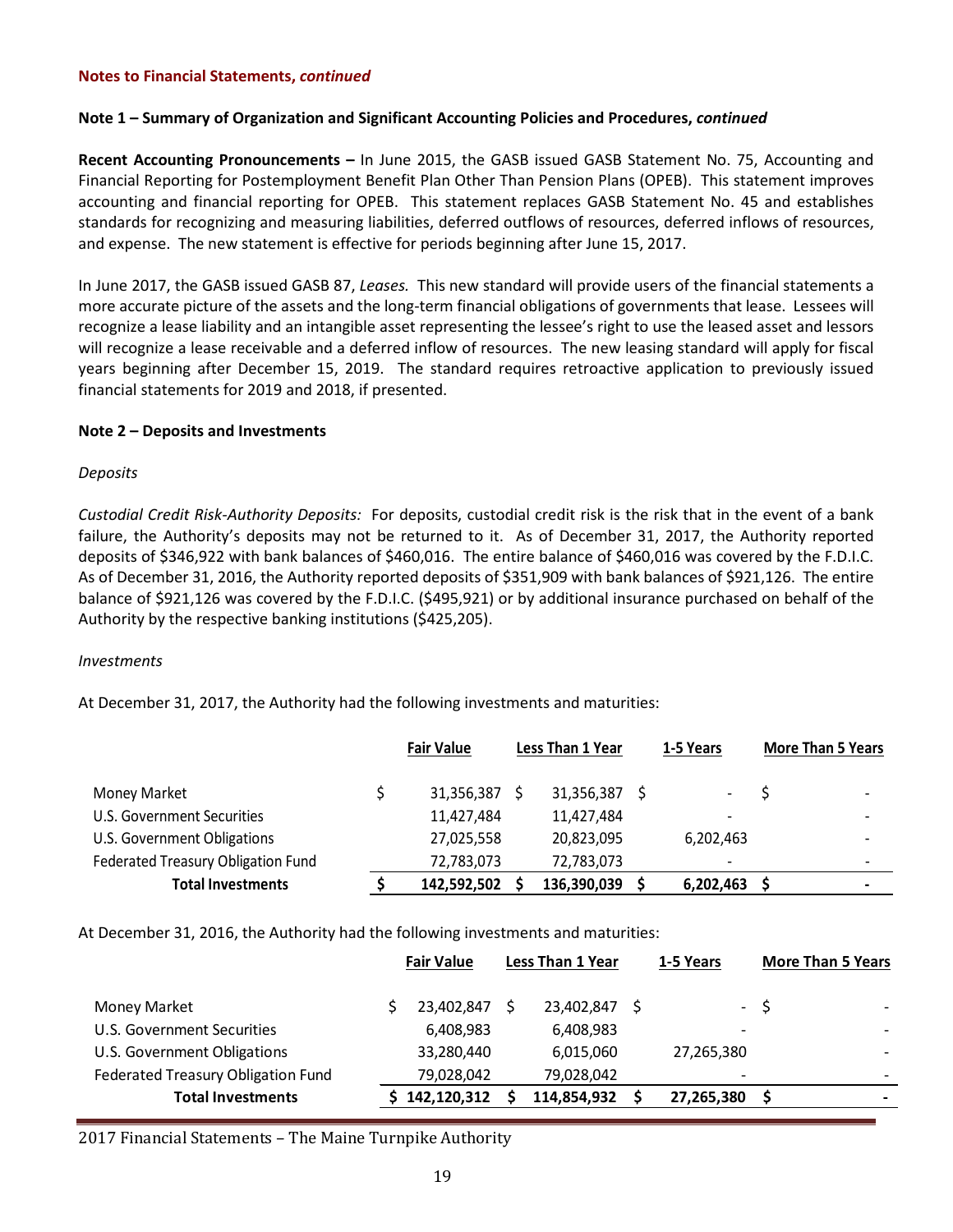#### **Note 1 – Summary of Organization and Significant Accounting Policies and Procedures,** *continued*

**Recent Accounting Pronouncements –** In June 2015, the GASB issued GASB Statement No. 75, Accounting and Financial Reporting for Postemployment Benefit Plan Other Than Pension Plans (OPEB). This statement improves accounting and financial reporting for OPEB. This statement replaces GASB Statement No. 45 and establishes standards for recognizing and measuring liabilities, deferred outflows of resources, deferred inflows of resources, and expense. The new statement is effective for periods beginning after June 15, 2017.

In June 2017, the GASB issued GASB 87, *Leases.* This new standard will provide users of the financial statements a more accurate picture of the assets and the long-term financial obligations of governments that lease. Lessees will recognize a lease liability and an intangible asset representing the lessee's right to use the leased asset and lessors will recognize a lease receivable and a deferred inflow of resources. The new leasing standard will apply for fiscal years beginning after December 15, 2019. The standard requires retroactive application to previously issued financial statements for 2019 and 2018, if presented.

#### **Note 2 – Deposits and Investments**

#### *Deposits*

*Custodial Credit Risk-Authority Deposits:* For deposits, custodial credit risk is the risk that in the event of a bank failure, the Authority's deposits may not be returned to it. As of December 31, 2017, the Authority reported deposits of \$346,922 with bank balances of \$460,016. The entire balance of \$460,016 was covered by the F.D.I.C. As of December 31, 2016, the Authority reported deposits of \$351,909 with bank balances of \$921,126. The entire balance of \$921,126 was covered by the F.D.I.C. (\$495,921) or by additional insurance purchased on behalf of the Authority by the respective banking institutions (\$425,205).

#### *Investments*

At December 31, 2017, the Authority had the following investments and maturities:

|                                    | <b>Fair Value</b> | Less Than 1 Year | 1-5 Years | <b>More Than 5 Years</b> |
|------------------------------------|-------------------|------------------|-----------|--------------------------|
| Money Market                       | 31,356,387        | 31,356,387       | $\sim$    | $\overline{\phantom{0}}$ |
| U.S. Government Securities         | 11,427,484        | 11,427,484       |           | ٠                        |
| U.S. Government Obligations        | 27,025,558        | 20,823,095       | 6,202,463 | $\overline{\phantom{0}}$ |
| Federated Treasury Obligation Fund | 72,783,073        | 72,783,073       |           | $\overline{\phantom{0}}$ |
| <b>Total Investments</b>           | 142,592,502       | 136,390,039      | 6,202,463 | $\overline{\phantom{0}}$ |

At December 31, 2016, the Authority had the following investments and maturities:

|            |                                    |             |                         | 1-5 Years                |                                  |
|------------|------------------------------------|-------------|-------------------------|--------------------------|----------------------------------|
| 23,402,847 |                                    |             |                         |                          |                                  |
| 6,408,983  |                                    | 6,408,983   |                         | $\overline{\phantom{0}}$ |                                  |
| 33,280,440 |                                    | 6,015,060   |                         | 27,265,380               |                                  |
| 79,028,042 |                                    | 79,028,042  |                         |                          |                                  |
|            |                                    | 114,854,932 |                         | 27,265,380               |                                  |
|            | <b>Fair Value</b><br>\$142,120,312 |             | <b>Less Than 1 Year</b> | 23,402,847 \$            | <b>More Than 5 Years</b><br>$-5$ |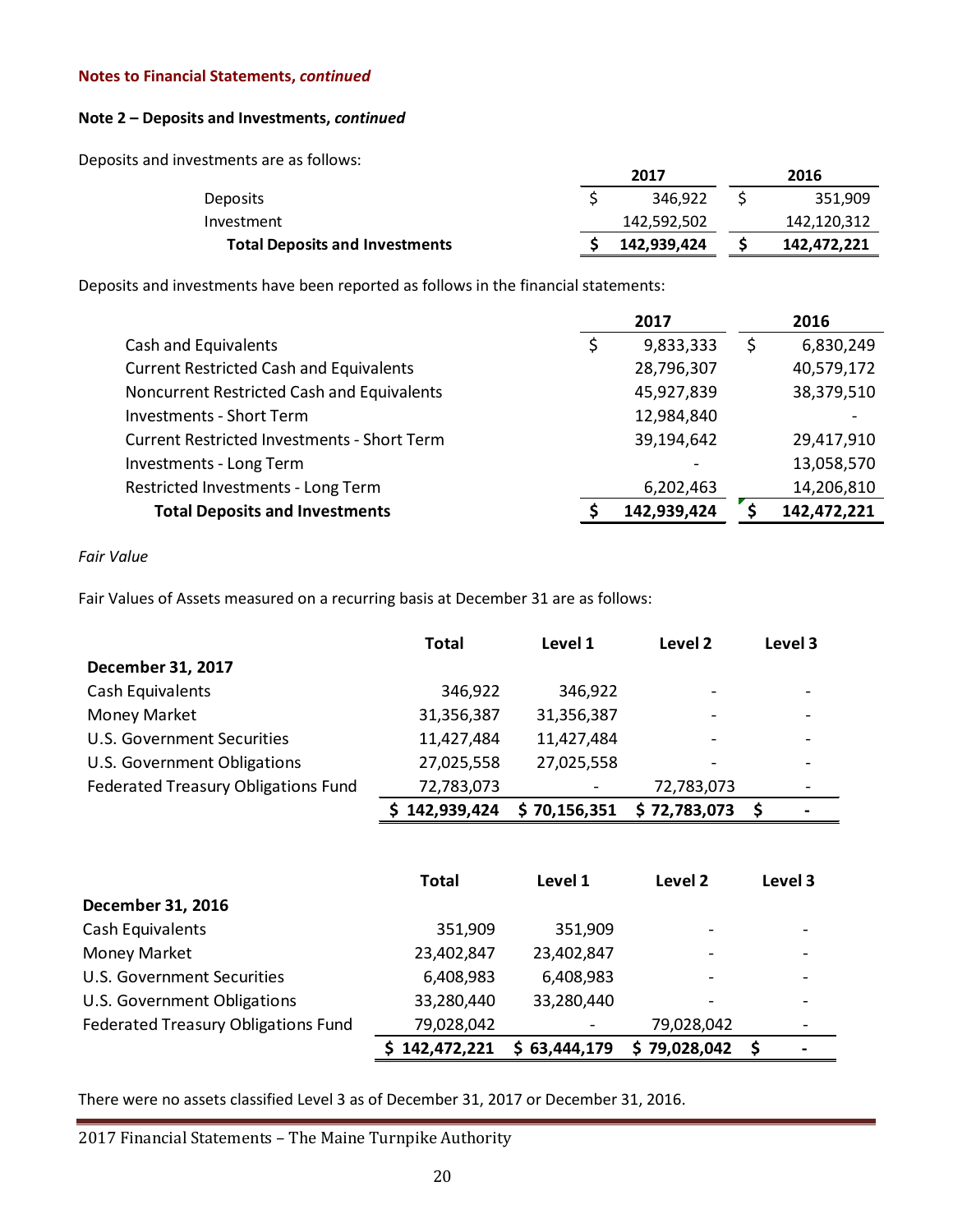### **Note 2 – Deposits and Investments,** *continued*

Deposits and investments are as follows:

|                                       | 2017        | 2016        |
|---------------------------------------|-------------|-------------|
| <b>Deposits</b>                       | 346.922     | 351.909     |
| Investment                            | 142,592,502 | 142,120,312 |
| <b>Total Deposits and Investments</b> | 142,939,424 | 142,472,221 |

Deposits and investments have been reported as follows in the financial statements:

|                                                    | 2017            |   | 2016        |
|----------------------------------------------------|-----------------|---|-------------|
| Cash and Equivalents                               | \$<br>9,833,333 | Ş | 6,830,249   |
| <b>Current Restricted Cash and Equivalents</b>     | 28,796,307      |   | 40,579,172  |
| Noncurrent Restricted Cash and Equivalents         | 45,927,839      |   | 38,379,510  |
| <b>Investments - Short Term</b>                    | 12,984,840      |   |             |
| <b>Current Restricted Investments - Short Term</b> | 39,194,642      |   | 29,417,910  |
| Investments - Long Term                            |                 |   | 13,058,570  |
| Restricted Investments - Long Term                 | 6,202,463       |   | 14,206,810  |
| <b>Total Deposits and Investments</b>              | 142,939,424     |   | 142,472,221 |

### *Fair Value*

Fair Values of Assets measured on a recurring basis at December 31 are as follows:

|                                     | <b>Total</b>  | Level 1      | Level 2                  | Level 3                      |
|-------------------------------------|---------------|--------------|--------------------------|------------------------------|
| December 31, 2017                   |               |              |                          |                              |
| Cash Equivalents                    | 346,922       | 346,922      |                          |                              |
| <b>Money Market</b>                 | 31,356,387    | 31,356,387   | $\overline{\phantom{0}}$ | $\overline{\phantom{0}}$     |
| <b>U.S. Government Securities</b>   | 11,427,484    | 11,427,484   | -                        |                              |
| U.S. Government Obligations         | 27,025,558    | 27,025,558   | -                        |                              |
| Federated Treasury Obligations Fund | 72,783,073    |              | 72,783,073               | $\qquad \qquad \blacksquare$ |
|                                     | \$142,939,424 | \$70,156,351 | \$72,783,073             | $\overline{\phantom{a}}$     |

|                                     | <b>Total</b>  | Level 1      | Level 2                  | Level 3 |
|-------------------------------------|---------------|--------------|--------------------------|---------|
| December 31, 2016                   |               |              |                          |         |
| Cash Equivalents                    | 351,909       | 351,909      | $\overline{\phantom{a}}$ |         |
| <b>Money Market</b>                 | 23,402,847    | 23,402,847   | $\overline{\phantom{a}}$ |         |
| <b>U.S. Government Securities</b>   | 6,408,983     | 6,408,983    | $\overline{\phantom{a}}$ |         |
| U.S. Government Obligations         | 33,280,440    | 33,280,440   | ۰                        |         |
| Federated Treasury Obligations Fund | 79,028,042    |              | 79,028,042               |         |
|                                     | \$142,472,221 | \$63,444,179 | \$79,028,042             |         |

There were no assets classified Level 3 as of December 31, 2017 or December 31, 2016.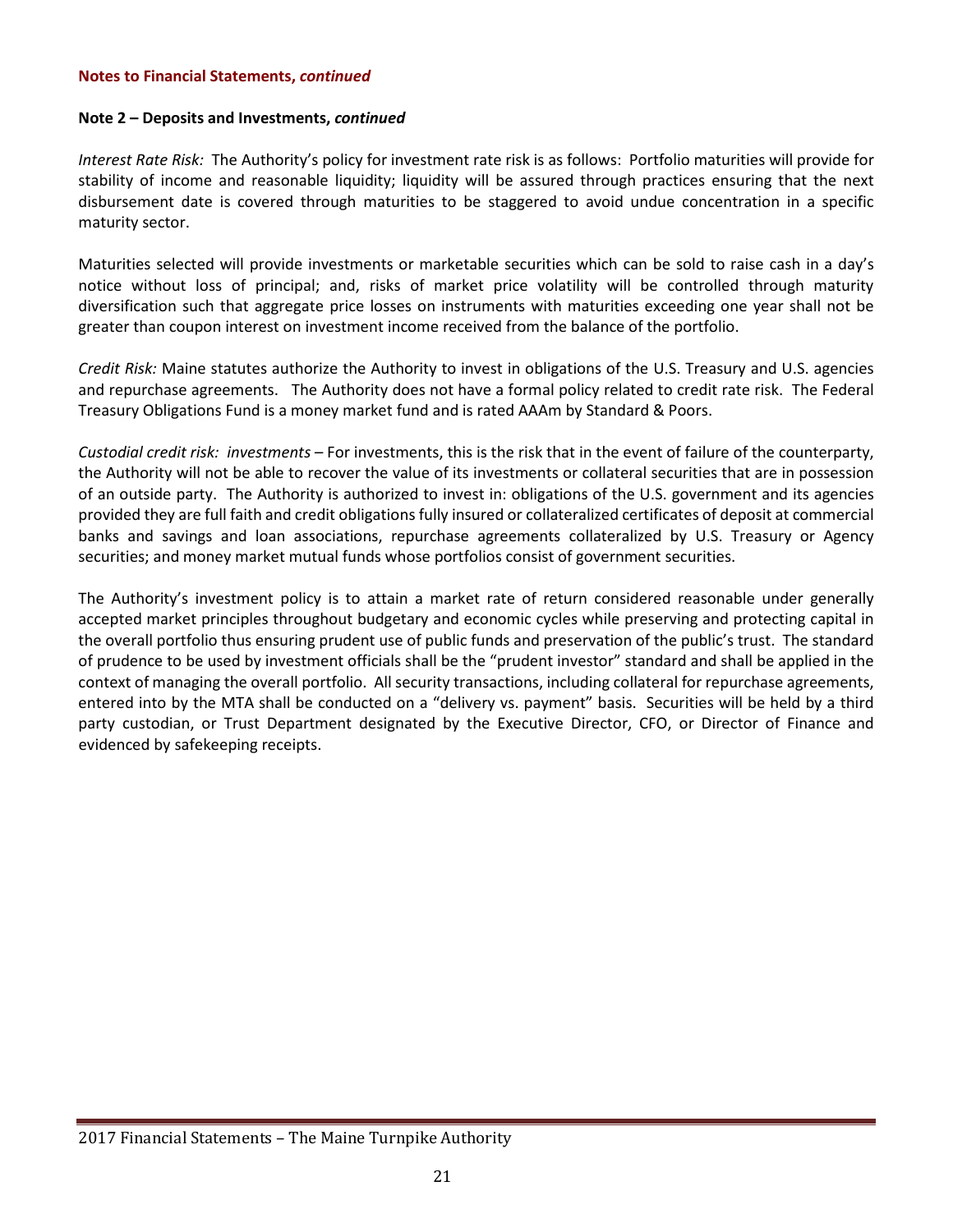### **Note 2 – Deposits and Investments,** *continued*

*Interest Rate Risk:* The Authority's policy for investment rate risk is as follows: Portfolio maturities will provide for stability of income and reasonable liquidity; liquidity will be assured through practices ensuring that the next disbursement date is covered through maturities to be staggered to avoid undue concentration in a specific maturity sector.

Maturities selected will provide investments or marketable securities which can be sold to raise cash in a day's notice without loss of principal; and, risks of market price volatility will be controlled through maturity diversification such that aggregate price losses on instruments with maturities exceeding one year shall not be greater than coupon interest on investment income received from the balance of the portfolio.

*Credit Risk:* Maine statutes authorize the Authority to invest in obligations of the U.S. Treasury and U.S. agencies and repurchase agreements. The Authority does not have a formal policy related to credit rate risk. The Federal Treasury Obligations Fund is a money market fund and is rated AAAm by Standard & Poors.

*Custodial credit risk: investments –* For investments, this is the risk that in the event of failure of the counterparty, the Authority will not be able to recover the value of its investments or collateral securities that are in possession of an outside party. The Authority is authorized to invest in: obligations of the U.S. government and its agencies provided they are full faith and credit obligations fully insured or collateralized certificates of deposit at commercial banks and savings and loan associations, repurchase agreements collateralized by U.S. Treasury or Agency securities; and money market mutual funds whose portfolios consist of government securities.

The Authority's investment policy is to attain a market rate of return considered reasonable under generally accepted market principles throughout budgetary and economic cycles while preserving and protecting capital in the overall portfolio thus ensuring prudent use of public funds and preservation of the public's trust. The standard of prudence to be used by investment officials shall be the "prudent investor" standard and shall be applied in the context of managing the overall portfolio. All security transactions, including collateral for repurchase agreements, entered into by the MTA shall be conducted on a "delivery vs. payment" basis. Securities will be held by a third party custodian, or Trust Department designated by the Executive Director, CFO, or Director of Finance and evidenced by safekeeping receipts.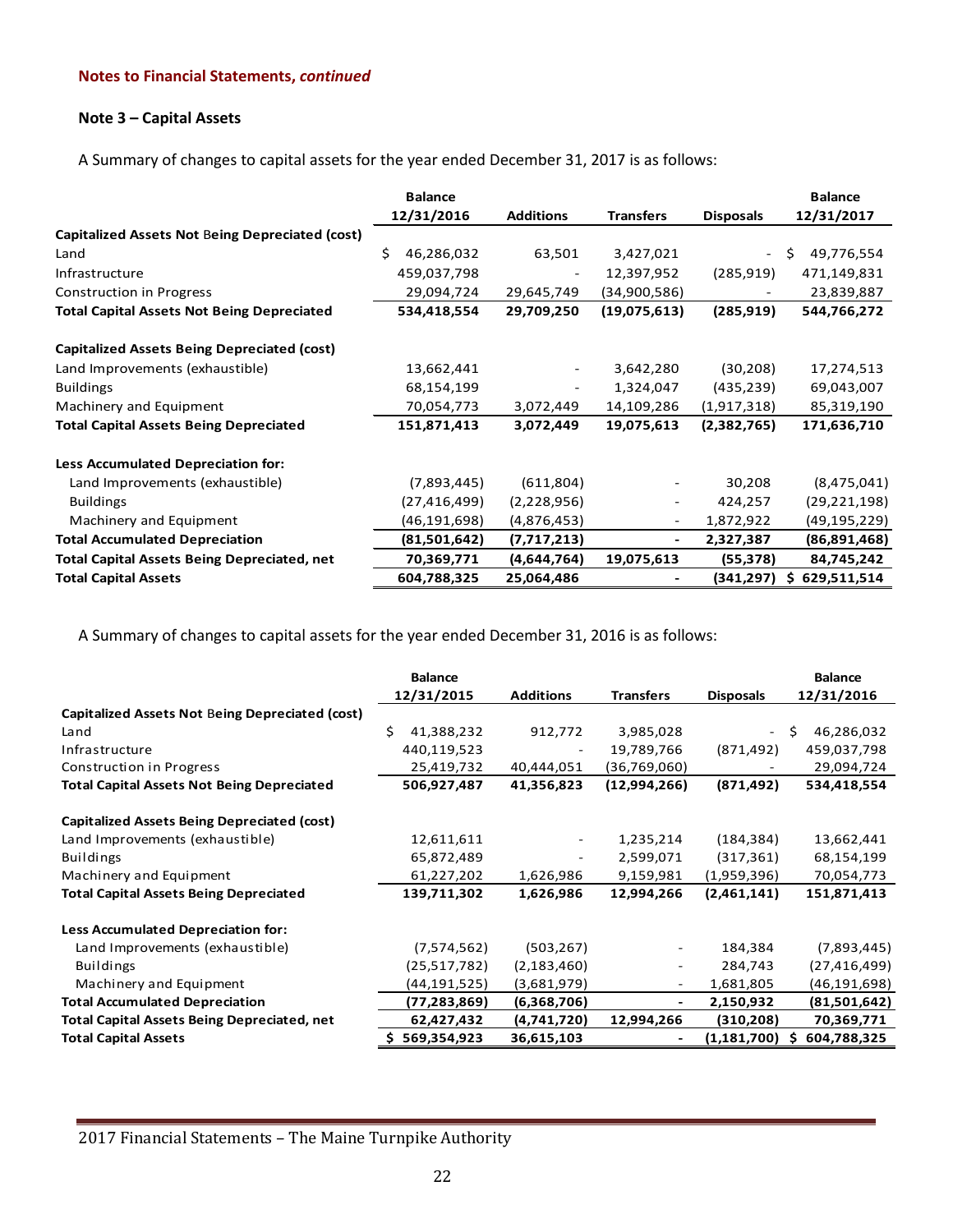### **Note 3 – Capital Assets**

A Summary of changes to capital assets for the year ended December 31, 2017 is as follows:

|                                                        | <b>Balance</b>   |                          |                          |                  | <b>Balance</b>   |
|--------------------------------------------------------|------------------|--------------------------|--------------------------|------------------|------------------|
|                                                        | 12/31/2016       | <b>Additions</b>         | <b>Transfers</b>         | <b>Disposals</b> | 12/31/2017       |
| <b>Capitalized Assets Not Being Depreciated (cost)</b> |                  |                          |                          |                  |                  |
| Land                                                   | Ś.<br>46,286,032 | 63,501                   | 3,427,021                | $\sim$           | 49,776,554<br>S. |
| Infrastructure                                         | 459,037,798      |                          | 12,397,952               | (285, 919)       | 471,149,831      |
| Construction in Progress                               | 29,094,724       | 29,645,749               | (34,900,586)             |                  | 23,839,887       |
| <b>Total Capital Assets Not Being Depreciated</b>      | 534,418,554      | 29,709,250               | (19,075,613)             | (285, 919)       | 544,766,272      |
| <b>Capitalized Assets Being Depreciated (cost)</b>     |                  |                          |                          |                  |                  |
| Land Improvements (exhaustible)                        | 13,662,441       | $\overline{\phantom{a}}$ | 3,642,280                | (30, 208)        | 17,274,513       |
| <b>Buildings</b>                                       | 68,154,199       |                          | 1,324,047                | (435, 239)       | 69,043,007       |
| Machinery and Equipment                                | 70,054,773       | 3,072,449                | 14,109,286               | (1,917,318)      | 85,319,190       |
| <b>Total Capital Assets Being Depreciated</b>          | 151,871,413      | 3,072,449                | 19,075,613               | (2,382,765)      | 171,636,710      |
| Less Accumulated Depreciation for:                     |                  |                          |                          |                  |                  |
| Land Improvements (exhaustible)                        | (7,893,445)      | (611,804)                |                          | 30,208           | (8,475,041)      |
| <b>Buildings</b>                                       | (27, 416, 499)   | (2,228,956)              |                          | 424,257          | (29, 221, 198)   |
| Machinery and Equipment                                | (46, 191, 698)   | (4,876,453)              | $\overline{\phantom{a}}$ | 1,872,922        | (49,195,229)     |
| <b>Total Accumulated Depreciation</b>                  | (81,501,642)     | (7, 717, 213)            | $\overline{\phantom{a}}$ | 2,327,387        | (86,891,468)     |
| <b>Total Capital Assets Being Depreciated, net</b>     | 70,369,771       | (4,644,764)              | 19,075,613               | (55, 378)        | 84,745,242       |
| <b>Total Capital Assets</b>                            | 604,788,325      | 25,064,486               |                          | (341, 297)       | 629,511,514<br>S |

A Summary of changes to capital assets for the year ended December 31, 2016 is as follows:

|                                                    | <b>Balance</b>   |                  |                  |                          | <b>Balance</b>   |
|----------------------------------------------------|------------------|------------------|------------------|--------------------------|------------------|
|                                                    | 12/31/2015       | <b>Additions</b> | <b>Transfers</b> | <b>Disposals</b>         | 12/31/2016       |
| Capitalized Assets Not Being Depreciated (cost)    |                  |                  |                  |                          |                  |
| Land                                               | Ś.<br>41,388,232 | 912,772          | 3,985,028        | $\overline{\phantom{a}}$ | 46,286,032<br>S  |
| Infrastructure                                     | 440,119,523      |                  | 19,789,766       | (871, 492)               | 459,037,798      |
| Construction in Progress                           | 25,419,732       | 40,444,051       | (36, 769, 060)   |                          | 29,094,724       |
| <b>Total Capital Assets Not Being Depreciated</b>  | 506,927,487      | 41,356,823       | (12,994,266)     | (871, 492)               | 534,418,554      |
| Capitalized Assets Being Depreciated (cost)        |                  |                  |                  |                          |                  |
| Land Improvements (exhaustible)                    | 12,611,611       |                  | 1,235,214        | (184, 384)               | 13,662,441       |
| <b>Buildings</b>                                   | 65,872,489       |                  | 2,599,071        | (317, 361)               | 68,154,199       |
| Machinery and Equipment                            | 61,227,202       | 1,626,986        | 9,159,981        | (1,959,396)              | 70,054,773       |
| <b>Total Capital Assets Being Depreciated</b>      | 139,711,302      | 1,626,986        | 12,994,266       | (2,461,141)              | 151,871,413      |
| <b>Less Accumulated Depreciation for:</b>          |                  |                  |                  |                          |                  |
| Land Improvements (exhaustible)                    | (7, 574, 562)    | (503, 267)       | ٠                | 184,384                  | (7,893,445)      |
| <b>Buildings</b>                                   | (25, 517, 782)   | (2, 183, 460)    | ۰.               | 284,743                  | (27, 416, 499)   |
| Machinery and Equipment                            | (44, 191, 525)   | (3,681,979)      |                  | 1,681,805                | (46, 191, 698)   |
| <b>Total Accumulated Depreciation</b>              | (77,283,869)     | (6,368,706)      | ۰                | 2,150,932                | (81,501,642)     |
| <b>Total Capital Assets Being Depreciated, net</b> | 62,427,432       | (4,741,720)      | 12,994,266       | (310, 208)               | 70,369,771       |
| <b>Total Capital Assets</b>                        | 569,354,923      | 36,615,103       | ۰                | (1, 181, 700)            | 604,788,325<br>s |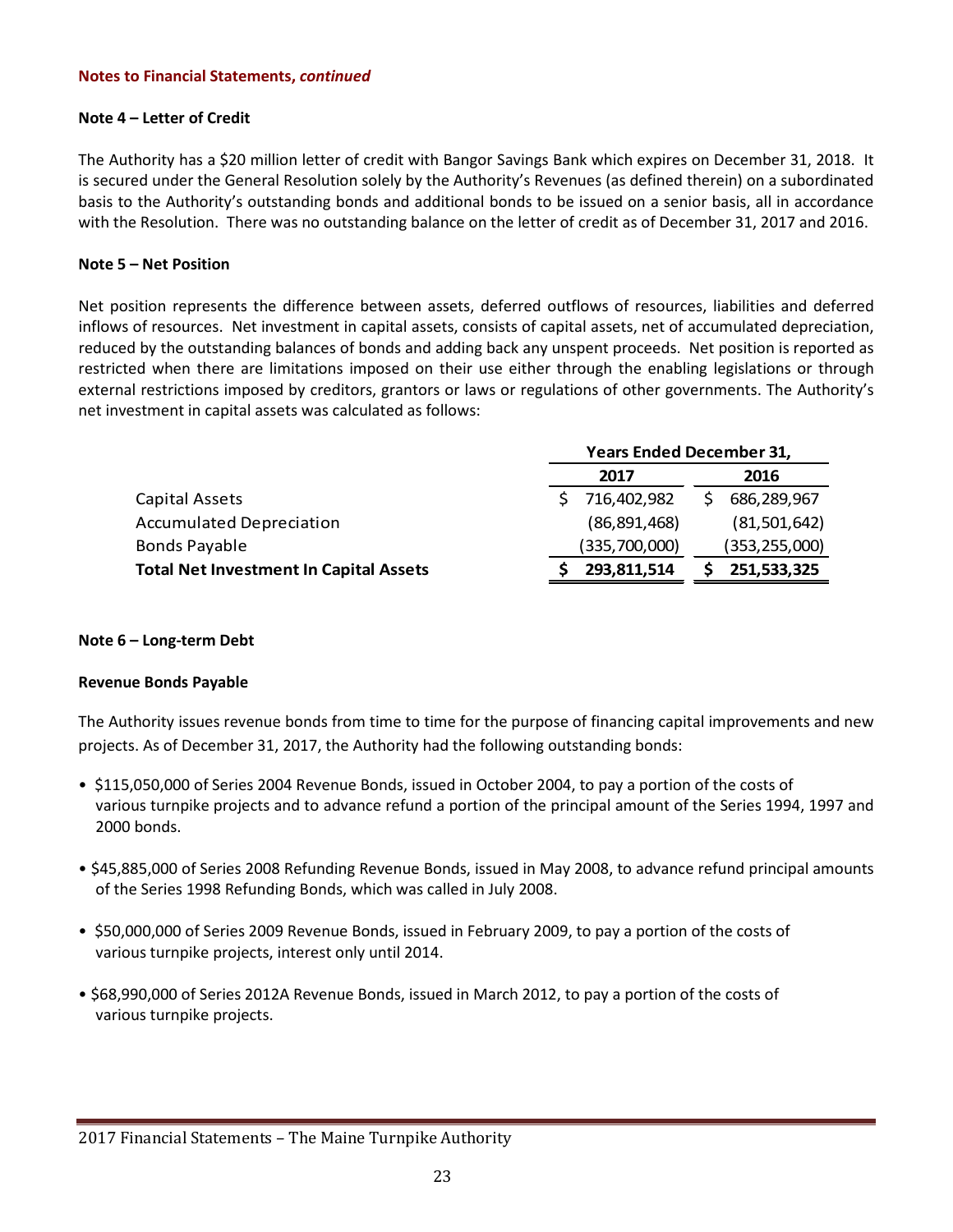### **Note 4 – Letter of Credit**

The Authority has a \$20 million letter of credit with Bangor Savings Bank which expires on December 31, 2018. It is secured under the General Resolution solely by the Authority's Revenues (as defined therein) on a subordinated basis to the Authority's outstanding bonds and additional bonds to be issued on a senior basis, all in accordance with the Resolution. There was no outstanding balance on the letter of credit as of December 31, 2017 and 2016.

### **Note 5 – Net Position**

Net position represents the difference between assets, deferred outflows of resources, liabilities and deferred inflows of resources. Net investment in capital assets, consists of capital assets, net of accumulated depreciation, reduced by the outstanding balances of bonds and adding back any unspent proceeds. Net position is reported as restricted when there are limitations imposed on their use either through the enabling legislations or through external restrictions imposed by creditors, grantors or laws or regulations of other governments. The Authority's net investment in capital assets was calculated as follows:

|                                               | <b>Years Ended December 31,</b> |                 |  |  |
|-----------------------------------------------|---------------------------------|-----------------|--|--|
|                                               | 2017                            | 2016            |  |  |
| Capital Assets                                | 716,402,982                     | 686,289,967     |  |  |
| <b>Accumulated Depreciation</b>               | (86,891,468)                    | (81, 501, 642)  |  |  |
| Bonds Payable                                 | (335,700,000)                   | (353, 255, 000) |  |  |
| <b>Total Net Investment In Capital Assets</b> | 293,811,514                     | 251,533,325     |  |  |

### **Note 6 – Long-term Debt**

#### **Revenue Bonds Payable**

The Authority issues revenue bonds from time to time for the purpose of financing capital improvements and new projects. As of December 31, 2017, the Authority had the following outstanding bonds:

- \$115,050,000 of Series 2004 Revenue Bonds, issued in October 2004, to pay a portion of the costs of various turnpike projects and to advance refund a portion of the principal amount of the Series 1994, 1997 and 2000 bonds.
- \$45,885,000 of Series 2008 Refunding Revenue Bonds, issued in May 2008, to advance refund principal amounts of the Series 1998 Refunding Bonds, which was called in July 2008.
- \$50,000,000 of Series 2009 Revenue Bonds, issued in February 2009, to pay a portion of the costs of various turnpike projects, interest only until 2014.
- \$68,990,000 of Series 2012A Revenue Bonds, issued in March 2012, to pay a portion of the costs of various turnpike projects.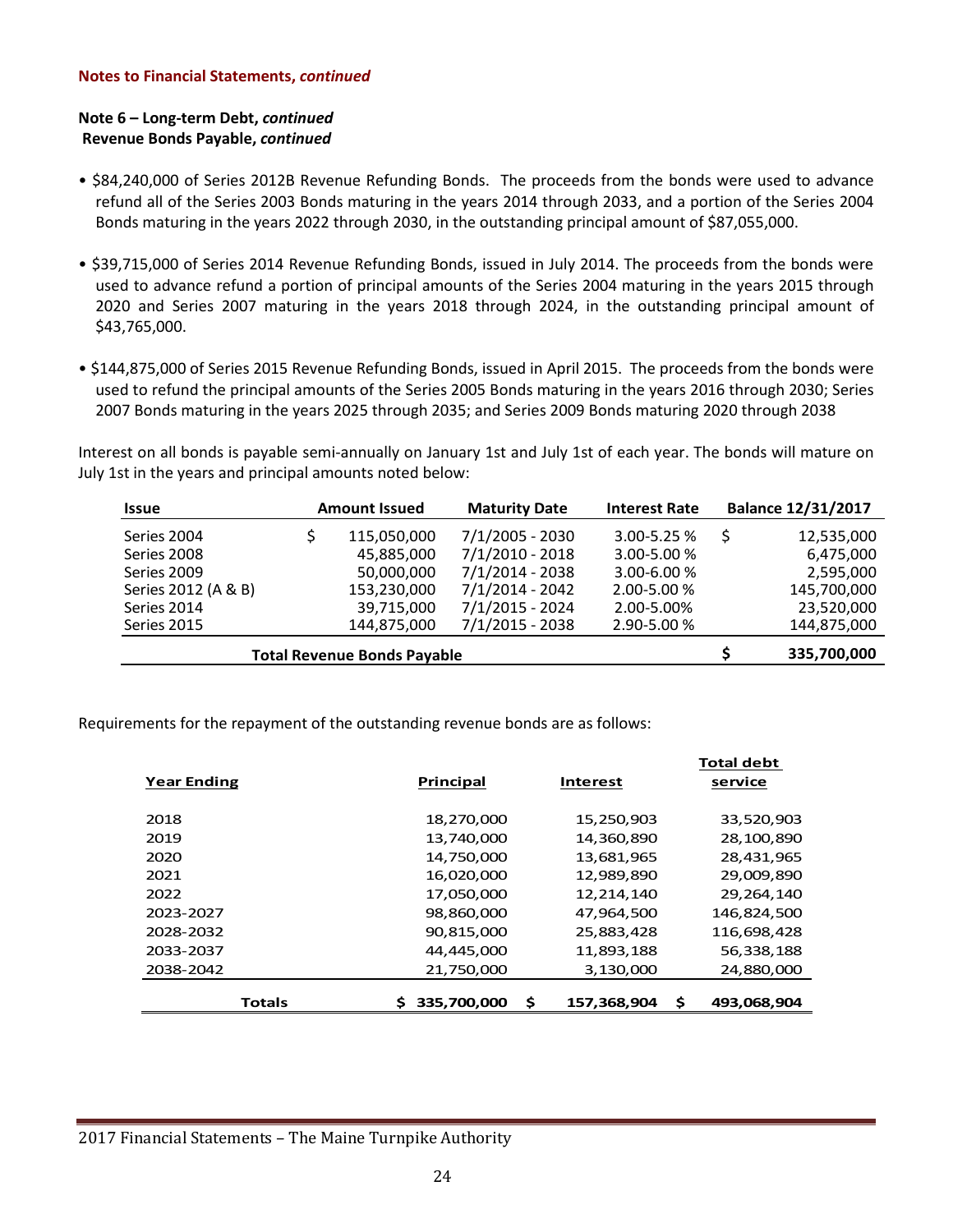### **Note 6 – Long-term Debt,** *continued* **Revenue Bonds Payable,** *continued*

- \$84,240,000 of Series 2012B Revenue Refunding Bonds. The proceeds from the bonds were used to advance refund all of the Series 2003 Bonds maturing in the years 2014 through 2033, and a portion of the Series 2004 Bonds maturing in the years 2022 through 2030, in the outstanding principal amount of \$87,055,000.
- \$39,715,000 of Series 2014 Revenue Refunding Bonds, issued in July 2014. The proceeds from the bonds were used to advance refund a portion of principal amounts of the Series 2004 maturing in the years 2015 through 2020 and Series 2007 maturing in the years 2018 through 2024, in the outstanding principal amount of \$43,765,000.
- \$144,875,000 of Series 2015 Revenue Refunding Bonds, issued in April 2015. The proceeds from the bonds were used to refund the principal amounts of the Series 2005 Bonds maturing in the years 2016 through 2030; Series 2007 Bonds maturing in the years 2025 through 2035; and Series 2009 Bonds maturing 2020 through 2038

Interest on all bonds is payable semi-annually on January 1st and July 1st of each year. The bonds will mature on July 1st in the years and principal amounts noted below:

| <b>Issue</b>                       |  | <b>Amount Issued</b> | <b>Maturity Date</b> | <b>Interest Rate</b> |  | <b>Balance 12/31/2017</b> |
|------------------------------------|--|----------------------|----------------------|----------------------|--|---------------------------|
| Series 2004                        |  | 115,050,000          | 7/1/2005 - 2030      | 3.00-5.25 %          |  | 12,535,000                |
| Series 2008                        |  | 45,885,000           | $7/1/2010 - 2018$    | 3.00-5.00 %          |  | 6,475,000                 |
| Series 2009                        |  | 50,000,000           | $7/1/2014 - 2038$    | 3.00-6.00 %          |  | 2,595,000                 |
| Series 2012 (A & B)                |  | 153,230,000          | $7/1/2014 - 2042$    | 2.00-5.00 %          |  | 145,700,000               |
| Series 2014                        |  | 39,715,000           | 7/1/2015 - 2024      | 2.00-5.00%           |  | 23,520,000                |
| Series 2015                        |  | 144,875,000          | $7/1/2015 - 2038$    | 2.90-5.00 %          |  | 144,875,000               |
| <b>Total Revenue Bonds Payable</b> |  |                      |                      |                      |  | 335,700,000               |

Requirements for the repayment of the outstanding revenue bonds are as follows:

| <b>Year Ending</b> | Principal        | <b>Interest</b>    | <b>Total debt</b><br>service |
|--------------------|------------------|--------------------|------------------------------|
| 2018               | 18,270,000       | 15,250,903         | 33,520,903                   |
| 2019               | 13,740,000       | 14,360,890         | 28,100,890                   |
| 2020               | 14,750,000       | 13,681,965         | 28,431,965                   |
| 2021               | 16,020,000       | 12,989,890         | 29,009,890                   |
| 2022               | 17,050,000       | 12,214,140         | 29,264,140                   |
| 2023-2027          | 98,860,000       | 47,964,500         | 146,824,500                  |
| 2028-2032          | 90,815,000       | 25,883,428         | 116,698,428                  |
| 2033-2037          | 44,445,000       | 11,893,188         | 56,338,188                   |
| 2038-2042          | 21,750,000       | 3,130,000          | 24,880,000                   |
| <b>Totals</b>      | 335,700,000<br>s | \$.<br>157,368,904 | S<br>493,068,904             |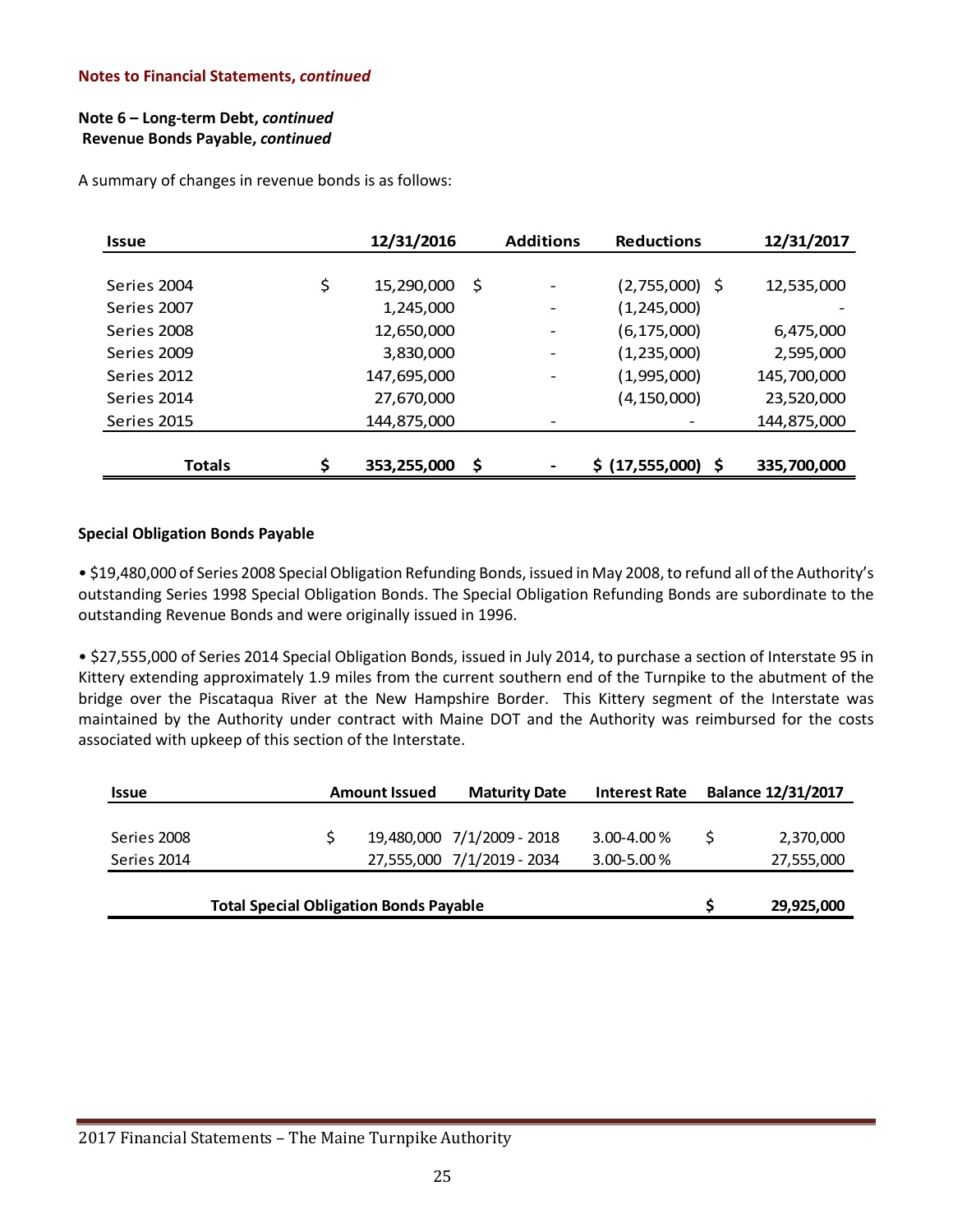### **Note 6 – Long-term Debt,** *continued* **Revenue Bonds Payable,** *continued*

A summary of changes in revenue bonds is as follows:

| <b>Issue</b>  | 12/31/2016        | <b>Additions</b> | <b>Reductions</b>  | 12/31/2017  |
|---------------|-------------------|------------------|--------------------|-------------|
|               |                   |                  |                    |             |
| Series 2004   | \$<br>15,290,000  | \$               | $(2,755,000)$ \$   | 12,535,000  |
| Series 2007   | 1,245,000         |                  | (1, 245, 000)      |             |
| Series 2008   | 12,650,000        |                  | (6, 175, 000)      | 6,475,000   |
| Series 2009   | 3,830,000         | -                | (1,235,000)        | 2,595,000   |
| Series 2012   | 147,695,000       |                  | (1,995,000)        | 145,700,000 |
| Series 2014   | 27,670,000        |                  | (4, 150, 000)      | 23,520,000  |
| Series 2015   | 144,875,000       |                  |                    | 144,875,000 |
|               |                   |                  |                    |             |
| <b>Totals</b> | \$<br>353,255,000 | \$               | \$ (17,555,000) \$ | 335,700,000 |

### **Special Obligation Bonds Payable**

• \$19,480,000 of Series 2008 Special Obligation Refunding Bonds, issued in May 2008, to refund all of the Authority's outstanding Series 1998 Special Obligation Bonds. The Special Obligation Refunding Bonds are subordinate to the outstanding Revenue Bonds and were originally issued in 1996.

• \$27,555,000 of Series 2014 Special Obligation Bonds, issued in July 2014, to purchase a section of Interstate 95 in Kittery extending approximately 1.9 miles from the current southern end of the Turnpike to the abutment of the bridge over the Piscataqua River at the New Hampshire Border. This Kittery segment of the Interstate was maintained by the Authority under contract with Maine DOT and the Authority was reimbursed for the costs associated with upkeep of this section of the Interstate.

| <b>Issue</b> |                                               | <b>Amount Issued</b> | <b>Maturity Date</b>       | <b>Interest Rate</b> | <b>Balance 12/31/2017</b> |
|--------------|-----------------------------------------------|----------------------|----------------------------|----------------------|---------------------------|
| Series 2008  |                                               |                      | 19,480,000 7/1/2009 - 2018 | 3.00-4.00%           | 2,370,000                 |
| Series 2014  |                                               |                      | 27,555,000 7/1/2019 - 2034 | $3.00 - 5.00 %$      | 27,555,000                |
|              | <b>Total Special Obligation Bonds Payable</b> |                      |                            |                      | 29,925,000                |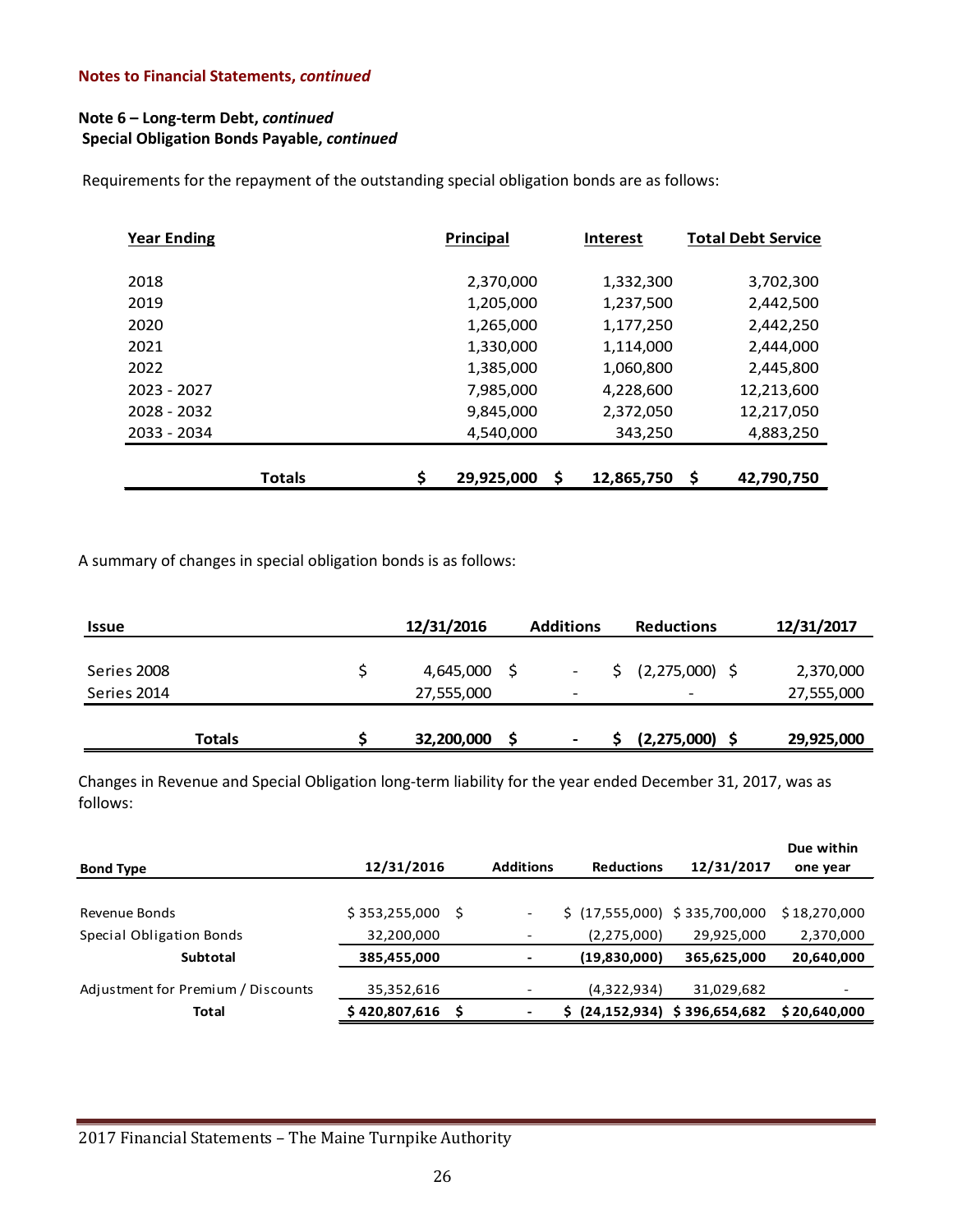### **Note 6 – Long-term Debt,** *continued* **Special Obligation Bonds Payable,** *continued*

Requirements for the repayment of the outstanding special obligation bonds are as follows:

| <u>Year Ending</u> | <b>Principal</b> |                  | <b>Total Debt Service</b> |
|--------------------|------------------|------------------|---------------------------|
|                    |                  |                  |                           |
| 2018               | 2,370,000        | 1,332,300        | 3,702,300                 |
| 2019               | 1,205,000        | 1,237,500        | 2,442,500                 |
| 2020               | 1,265,000        | 1,177,250        | 2,442,250                 |
| 2021               | 1,330,000        | 1,114,000        | 2,444,000                 |
| 2022               | 1,385,000        | 1,060,800        | 2,445,800                 |
| 2023 - 2027        | 7,985,000        | 4,228,600        | 12,213,600                |
| 2028 - 2032        | 9,845,000        | 2,372,050        | 12,217,050                |
| 2033 - 2034        | 4,540,000        | 343,250          | 4,883,250                 |
|                    |                  |                  |                           |
| <b>Totals</b>      | \$<br>29,925,000 | \$<br>12,865,750 | S<br>42,790,750           |

A summary of changes in special obligation bonds is as follows:

| <b>Issue</b> |               | 12/31/2016 | <b>Additions</b>         | <b>Reductions</b>        | 12/31/2017 |
|--------------|---------------|------------|--------------------------|--------------------------|------------|
|              |               |            |                          |                          |            |
| Series 2008  |               | 4,645,000  | $\sim$                   | \$ (2,275,000) \$        | 2,370,000  |
| Series 2014  |               | 27,555,000 | $\overline{\phantom{0}}$ | $\overline{\phantom{a}}$ | 27,555,000 |
|              |               |            |                          |                          |            |
|              | <b>Totals</b> | 32,200,000 | $\overline{\phantom{a}}$ | (2, 275, 000)            | 29,925,000 |

Changes in Revenue and Special Obligation long-term liability for the year ended December 31, 2017, was as follows:

| 12/31/2016    | <b>Additions</b>         | <b>Reductions</b> | 12/31/2017  | Due within<br>one year                                             |
|---------------|--------------------------|-------------------|-------------|--------------------------------------------------------------------|
|               |                          |                   |             |                                                                    |
| \$353,255,000 |                          |                   |             | \$18,270,000                                                       |
| 32,200,000    | -                        | (2,275,000)       | 29,925,000  | 2,370,000                                                          |
| 385,455,000   | $\overline{\phantom{0}}$ | (19,830,000)      | 365,625,000 | 20,640,000                                                         |
| 35,352,616    |                          | (4,322,934)       | 31,029,682  | -                                                                  |
| \$420,807,616 | $\overline{\phantom{a}}$ |                   |             | \$20,640,000                                                       |
|               | - \$<br>- Ś              |                   |             | \$ (17,555,000) \$335,700,000<br>\$ (24, 152, 934) \$396, 654, 682 |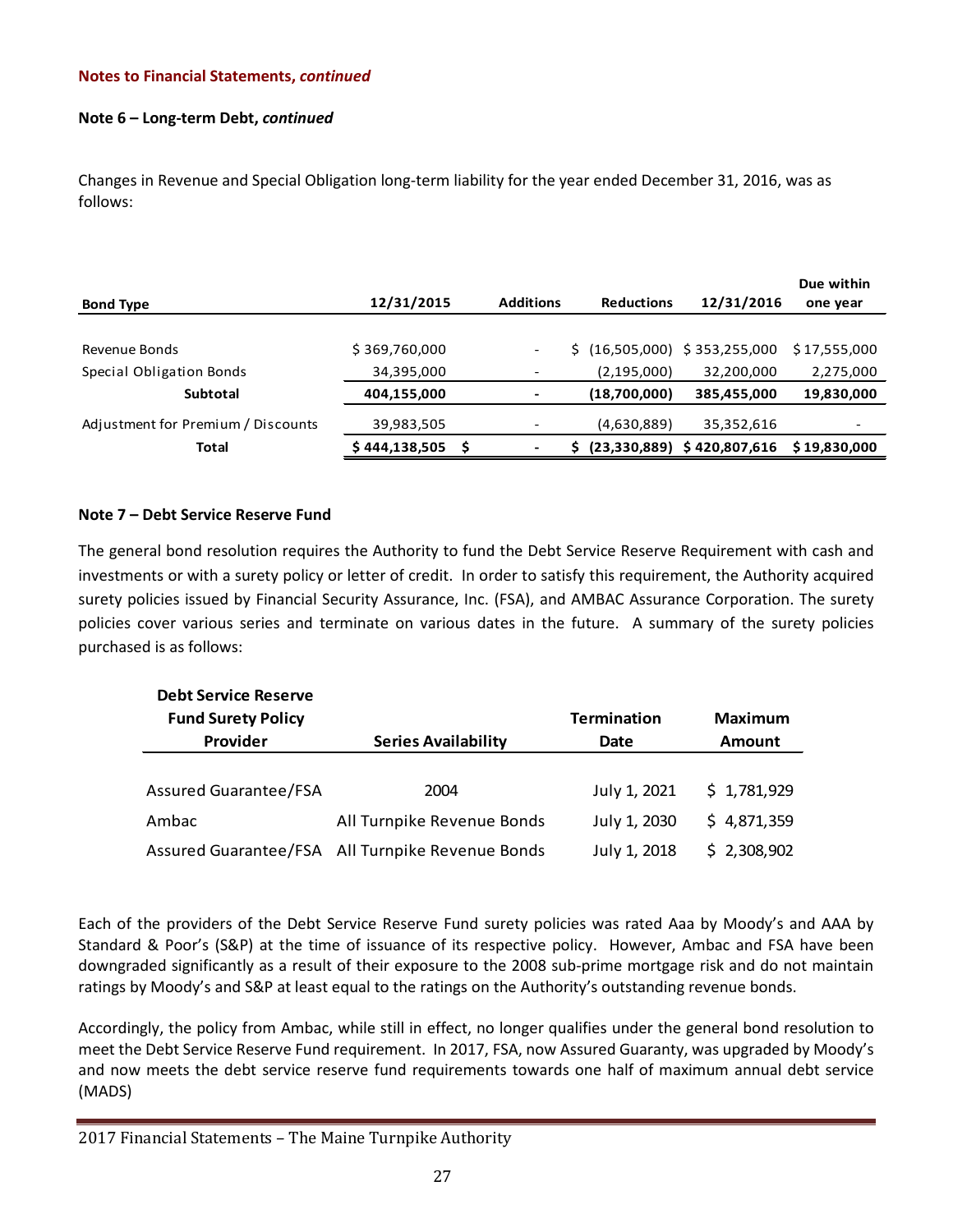### **Note 6 – Long-term Debt,** *continued*

Changes in Revenue and Special Obligation long-term liability for the year ended December 31, 2016, was as follows:

|                                    |               |                          |                              |                              | Due within   |
|------------------------------------|---------------|--------------------------|------------------------------|------------------------------|--------------|
| <b>Bond Type</b>                   | 12/31/2015    | <b>Additions</b>         | <b>Reductions</b>            | 12/31/2016                   | one year     |
|                                    |               |                          |                              |                              |              |
| Revenue Bonds                      | \$369,760,000 | $\overline{\phantom{a}}$ | \$(16,505,000) \$353,255,000 |                              | \$17,555,000 |
| Special Obligation Bonds           | 34,395,000    | -                        | (2, 195, 000)                | 32,200,000                   | 2,275,000    |
| <b>Subtotal</b>                    | 404,155,000   |                          | (18,700,000)                 | 385,455,000                  | 19,830,000   |
| Adjustment for Premium / Discounts | 39,983,505    |                          | (4,630,889)                  | 35,352,616                   |              |
| Total                              | \$444,138,505 |                          |                              | $(23,330,889)$ \$420,807,616 | \$19,830,000 |

#### **Note 7 – Debt Service Reserve Fund**

The general bond resolution requires the Authority to fund the Debt Service Reserve Requirement with cash and investments or with a surety policy or letter of credit. In order to satisfy this requirement, the Authority acquired surety policies issued by Financial Security Assurance, Inc. (FSA), and AMBAC Assurance Corporation. The surety policies cover various series and terminate on various dates in the future. A summary of the surety policies purchased is as follows:

| <b>Debt Service Reserve</b>  |                                                  |                    |                |
|------------------------------|--------------------------------------------------|--------------------|----------------|
| <b>Fund Surety Policy</b>    |                                                  | <b>Termination</b> | <b>Maximum</b> |
| Provider                     | <b>Series Availability</b>                       | Date               | <b>Amount</b>  |
|                              |                                                  |                    |                |
| <b>Assured Guarantee/FSA</b> | 2004                                             | July 1, 2021       | \$1,781,929    |
| Ambac                        | All Turnpike Revenue Bonds                       | July 1, 2030       | \$4,871,359    |
|                              | Assured Guarantee/FSA All Turnpike Revenue Bonds | July 1, 2018       | \$2,308,902    |

Each of the providers of the Debt Service Reserve Fund surety policies was rated Aaa by Moody's and AAA by Standard & Poor's (S&P) at the time of issuance of its respective policy. However, Ambac and FSA have been downgraded significantly as a result of their exposure to the 2008 sub-prime mortgage risk and do not maintain ratings by Moody's and S&P at least equal to the ratings on the Authority's outstanding revenue bonds.

Accordingly, the policy from Ambac, while still in effect, no longer qualifies under the general bond resolution to meet the Debt Service Reserve Fund requirement. In 2017, FSA, now Assured Guaranty, was upgraded by Moody's and now meets the debt service reserve fund requirements towards one half of maximum annual debt service (MADS)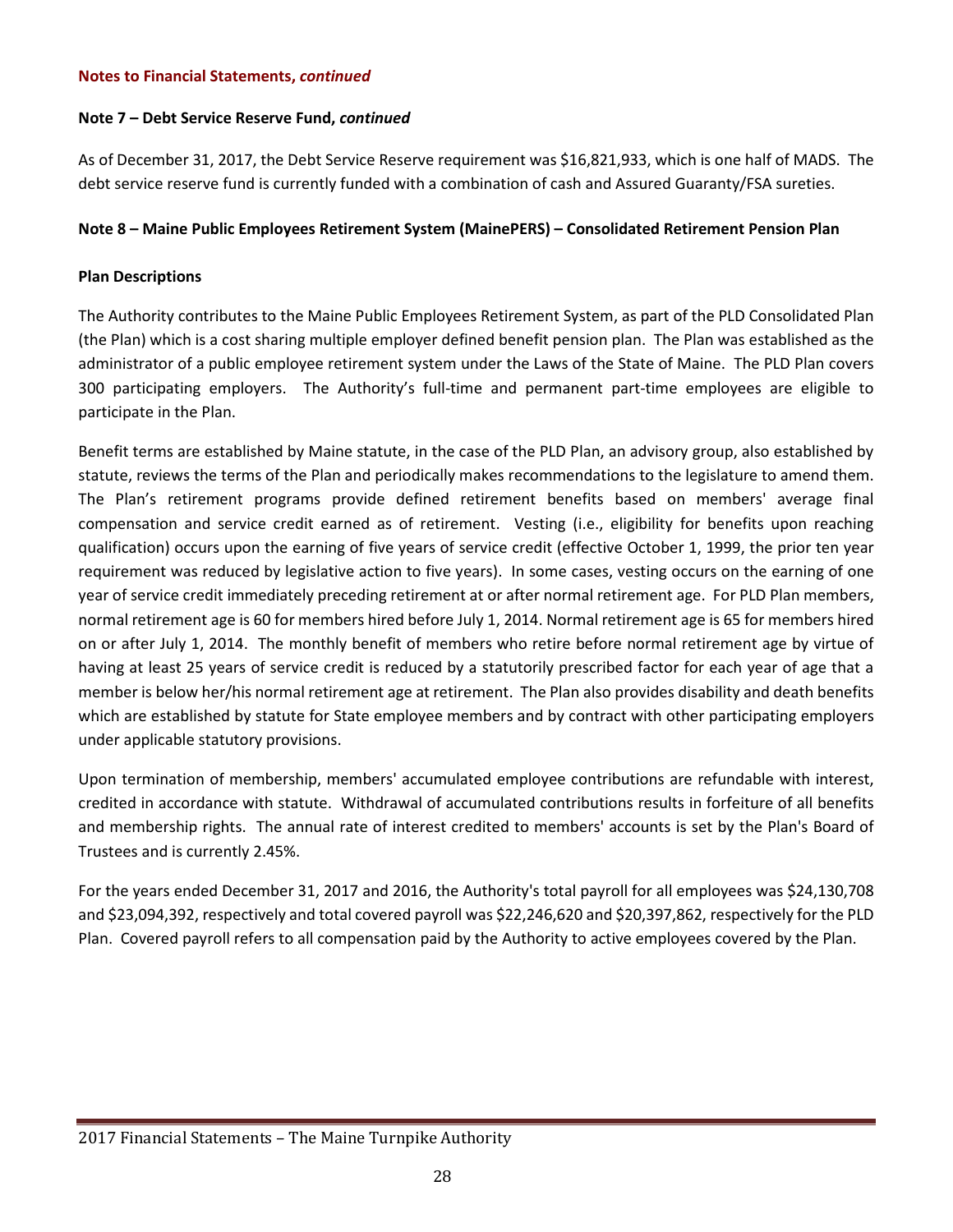### **Note 7 – Debt Service Reserve Fund,** *continued*

As of December 31, 2017, the Debt Service Reserve requirement was \$16,821,933, which is one half of MADS. The debt service reserve fund is currently funded with a combination of cash and Assured Guaranty/FSA sureties.

### **Note 8 – Maine Public Employees Retirement System (MainePERS) – Consolidated Retirement Pension Plan**

### **Plan Descriptions**

The Authority contributes to the Maine Public Employees Retirement System, as part of the PLD Consolidated Plan (the Plan) which is a cost sharing multiple employer defined benefit pension plan. The Plan was established as the administrator of a public employee retirement system under the Laws of the State of Maine. The PLD Plan covers 300 participating employers. The Authority's full-time and permanent part-time employees are eligible to participate in the Plan.

Benefit terms are established by Maine statute, in the case of the PLD Plan, an advisory group, also established by statute, reviews the terms of the Plan and periodically makes recommendations to the legislature to amend them. The Plan's retirement programs provide defined retirement benefits based on members' average final compensation and service credit earned as of retirement. Vesting (i.e., eligibility for benefits upon reaching qualification) occurs upon the earning of five years of service credit (effective October 1, 1999, the prior ten year requirement was reduced by legislative action to five years). In some cases, vesting occurs on the earning of one year of service credit immediately preceding retirement at or after normal retirement age. For PLD Plan members, normal retirement age is 60 for members hired before July 1, 2014. Normal retirement age is 65 for members hired on or after July 1, 2014. The monthly benefit of members who retire before normal retirement age by virtue of having at least 25 years of service credit is reduced by a statutorily prescribed factor for each year of age that a member is below her/his normal retirement age at retirement. The Plan also provides disability and death benefits which are established by statute for State employee members and by contract with other participating employers under applicable statutory provisions.

Upon termination of membership, members' accumulated employee contributions are refundable with interest, credited in accordance with statute. Withdrawal of accumulated contributions results in forfeiture of all benefits and membership rights. The annual rate of interest credited to members' accounts is set by the Plan's Board of Trustees and is currently 2.45%.

For the years ended December 31, 2017 and 2016, the Authority's total payroll for all employees was \$24,130,708 and \$23,094,392, respectively and total covered payroll was \$22,246,620 and \$20,397,862, respectively for the PLD Plan. Covered payroll refers to all compensation paid by the Authority to active employees covered by the Plan.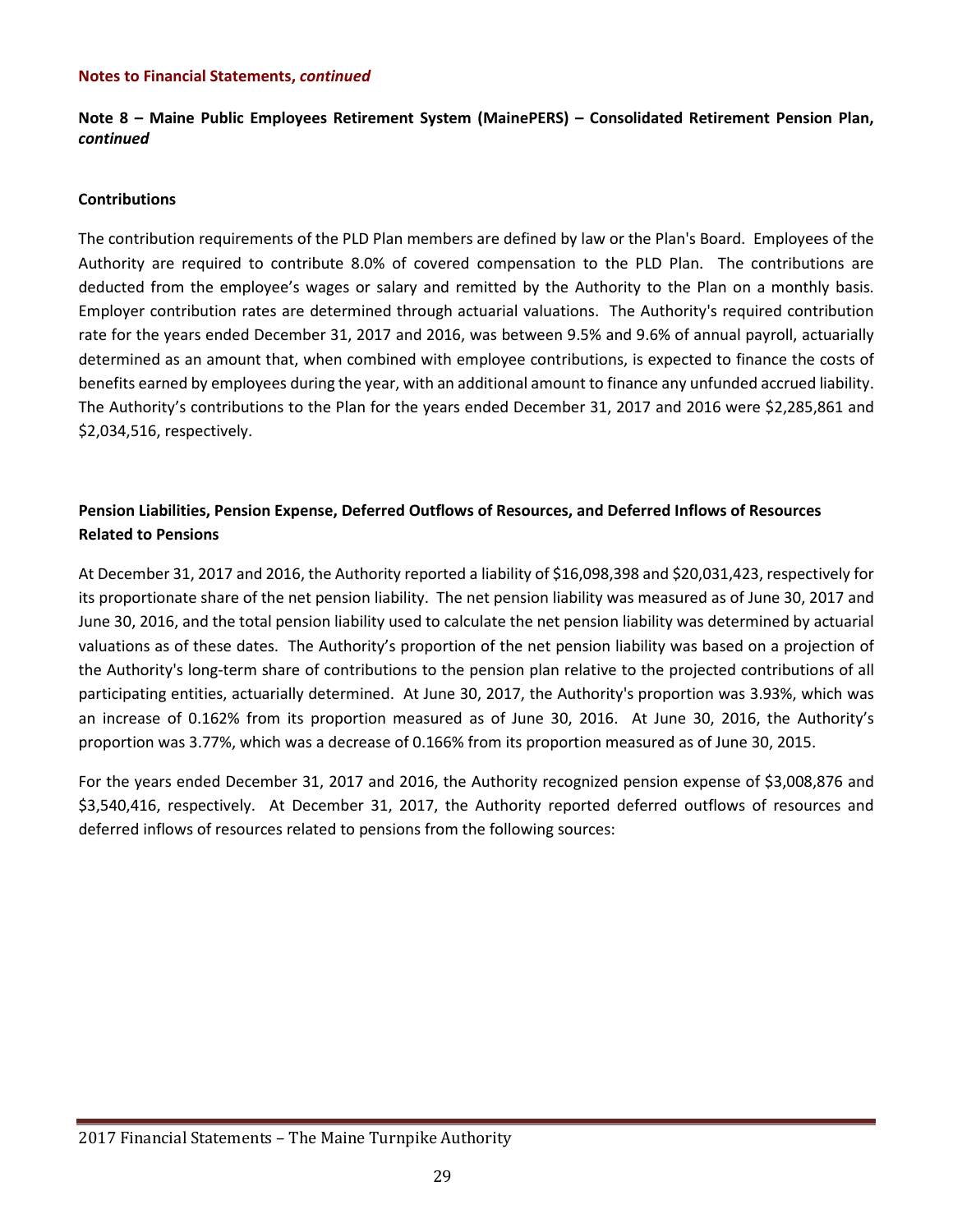**Note 8 – Maine Public Employees Retirement System (MainePERS) – Consolidated Retirement Pension Plan,** *continued*

### **Contributions**

The contribution requirements of the PLD Plan members are defined by law or the Plan's Board. Employees of the Authority are required to contribute 8.0% of covered compensation to the PLD Plan. The contributions are deducted from the employee's wages or salary and remitted by the Authority to the Plan on a monthly basis. Employer contribution rates are determined through actuarial valuations. The Authority's required contribution rate for the years ended December 31, 2017 and 2016, was between 9.5% and 9.6% of annual payroll, actuarially determined as an amount that, when combined with employee contributions, is expected to finance the costs of benefits earned by employees during the year, with an additional amount to finance any unfunded accrued liability. The Authority's contributions to the Plan for the years ended December 31, 2017 and 2016 were \$2,285,861 and \$2,034,516, respectively.

### **Pension Liabilities, Pension Expense, Deferred Outflows of Resources, and Deferred Inflows of Resources Related to Pensions**

At December 31, 2017 and 2016, the Authority reported a liability of \$16,098,398 and \$20,031,423, respectively for its proportionate share of the net pension liability. The net pension liability was measured as of June 30, 2017 and June 30, 2016, and the total pension liability used to calculate the net pension liability was determined by actuarial valuations as of these dates. The Authority's proportion of the net pension liability was based on a projection of the Authority's long-term share of contributions to the pension plan relative to the projected contributions of all participating entities, actuarially determined. At June 30, 2017, the Authority's proportion was 3.93%, which was an increase of 0.162% from its proportion measured as of June 30, 2016. At June 30, 2016, the Authority's proportion was 3.77%, which was a decrease of 0.166% from its proportion measured as of June 30, 2015.

For the years ended December 31, 2017 and 2016, the Authority recognized pension expense of \$3,008,876 and \$3,540,416, respectively. At December 31, 2017, the Authority reported deferred outflows of resources and deferred inflows of resources related to pensions from the following sources: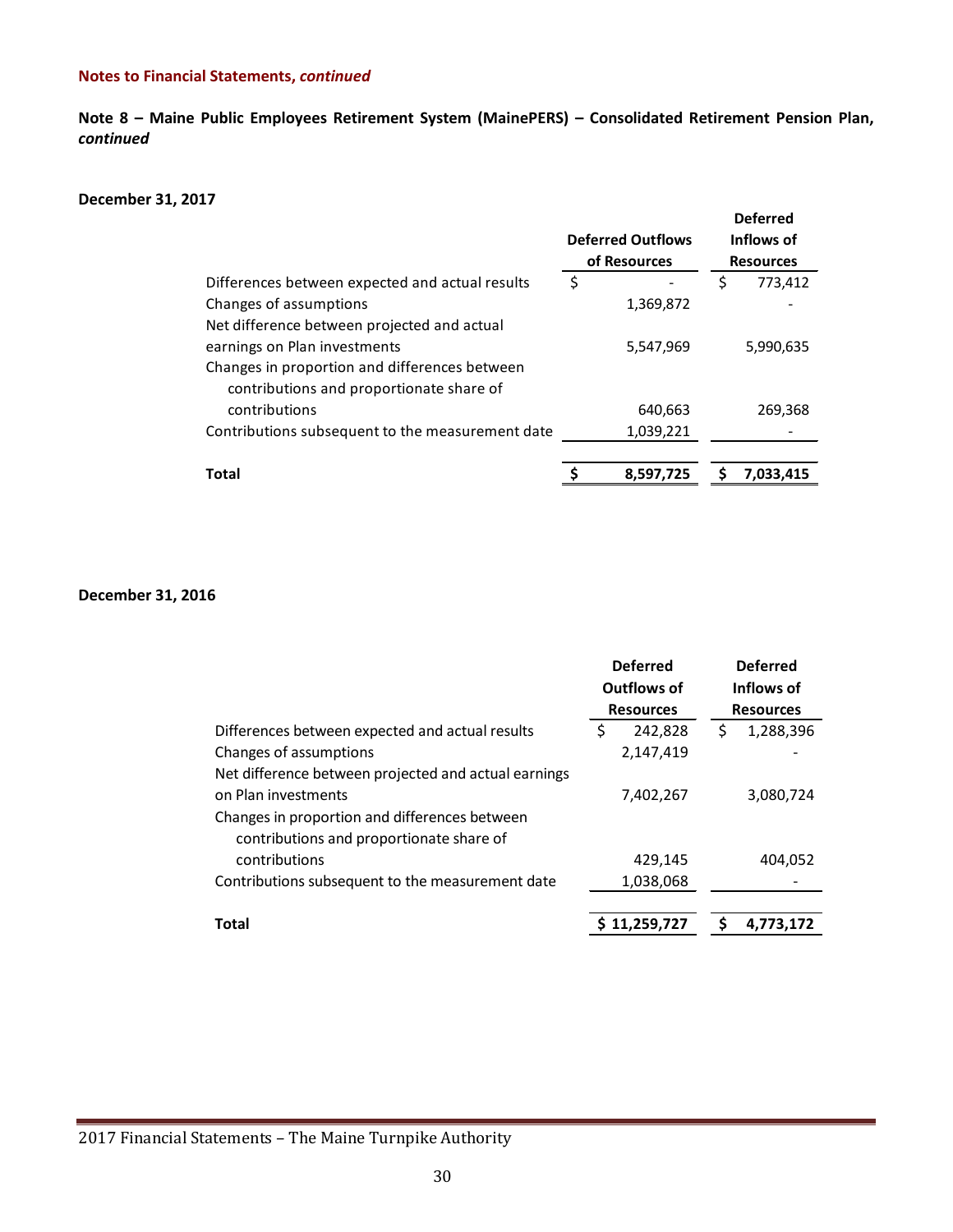**Note 8 – Maine Public Employees Retirement System (MainePERS) – Consolidated Retirement Pension Plan,** *continued*

#### **December 31, 2017**

|                                                  | <b>Deferred Outflows</b><br>of Resources | <b>Deferred</b><br>Inflows of<br><b>Resources</b> |
|--------------------------------------------------|------------------------------------------|---------------------------------------------------|
| Differences between expected and actual results  | \$                                       | \$<br>773,412                                     |
| Changes of assumptions                           | 1,369,872                                |                                                   |
| Net difference between projected and actual      |                                          |                                                   |
| earnings on Plan investments                     | 5,547,969                                | 5,990,635                                         |
| Changes in proportion and differences between    |                                          |                                                   |
| contributions and proportionate share of         |                                          |                                                   |
| contributions                                    | 640,663                                  | 269,368                                           |
| Contributions subsequent to the measurement date | 1,039,221                                |                                                   |
|                                                  |                                          |                                                   |
| Total                                            | 8,597,725                                | 7,033,415                                         |

#### **December 31, 2016**

|                                                      | <b>Deferred</b><br>Outflows of<br><b>Resources</b> |            |   | <b>Deferred</b><br>Inflows of<br><b>Resources</b> |
|------------------------------------------------------|----------------------------------------------------|------------|---|---------------------------------------------------|
| Differences between expected and actual results      | Ś                                                  | 242,828    | Ś | 1,288,396                                         |
| Changes of assumptions                               |                                                    | 2,147,419  |   |                                                   |
| Net difference between projected and actual earnings |                                                    |            |   |                                                   |
| on Plan investments                                  |                                                    | 7,402,267  |   | 3,080,724                                         |
| Changes in proportion and differences between        |                                                    |            |   |                                                   |
| contributions and proportionate share of             |                                                    |            |   |                                                   |
| contributions                                        |                                                    | 429,145    |   | 404,052                                           |
| Contributions subsequent to the measurement date     |                                                    | 1,038,068  |   |                                                   |
|                                                      |                                                    |            |   |                                                   |
| Total                                                |                                                    | 11,259,727 |   | 4.773.172                                         |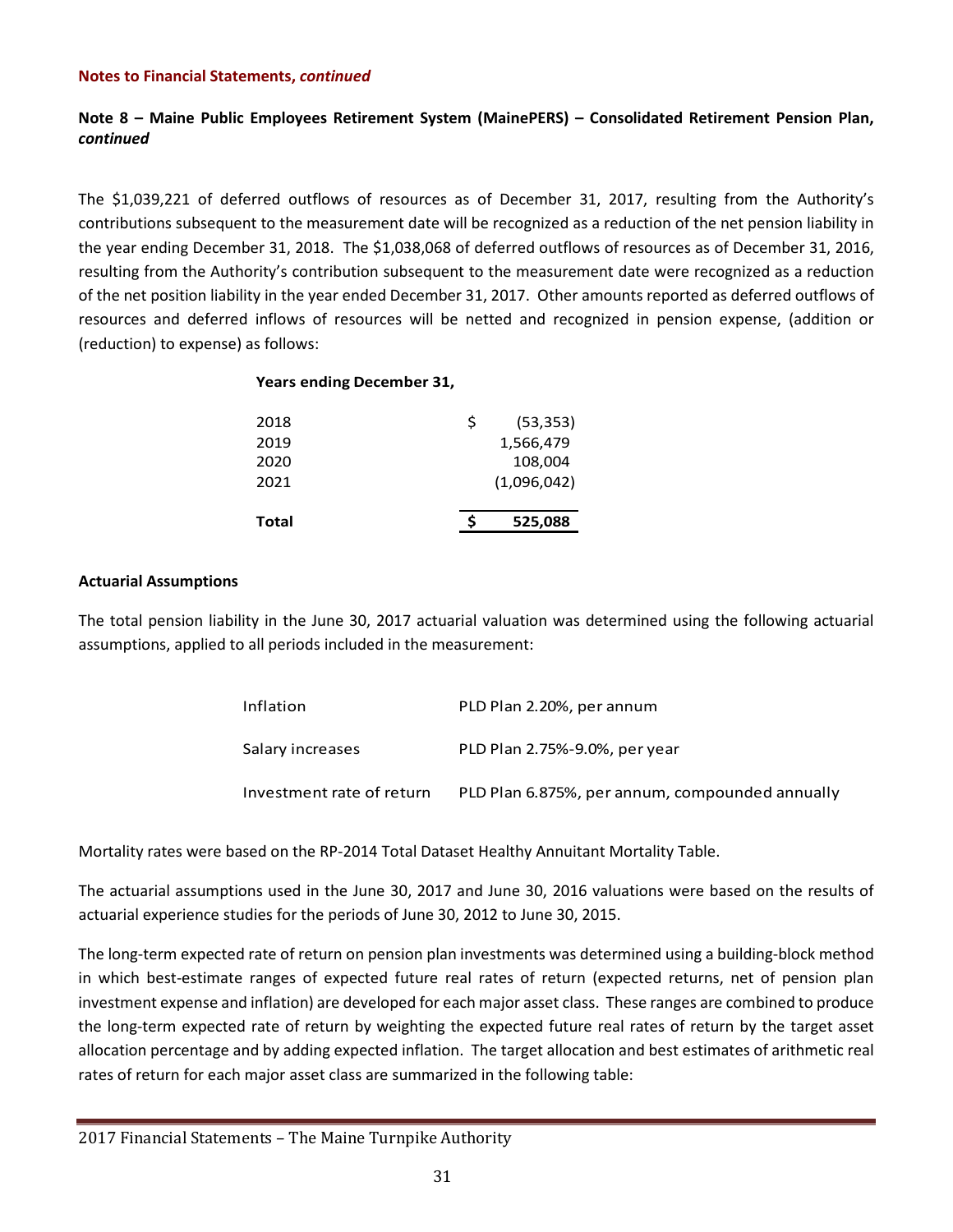### **Note 8 – Maine Public Employees Retirement System (MainePERS) – Consolidated Retirement Pension Plan,** *continued*

The \$1,039,221 of deferred outflows of resources as of December 31, 2017, resulting from the Authority's contributions subsequent to the measurement date will be recognized as a reduction of the net pension liability in the year ending December 31, 2018. The \$1,038,068 of deferred outflows of resources as of December 31, 2016, resulting from the Authority's contribution subsequent to the measurement date were recognized as a reduction of the net position liability in the year ended December 31, 2017. Other amounts reported as deferred outflows of resources and deferred inflows of resources will be netted and recognized in pension expense, (addition or (reduction) to expense) as follows:

### **Years ending December 31,**

|   | (1,096,042) |
|---|-------------|
|   | 108,004     |
|   | 1,566,479   |
| S | (53, 353)   |
|   |             |

### **Actuarial Assumptions**

The total pension liability in the June 30, 2017 actuarial valuation was determined using the following actuarial assumptions, applied to all periods included in the measurement:

| Inflation                 | PLD Plan 2.20%, per annum                       |
|---------------------------|-------------------------------------------------|
| Salary increases          | PLD Plan 2.75%-9.0%, per year                   |
| Investment rate of return | PLD Plan 6.875%, per annum, compounded annually |

Mortality rates were based on the RP-2014 Total Dataset Healthy Annuitant Mortality Table.

The actuarial assumptions used in the June 30, 2017 and June 30, 2016 valuations were based on the results of actuarial experience studies for the periods of June 30, 2012 to June 30, 2015.

The long-term expected rate of return on pension plan investments was determined using a building-block method in which best-estimate ranges of expected future real rates of return (expected returns, net of pension plan investment expense and inflation) are developed for each major asset class. These ranges are combined to produce the long-term expected rate of return by weighting the expected future real rates of return by the target asset allocation percentage and by adding expected inflation. The target allocation and best estimates of arithmetic real rates of return for each major asset class are summarized in the following table: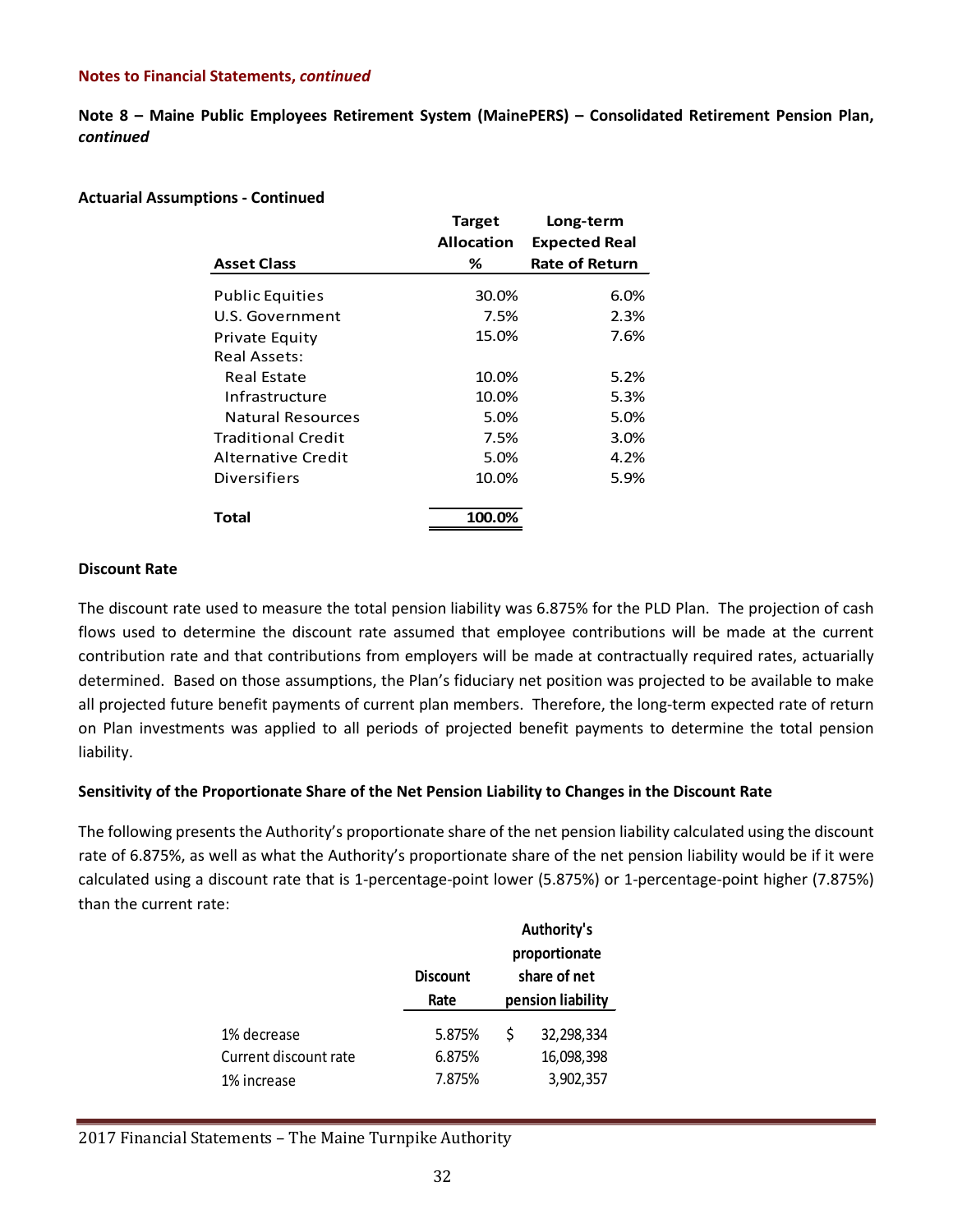**Note 8 – Maine Public Employees Retirement System (MainePERS) – Consolidated Retirement Pension Plan,** *continued*

### **Actuarial Assumptions - Continued**

|                           | <b>Target</b>     | Long-term             |
|---------------------------|-------------------|-----------------------|
|                           | <b>Allocation</b> | <b>Expected Real</b>  |
| <b>Asset Class</b>        | ℅                 | <b>Rate of Return</b> |
| <b>Public Equities</b>    | 30.0%             | 6.0%                  |
| U.S. Government           | 7.5%              | 2.3%                  |
| <b>Private Equity</b>     | 15.0%             | 7.6%                  |
| Real Assets:              |                   |                       |
| <b>Real Estate</b>        | 10.0%             | 5.2%                  |
| Infrastructure            | 10.0%             | 5.3%                  |
| Natural Resources         | 5.0%              | 5.0%                  |
| <b>Traditional Credit</b> | 7.5%              | 3.0%                  |
| Alternative Credit        | 5.0%              | 4.2%                  |
| Diversifiers              | 10.0%             | 5.9%                  |
| Total                     | 100.0%            |                       |

### **Discount Rate**

The discount rate used to measure the total pension liability was 6.875% for the PLD Plan. The projection of cash flows used to determine the discount rate assumed that employee contributions will be made at the current contribution rate and that contributions from employers will be made at contractually required rates, actuarially determined. Based on those assumptions, the Plan's fiduciary net position was projected to be available to make all projected future benefit payments of current plan members. Therefore, the long-term expected rate of return on Plan investments was applied to all periods of projected benefit payments to determine the total pension liability.

### **Sensitivity of the Proportionate Share of the Net Pension Liability to Changes in the Discount Rate**

The following presents the Authority's proportionate share of the net pension liability calculated using the discount rate of 6.875%, as well as what the Authority's proportionate share of the net pension liability would be if it were calculated using a discount rate that is 1-percentage-point lower (5.875%) or 1-percentage-point higher (7.875%) than the current rate:

|                       | <b>Discount</b><br>Rate |   | Authority's<br>proportionate<br>share of net<br>pension liability |
|-----------------------|-------------------------|---|-------------------------------------------------------------------|
| 1% decrease           | 5.875%                  | Ś | 32,298,334                                                        |
| Current discount rate | 6.875%                  |   | 16,098,398                                                        |
| 1% increase           | 7.875%                  |   | 3,902,357                                                         |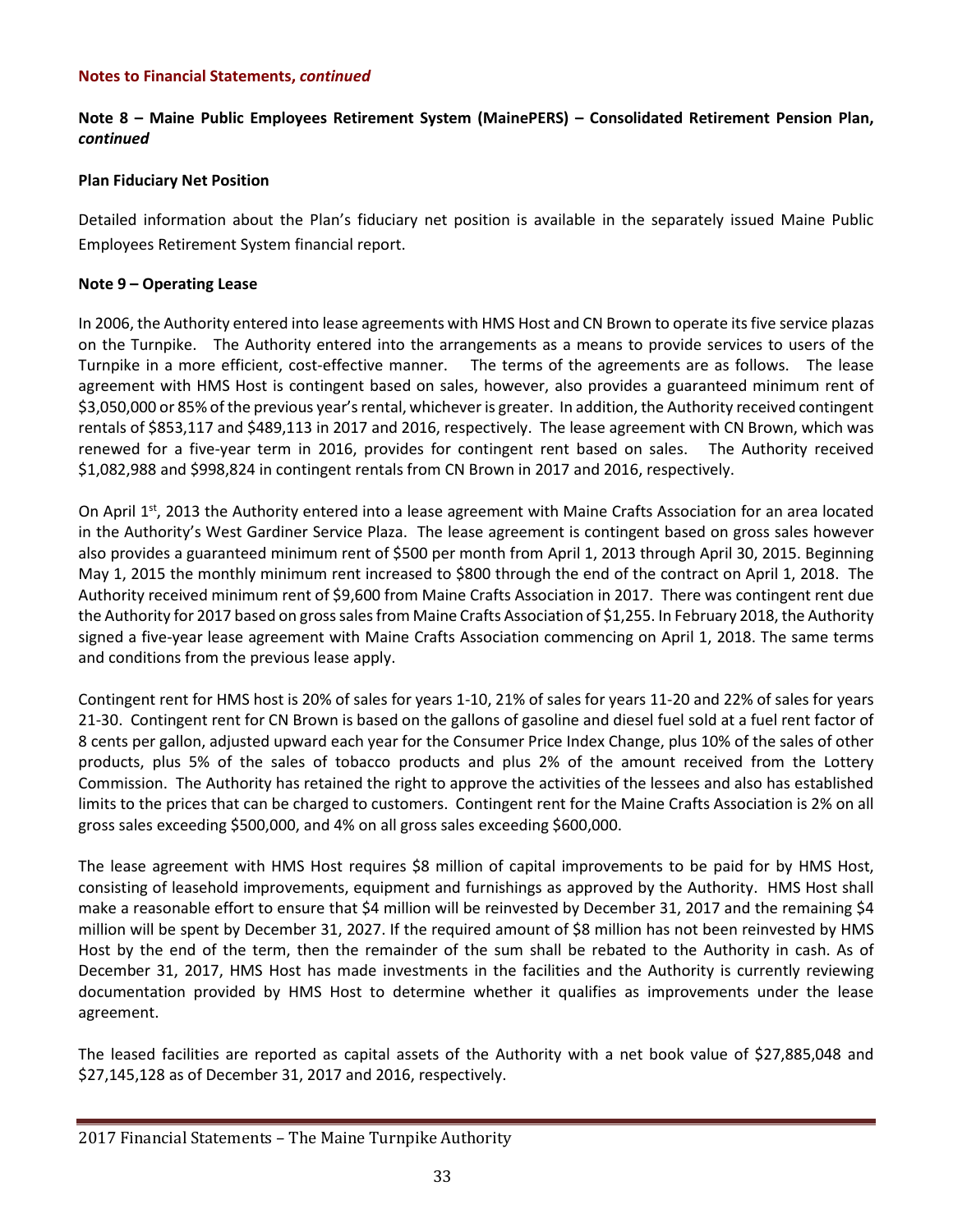### **Note 8 – Maine Public Employees Retirement System (MainePERS) – Consolidated Retirement Pension Plan,** *continued*

### **Plan Fiduciary Net Position**

Detailed information about the Plan's fiduciary net position is available in the separately issued Maine Public Employees Retirement System financial report.

### **Note 9 – Operating Lease**

In 2006, the Authority entered into lease agreements with HMS Host and CN Brown to operate its five service plazas on the Turnpike. The Authority entered into the arrangements as a means to provide services to users of the Turnpike in a more efficient, cost-effective manner. The terms of the agreements are as follows. The lease agreement with HMS Host is contingent based on sales, however, also provides a guaranteed minimum rent of \$3,050,000 or 85% of the previous year's rental, whichever is greater. In addition, the Authority received contingent rentals of \$853,117 and \$489,113 in 2017 and 2016, respectively. The lease agreement with CN Brown, which was renewed for a five-year term in 2016, provides for contingent rent based on sales. The Authority received \$1,082,988 and \$998,824 in contingent rentals from CN Brown in 2017 and 2016, respectively.

On April 1<sup>st</sup>, 2013 the Authority entered into a lease agreement with Maine Crafts Association for an area located in the Authority's West Gardiner Service Plaza. The lease agreement is contingent based on gross sales however also provides a guaranteed minimum rent of \$500 per month from April 1, 2013 through April 30, 2015. Beginning May 1, 2015 the monthly minimum rent increased to \$800 through the end of the contract on April 1, 2018. The Authority received minimum rent of \$9,600 from Maine Crafts Association in 2017. There was contingent rent due the Authority for 2017 based on gross sales from Maine Crafts Association of \$1,255. In February 2018, the Authority signed a five-year lease agreement with Maine Crafts Association commencing on April 1, 2018. The same terms and conditions from the previous lease apply.

Contingent rent for HMS host is 20% of sales for years 1-10, 21% of sales for years 11-20 and 22% of sales for years 21-30. Contingent rent for CN Brown is based on the gallons of gasoline and diesel fuel sold at a fuel rent factor of 8 cents per gallon, adjusted upward each year for the Consumer Price Index Change, plus 10% of the sales of other products, plus 5% of the sales of tobacco products and plus 2% of the amount received from the Lottery Commission. The Authority has retained the right to approve the activities of the lessees and also has established limits to the prices that can be charged to customers. Contingent rent for the Maine Crafts Association is 2% on all gross sales exceeding \$500,000, and 4% on all gross sales exceeding \$600,000.

The lease agreement with HMS Host requires \$8 million of capital improvements to be paid for by HMS Host, consisting of leasehold improvements, equipment and furnishings as approved by the Authority. HMS Host shall make a reasonable effort to ensure that \$4 million will be reinvested by December 31, 2017 and the remaining \$4 million will be spent by December 31, 2027. If the required amount of \$8 million has not been reinvested by HMS Host by the end of the term, then the remainder of the sum shall be rebated to the Authority in cash. As of December 31, 2017, HMS Host has made investments in the facilities and the Authority is currently reviewing documentation provided by HMS Host to determine whether it qualifies as improvements under the lease agreement.

The leased facilities are reported as capital assets of the Authority with a net book value of \$27,885,048 and \$27,145,128 as of December 31, 2017 and 2016, respectively.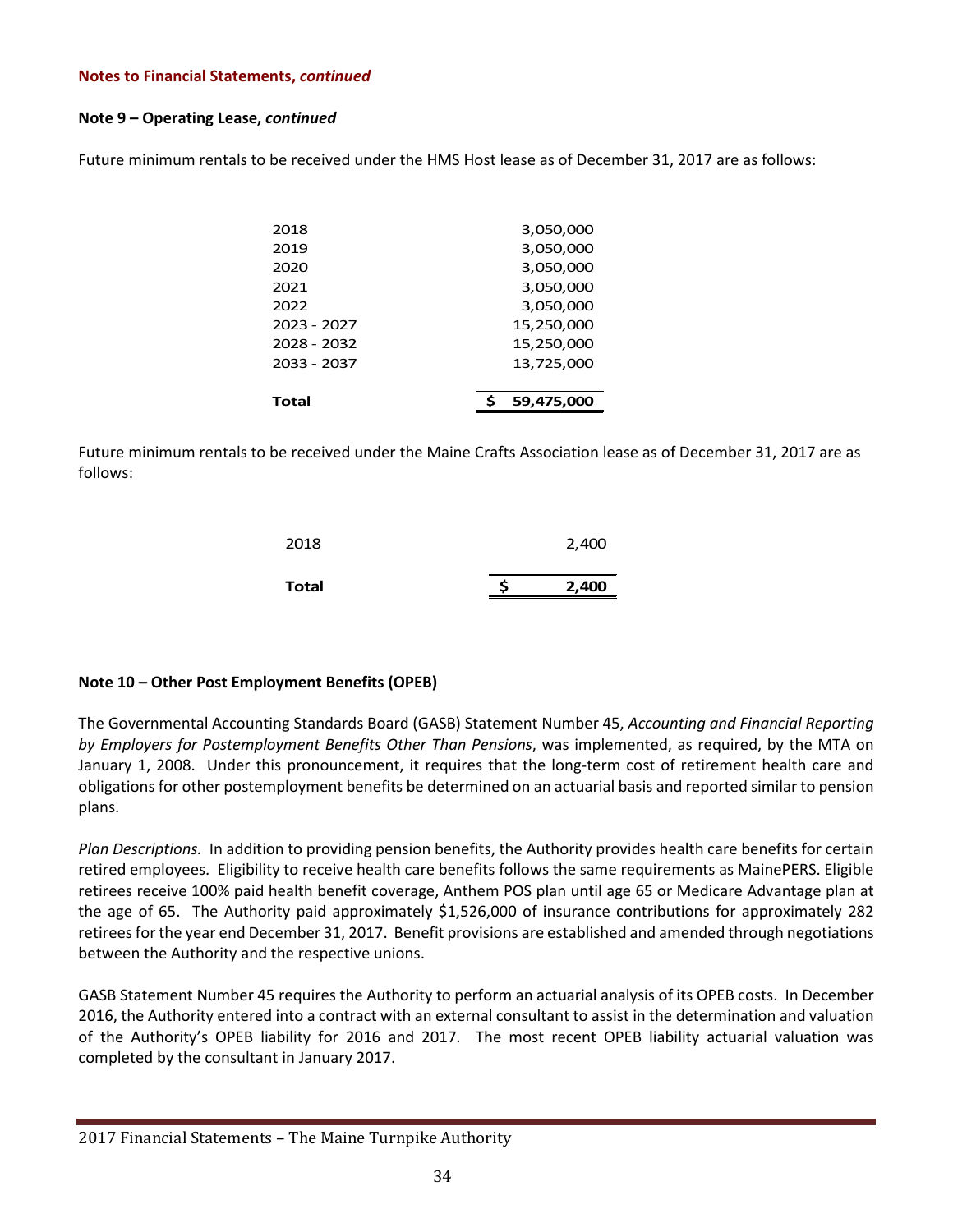### **Note 9 – Operating Lease,** *continued*

Future minimum rentals to be received under the HMS Host lease as of December 31, 2017 are as follows:

| 2018        | 3,050,000  |
|-------------|------------|
| 2019        | 3,050,000  |
| 2020        | 3,050,000  |
| 2021        | 3,050,000  |
| 2022        | 3,050,000  |
| 2023 - 2027 | 15,250,000 |
| 2028 - 2032 | 15,250,000 |
| 2033 - 2037 | 13,725,000 |
|             |            |
| Total       | 59,475,000 |

Future minimum rentals to be received under the Maine Crafts Association lease as of December 31, 2017 are as follows:

| Total | 2,400 |
|-------|-------|
| 2018  | 2,400 |

### **Note 10 – Other Post Employment Benefits (OPEB)**

The Governmental Accounting Standards Board (GASB) Statement Number 45, *Accounting and Financial Reporting by Employers for Postemployment Benefits Other Than Pensions*, was implemented, as required, by the MTA on January 1, 2008. Under this pronouncement, it requires that the long-term cost of retirement health care and obligations for other postemployment benefits be determined on an actuarial basis and reported similar to pension plans.

*Plan Descriptions.* In addition to providing pension benefits, the Authority provides health care benefits for certain retired employees. Eligibility to receive health care benefits follows the same requirements as MainePERS. Eligible retirees receive 100% paid health benefit coverage, Anthem POS plan until age 65 or Medicare Advantage plan at the age of 65. The Authority paid approximately \$1,526,000 of insurance contributions for approximately 282 retireesfor the year end December 31, 2017. Benefit provisions are established and amended through negotiations between the Authority and the respective unions.

GASB Statement Number 45 requires the Authority to perform an actuarial analysis of its OPEB costs. In December 2016, the Authority entered into a contract with an external consultant to assist in the determination and valuation of the Authority's OPEB liability for 2016 and 2017. The most recent OPEB liability actuarial valuation was completed by the consultant in January 2017.

<sup>2017</sup> Financial Statements – The Maine Turnpike Authority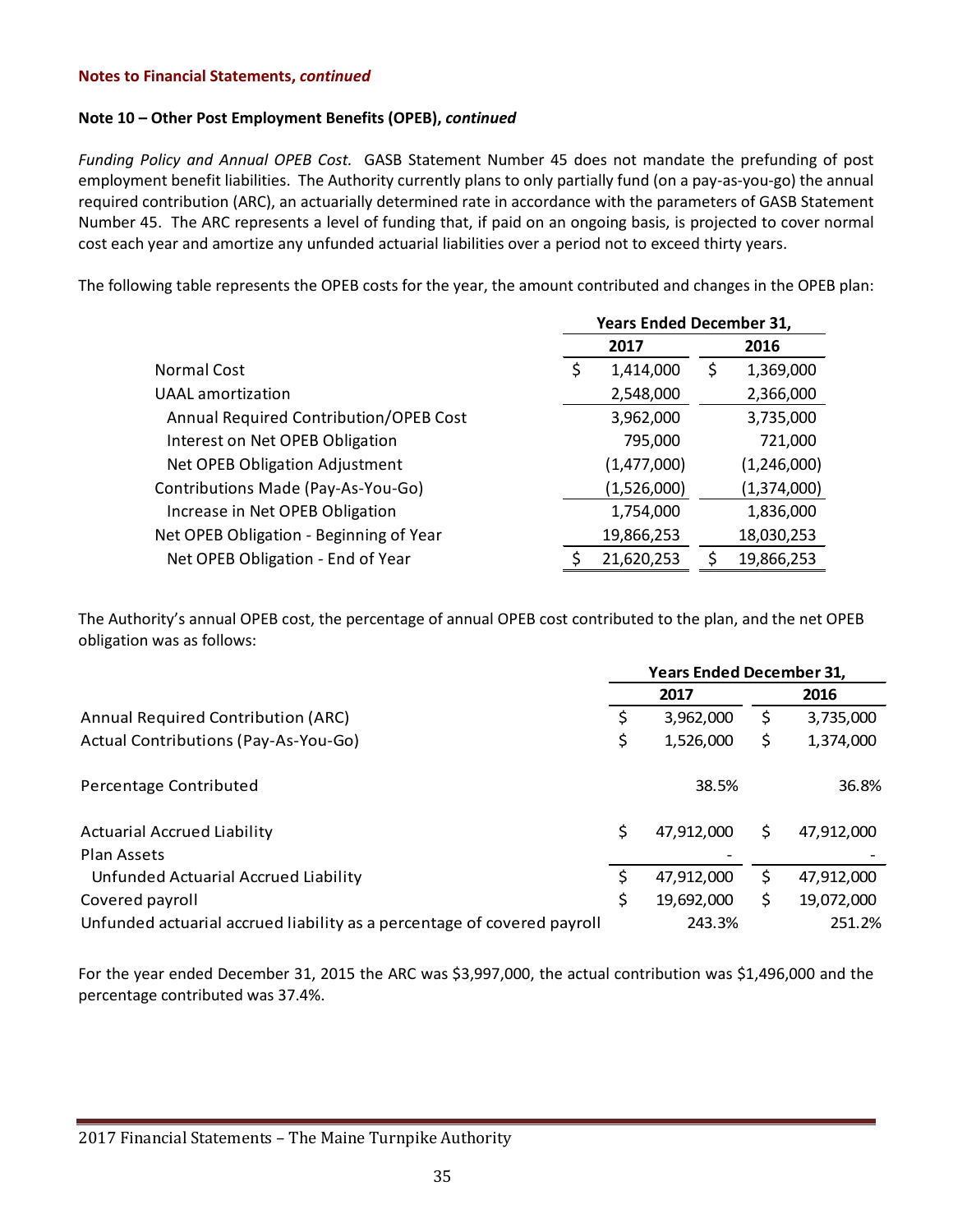### **Note 10 – Other Post Employment Benefits (OPEB),** *continued*

*Funding Policy and Annual OPEB Cost.* GASB Statement Number 45 does not mandate the prefunding of post employment benefit liabilities. The Authority currently plans to only partially fund (on a pay-as-you-go) the annual required contribution (ARC), an actuarially determined rate in accordance with the parameters of GASB Statement Number 45. The ARC represents a level of funding that, if paid on an ongoing basis, is projected to cover normal cost each year and amortize any unfunded actuarial liabilities over a period not to exceed thirty years.

The following table represents the OPEB costs for the year, the amount contributed and changes in the OPEB plan:

|                                         | <b>Years Ended December 31,</b> |             |    |             |  |
|-----------------------------------------|---------------------------------|-------------|----|-------------|--|
|                                         |                                 | 2017        |    | 2016        |  |
| Normal Cost                             | \$                              | 1,414,000   | \$ | 1,369,000   |  |
| UAAL amortization                       |                                 | 2,548,000   |    | 2,366,000   |  |
| Annual Required Contribution/OPEB Cost  |                                 | 3,962,000   |    | 3,735,000   |  |
| Interest on Net OPEB Obligation         |                                 | 795,000     |    | 721,000     |  |
| Net OPEB Obligation Adjustment          |                                 | (1,477,000) |    | (1,246,000) |  |
| Contributions Made (Pay-As-You-Go)      |                                 | (1,526,000) |    | (1,374,000) |  |
| Increase in Net OPEB Obligation         |                                 | 1,754,000   |    | 1,836,000   |  |
| Net OPEB Obligation - Beginning of Year |                                 | 19,866,253  |    | 18,030,253  |  |
| Net OPEB Obligation - End of Year       |                                 | 21,620,253  |    | 19,866,253  |  |

The Authority's annual OPEB cost, the percentage of annual OPEB cost contributed to the plan, and the net OPEB obligation was as follows:

|                                                                         | <b>Years Ended December 31,</b> |    |            |  |
|-------------------------------------------------------------------------|---------------------------------|----|------------|--|
|                                                                         | 2017                            |    | 2016       |  |
| <b>Annual Required Contribution (ARC)</b>                               | \$<br>3,962,000                 | \$ | 3,735,000  |  |
| Actual Contributions (Pay-As-You-Go)                                    | \$<br>1,526,000                 | \$ | 1,374,000  |  |
| Percentage Contributed                                                  | 38.5%                           |    | 36.8%      |  |
| <b>Actuarial Accrued Liability</b>                                      | \$<br>47,912,000                | \$ | 47,912,000 |  |
| <b>Plan Assets</b>                                                      |                                 |    |            |  |
| Unfunded Actuarial Accrued Liability                                    | \$<br>47,912,000                | \$ | 47,912,000 |  |
| Covered payroll                                                         | \$<br>19,692,000                | \$ | 19,072,000 |  |
| Unfunded actuarial accrued liability as a percentage of covered payroll | 243.3%                          |    | 251.2%     |  |

For the year ended December 31, 2015 the ARC was \$3,997,000, the actual contribution was \$1,496,000 and the percentage contributed was 37.4%.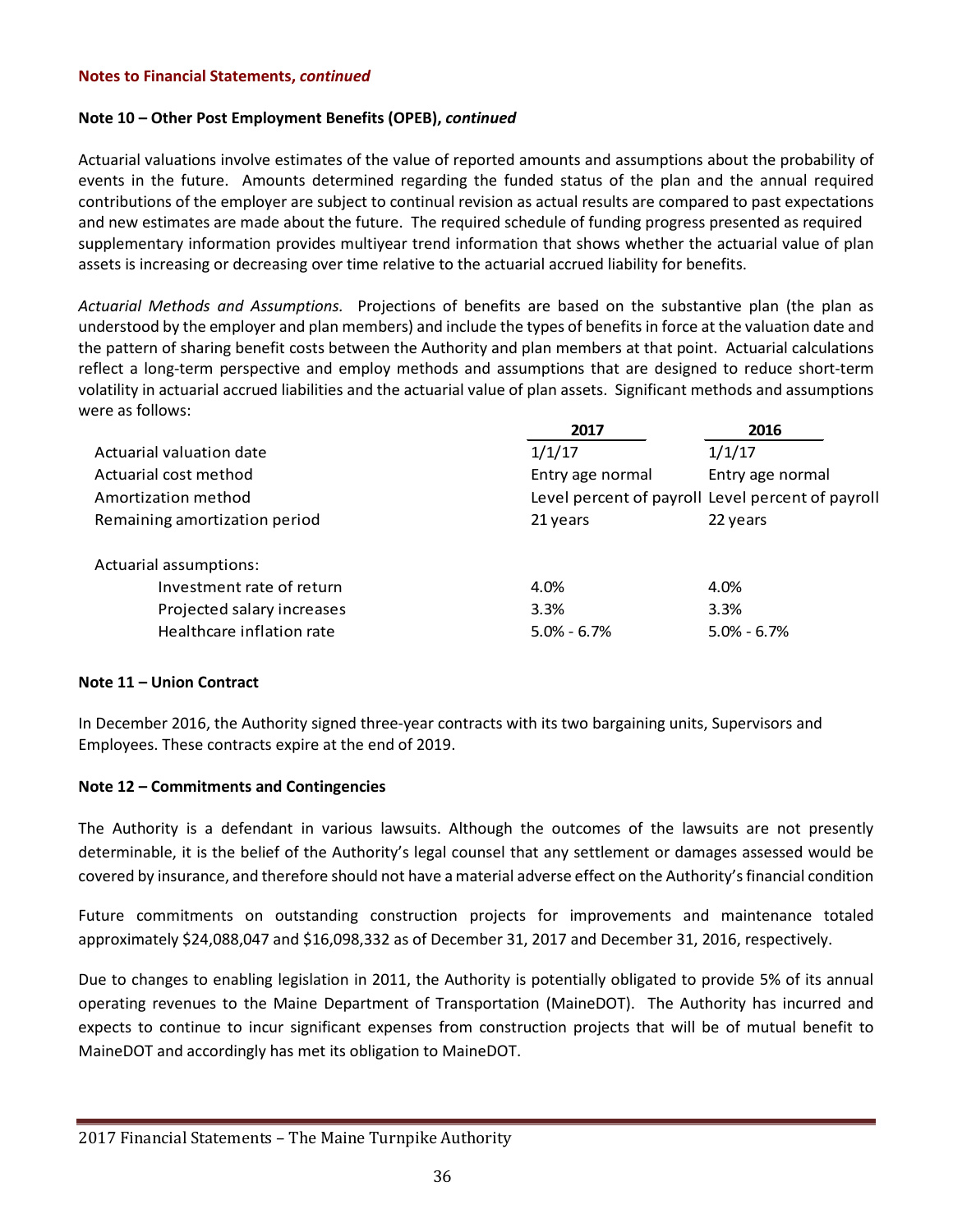### **Note 10 – Other Post Employment Benefits (OPEB),** *continued*

Actuarial valuations involve estimates of the value of reported amounts and assumptions about the probability of events in the future. Amounts determined regarding the funded status of the plan and the annual required contributions of the employer are subject to continual revision as actual results are compared to past expectations and new estimates are made about the future. The required schedule of funding progress presented as required supplementary information provides multiyear trend information that shows whether the actuarial value of plan assets is increasing or decreasing over time relative to the actuarial accrued liability for benefits.

*Actuarial Methods and Assumptions.* Projections of benefits are based on the substantive plan (the plan as understood by the employer and plan members) and include the types of benefits in force at the valuation date and the pattern of sharing benefit costs between the Authority and plan members at that point. Actuarial calculations reflect a long-term perspective and employ methods and assumptions that are designed to reduce short-term volatility in actuarial accrued liabilities and the actuarial value of plan assets. Significant methods and assumptions were as follows:

|                               | 2017             | 2016                                              |
|-------------------------------|------------------|---------------------------------------------------|
| Actuarial valuation date      | 1/1/17           | 1/1/17                                            |
| Actuarial cost method         | Entry age normal | Entry age normal                                  |
| Amortization method           |                  | Level percent of payroll Level percent of payroll |
| Remaining amortization period | 21 years         | 22 years                                          |
| Actuarial assumptions:        |                  |                                                   |
| Investment rate of return     | 4.0%             | 4.0%                                              |
| Projected salary increases    | 3.3%             | 3.3%                                              |
| Healthcare inflation rate     | $5.0\% - 6.7\%$  | $5.0\% - 6.7\%$                                   |

### **Note 11 – Union Contract**

In December 2016, the Authority signed three-year contracts with its two bargaining units, Supervisors and Employees. These contracts expire at the end of 2019.

### **Note 12 – Commitments and Contingencies**

The Authority is a defendant in various lawsuits. Although the outcomes of the lawsuits are not presently determinable, it is the belief of the Authority's legal counsel that any settlement or damages assessed would be covered by insurance, and therefore should not have a material adverse effect on the Authority's financial condition

Future commitments on outstanding construction projects for improvements and maintenance totaled approximately \$24,088,047 and \$16,098,332 as of December 31, 2017 and December 31, 2016, respectively.

Due to changes to enabling legislation in 2011, the Authority is potentially obligated to provide 5% of its annual operating revenues to the Maine Department of Transportation (MaineDOT). The Authority has incurred and expects to continue to incur significant expenses from construction projects that will be of mutual benefit to MaineDOT and accordingly has met its obligation to MaineDOT.

<sup>2017</sup> Financial Statements – The Maine Turnpike Authority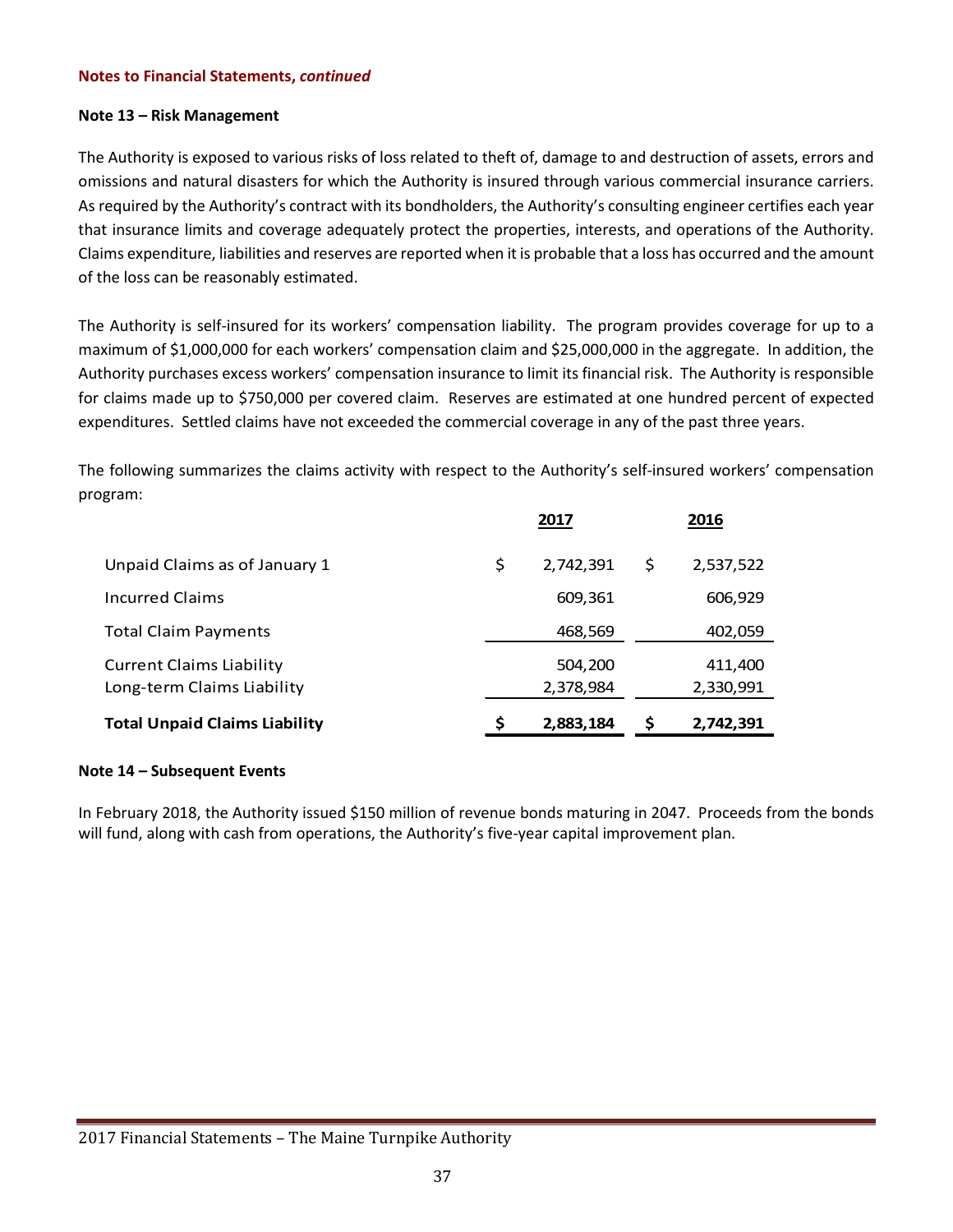### **Note 13 – Risk Management**

The Authority is exposed to various risks of loss related to theft of, damage to and destruction of assets, errors and omissions and natural disasters for which the Authority is insured through various commercial insurance carriers. As required by the Authority's contract with its bondholders, the Authority's consulting engineer certifies each year that insurance limits and coverage adequately protect the properties, interests, and operations of the Authority. Claims expenditure, liabilities and reserves are reported when it is probable that a loss has occurred and the amount of the loss can be reasonably estimated.

The Authority is self-insured for its workers' compensation liability. The program provides coverage for up to a maximum of \$1,000,000 for each workers' compensation claim and \$25,000,000 in the aggregate. In addition, the Authority purchases excess workers' compensation insurance to limit its financial risk. The Authority is responsible for claims made up to \$750,000 per covered claim. Reserves are estimated at one hundred percent of expected expenditures. Settled claims have not exceeded the commercial coverage in any of the past three years.

The following summarizes the claims activity with respect to the Authority's self-insured workers' compensation program:

|                                                               |    | 2017                 |   | 2016                 |
|---------------------------------------------------------------|----|----------------------|---|----------------------|
| Unpaid Claims as of January 1                                 | \$ | 2,742,391            | S | 2,537,522            |
| Incurred Claims                                               |    | 609,361              |   | 606,929              |
| <b>Total Claim Payments</b>                                   |    | 468,569              |   | 402,059              |
| <b>Current Claims Liability</b><br>Long-term Claims Liability |    | 504,200<br>2,378,984 |   | 411,400<br>2,330,991 |
| <b>Total Unpaid Claims Liability</b>                          | S  | 2,883,184            |   | 2,742,391            |

### **Note 14 – Subsequent Events**

In February 2018, the Authority issued \$150 million of revenue bonds maturing in 2047. Proceeds from the bonds will fund, along with cash from operations, the Authority's five-year capital improvement plan.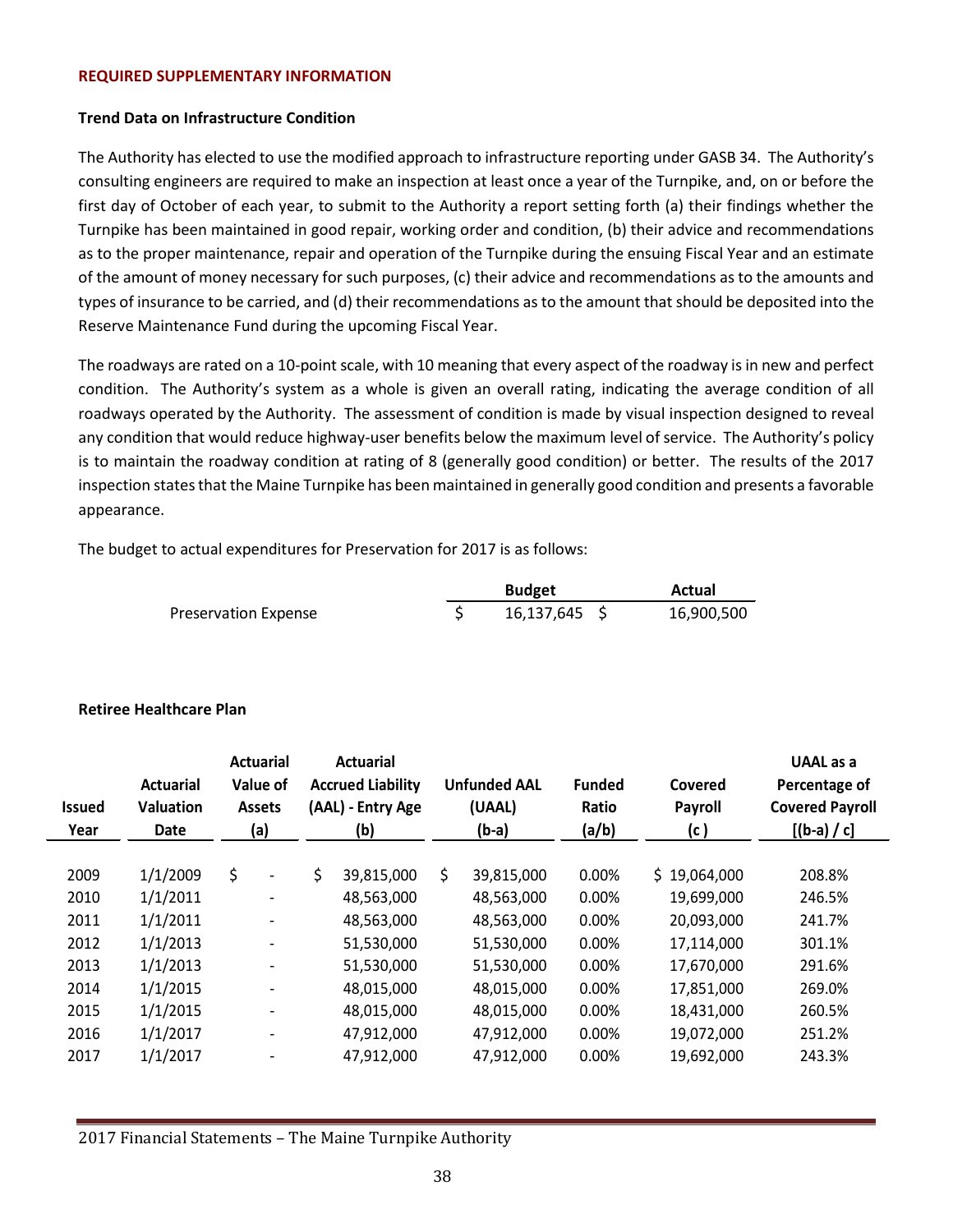#### **REQUIRED SUPPLEMENTARY INFORMATION**

#### **Trend Data on Infrastructure Condition**

The Authority has elected to use the modified approach to infrastructure reporting under GASB 34. The Authority's consulting engineers are required to make an inspection at least once a year of the Turnpike, and, on or before the first day of October of each year, to submit to the Authority a report setting forth (a) their findings whether the Turnpike has been maintained in good repair, working order and condition, (b) their advice and recommendations as to the proper maintenance, repair and operation of the Turnpike during the ensuing Fiscal Year and an estimate of the amount of money necessary for such purposes, (c) their advice and recommendations as to the amounts and types of insurance to be carried, and (d) their recommendations as to the amount that should be deposited into the Reserve Maintenance Fund during the upcoming Fiscal Year.

The roadways are rated on a 10-point scale, with 10 meaning that every aspect of the roadway is in new and perfect condition. The Authority's system as a whole is given an overall rating, indicating the average condition of all roadways operated by the Authority. The assessment of condition is made by visual inspection designed to reveal any condition that would reduce highway-user benefits below the maximum level of service. The Authority's policy is to maintain the roadway condition at rating of 8 (generally good condition) or better. The results of the 2017 inspection states that the Maine Turnpike has been maintained in generally good condition and presents a favorable appearance.

The budget to actual expenditures for Preservation for 2017 is as follows:

|                             | <b>Budget</b> | Actual     |  |
|-----------------------------|---------------|------------|--|
| <b>Preservation Expense</b> | 16,137,645 \$ | 16,900,500 |  |

### **Retiree Healthcare Plan**

| <b>Issued</b> | <b>Actuarial</b><br><b>Valuation</b> | <b>Actuarial</b><br>Value of<br><b>Assets</b> | <b>Actuarial</b><br><b>Accrued Liability</b><br>(AAL) - Entry Age |    | <b>Unfunded AAL</b><br>(UAAL) | <b>Funded</b><br>Ratio | Covered<br>Payroll | UAAL as a<br>Percentage of<br><b>Covered Payroll</b> |
|---------------|--------------------------------------|-----------------------------------------------|-------------------------------------------------------------------|----|-------------------------------|------------------------|--------------------|------------------------------------------------------|
| Year          | Date                                 | (a)                                           | (b)                                                               |    | $(b-a)$                       | (a/b)                  | (c)                | $[(b-a) / c]$                                        |
| 2009          | 1/1/2009                             | \$<br>$\overline{\phantom{a}}$                | \$<br>39,815,000                                                  | \$ | 39,815,000                    | 0.00%                  | \$19,064,000       | 208.8%                                               |
| 2010          | 1/1/2011                             | $\overline{\phantom{a}}$                      | 48,563,000                                                        |    | 48,563,000                    | 0.00%                  | 19,699,000         | 246.5%                                               |
| 2011          | 1/1/2011                             | $\overline{\phantom{0}}$                      | 48,563,000                                                        |    | 48,563,000                    | 0.00%                  | 20,093,000         | 241.7%                                               |
| 2012          | 1/1/2013                             |                                               | 51,530,000                                                        |    | 51,530,000                    | 0.00%                  | 17,114,000         | 301.1%                                               |
| 2013          | 1/1/2013                             |                                               | 51,530,000                                                        |    | 51,530,000                    | 0.00%                  | 17,670,000         | 291.6%                                               |
| 2014          | 1/1/2015                             | $\overline{\phantom{0}}$                      | 48,015,000                                                        |    | 48,015,000                    | 0.00%                  | 17,851,000         | 269.0%                                               |
| 2015          | 1/1/2015                             | $\overline{\phantom{0}}$                      | 48,015,000                                                        |    | 48,015,000                    | 0.00%                  | 18,431,000         | 260.5%                                               |
| 2016          | 1/1/2017                             |                                               | 47,912,000                                                        |    | 47,912,000                    | 0.00%                  | 19,072,000         | 251.2%                                               |
| 2017          | 1/1/2017                             |                                               | 47,912,000                                                        |    | 47,912,000                    | 0.00%                  | 19,692,000         | 243.3%                                               |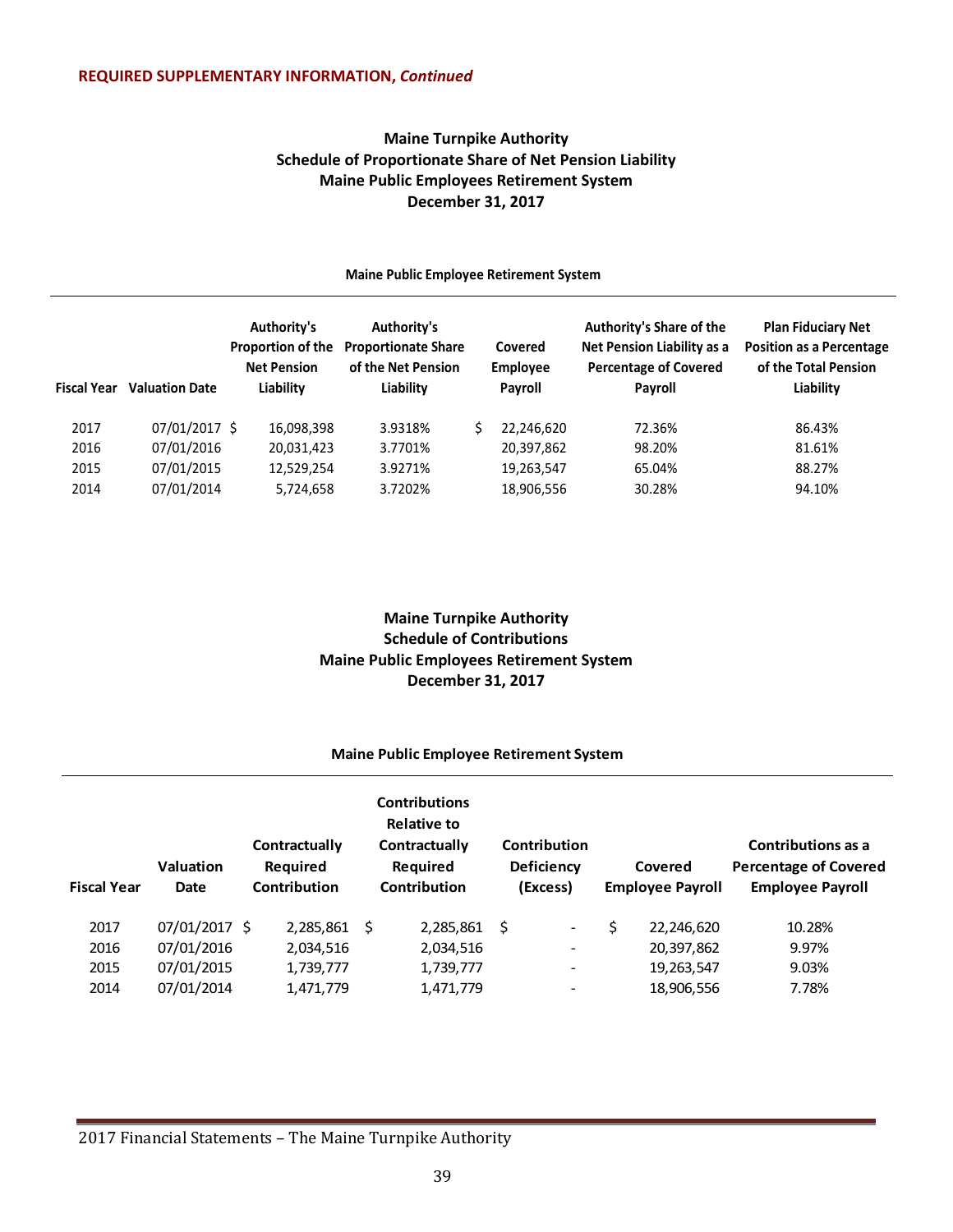### **Maine Turnpike Authority Schedule of Proportionate Share of Net Pension Liability Maine Public Employees Retirement System December 31, 2017**

#### **Maine Public Employee Retirement System**

| <b>Fiscal Year</b> | <b>Valuation Date</b> | Authority's<br>Proportion of the<br><b>Net Pension</b><br>Liability | <b>Authority's</b><br><b>Proportionate Share</b><br>of the Net Pension<br>Liability | Covered<br><b>Employee</b><br>Payroll | Authority's Share of the<br>Net Pension Liability as a<br><b>Percentage of Covered</b><br>Payroll | <b>Plan Fiduciary Net</b><br><b>Position as a Percentage</b><br>of the Total Pension<br>Liability |
|--------------------|-----------------------|---------------------------------------------------------------------|-------------------------------------------------------------------------------------|---------------------------------------|---------------------------------------------------------------------------------------------------|---------------------------------------------------------------------------------------------------|
| 2017               | 07/01/2017 \$         | 16,098,398                                                          | 3.9318%                                                                             | 22,246,620                            | 72.36%                                                                                            | 86.43%                                                                                            |
| 2016               | 07/01/2016            | 20,031,423                                                          | 3.7701%                                                                             | 20,397,862                            | 98.20%                                                                                            | 81.61%                                                                                            |
| 2015               | 07/01/2015            | 12,529,254                                                          | 3.9271%                                                                             | 19,263,547                            | 65.04%                                                                                            | 88.27%                                                                                            |
| 2014               | 07/01/2014            | 5,724,658                                                           | 3.7202%                                                                             | 18,906,556                            | 30.28%                                                                                            | 94.10%                                                                                            |

### **Maine Turnpike Authority Schedule of Contributions Maine Public Employees Retirement System December 31, 2017**

#### **Maine Public Employee Retirement System**

| <b>Fiscal Year</b> | <b>Valuation</b><br>Date | Contractually<br>Required<br><b>Contribution</b> | <b>Contributions</b><br><b>Relative to</b><br>Contractually<br>Required<br><b>Contribution</b> | <b>Contribution</b><br><b>Deficiency</b><br>(Excess) | Covered<br><b>Employee Payroll</b> |            | <b>Contributions as a</b><br><b>Percentage of Covered</b><br><b>Employee Payroll</b> |  |
|--------------------|--------------------------|--------------------------------------------------|------------------------------------------------------------------------------------------------|------------------------------------------------------|------------------------------------|------------|--------------------------------------------------------------------------------------|--|
| 2017               | 07/01/2017 \$            | 2,285,861                                        | 2,285,861<br>S                                                                                 | - \$<br>$\overline{\phantom{a}}$                     | \$                                 | 22,246,620 | 10.28%                                                                               |  |
| 2016               | 07/01/2016               | 2,034,516                                        | 2,034,516                                                                                      | $\qquad \qquad$                                      |                                    | 20,397,862 | 9.97%                                                                                |  |
| 2015               | 07/01/2015               | 1,739,777                                        | 1,739,777                                                                                      | $\qquad \qquad$                                      |                                    | 19,263,547 | 9.03%                                                                                |  |
| 2014               | 07/01/2014               | 1,471,779                                        | 1,471,779                                                                                      | ۰                                                    |                                    | 18,906,556 | 7.78%                                                                                |  |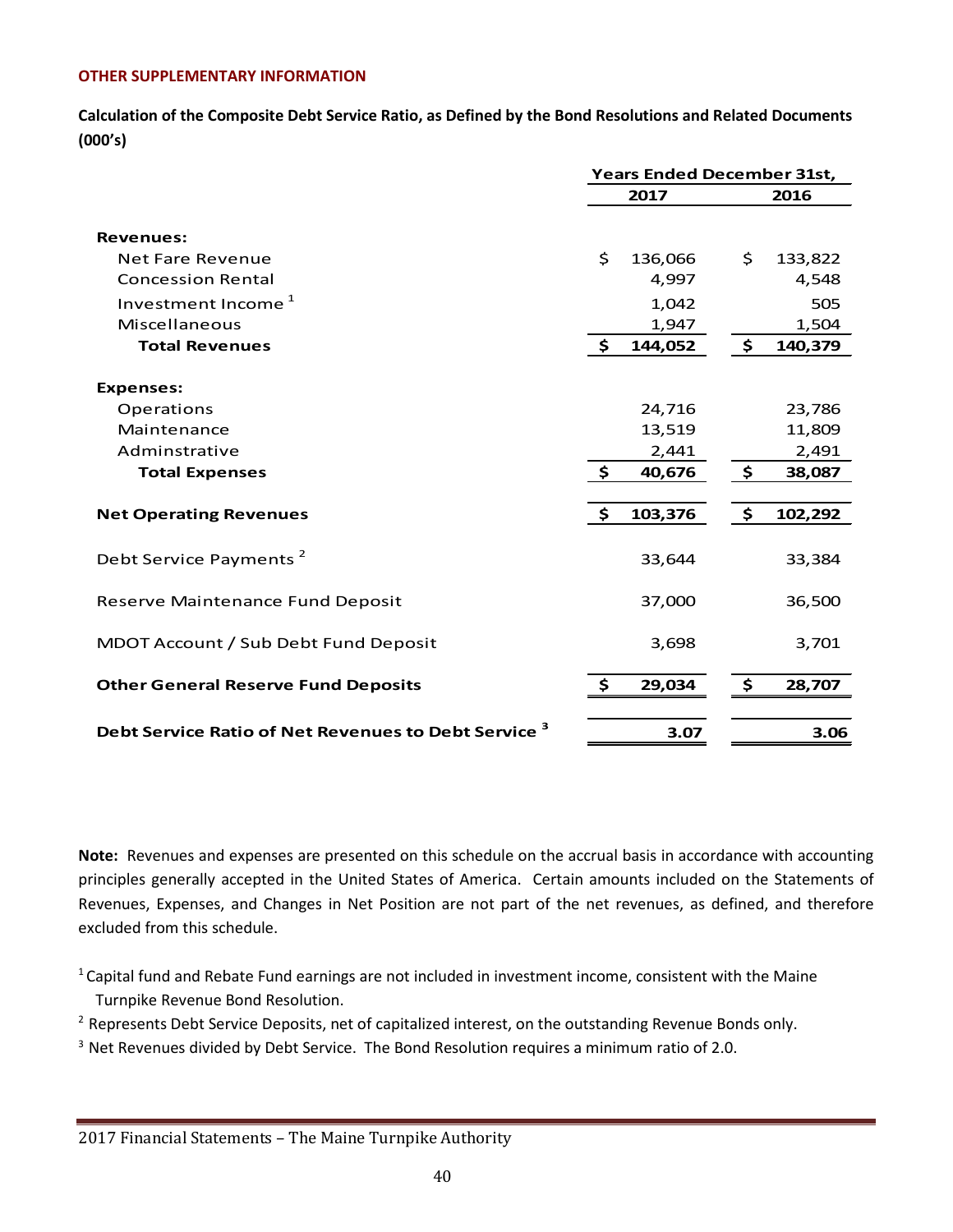### **OTHER SUPPLEMENTARY INFORMATION**

**Calculation of the Composite Debt Service Ratio, as Defined by the Bond Resolutions and Related Documents (000's)**

|                                                                 | <b>Years Ended December 31st,</b> |         |                     |         |  |
|-----------------------------------------------------------------|-----------------------------------|---------|---------------------|---------|--|
|                                                                 |                                   | 2017    |                     | 2016    |  |
| <b>Revenues:</b>                                                |                                   |         |                     |         |  |
| Net Fare Revenue                                                | \$                                | 136,066 | \$                  | 133,822 |  |
| <b>Concession Rental</b>                                        |                                   | 4,997   |                     | 4,548   |  |
| Investment Income <sup>1</sup>                                  |                                   | 1,042   |                     | 505     |  |
| Miscellaneous                                                   |                                   | 1,947   |                     | 1,504   |  |
| <b>Total Revenues</b>                                           | $\mathsf{S}$                      | 144,052 | $\ddot{\bm{s}}$     | 140,379 |  |
| <b>Expenses:</b>                                                |                                   |         |                     |         |  |
| Operations                                                      |                                   | 24,716  |                     | 23,786  |  |
| Maintenance                                                     |                                   | 13,519  |                     | 11,809  |  |
| Adminstrative                                                   |                                   | 2,441   |                     | 2,491   |  |
| <b>Total Expenses</b>                                           | \$                                | 40,676  | \$                  | 38,087  |  |
| <b>Net Operating Revenues</b>                                   | $\frac{1}{2}$                     | 103,376 | $\ddot{\bm{\zeta}}$ | 102,292 |  |
| Debt Service Payments <sup>2</sup>                              |                                   | 33,644  |                     | 33,384  |  |
| Reserve Maintenance Fund Deposit                                |                                   | 37,000  |                     | 36,500  |  |
| MDOT Account / Sub Debt Fund Deposit                            |                                   | 3,698   |                     | 3,701   |  |
| <b>Other General Reserve Fund Deposits</b>                      | \$                                | 29,034  | \$                  | 28,707  |  |
| Debt Service Ratio of Net Revenues to Debt Service <sup>3</sup> |                                   | 3.07    |                     | 3.06    |  |

**Note:** Revenues and expenses are presented on this schedule on the accrual basis in accordance with accounting principles generally accepted in the United States of America. Certain amounts included on the Statements of Revenues, Expenses, and Changes in Net Position are not part of the net revenues, as defined, and therefore excluded from this schedule.

 $1$  Capital fund and Rebate Fund earnings are not included in investment income, consistent with the Maine Turnpike Revenue Bond Resolution.

<sup>2</sup> Represents Debt Service Deposits, net of capitalized interest, on the outstanding Revenue Bonds only.

<sup>3</sup> Net Revenues divided by Debt Service. The Bond Resolution requires a minimum ratio of 2.0.